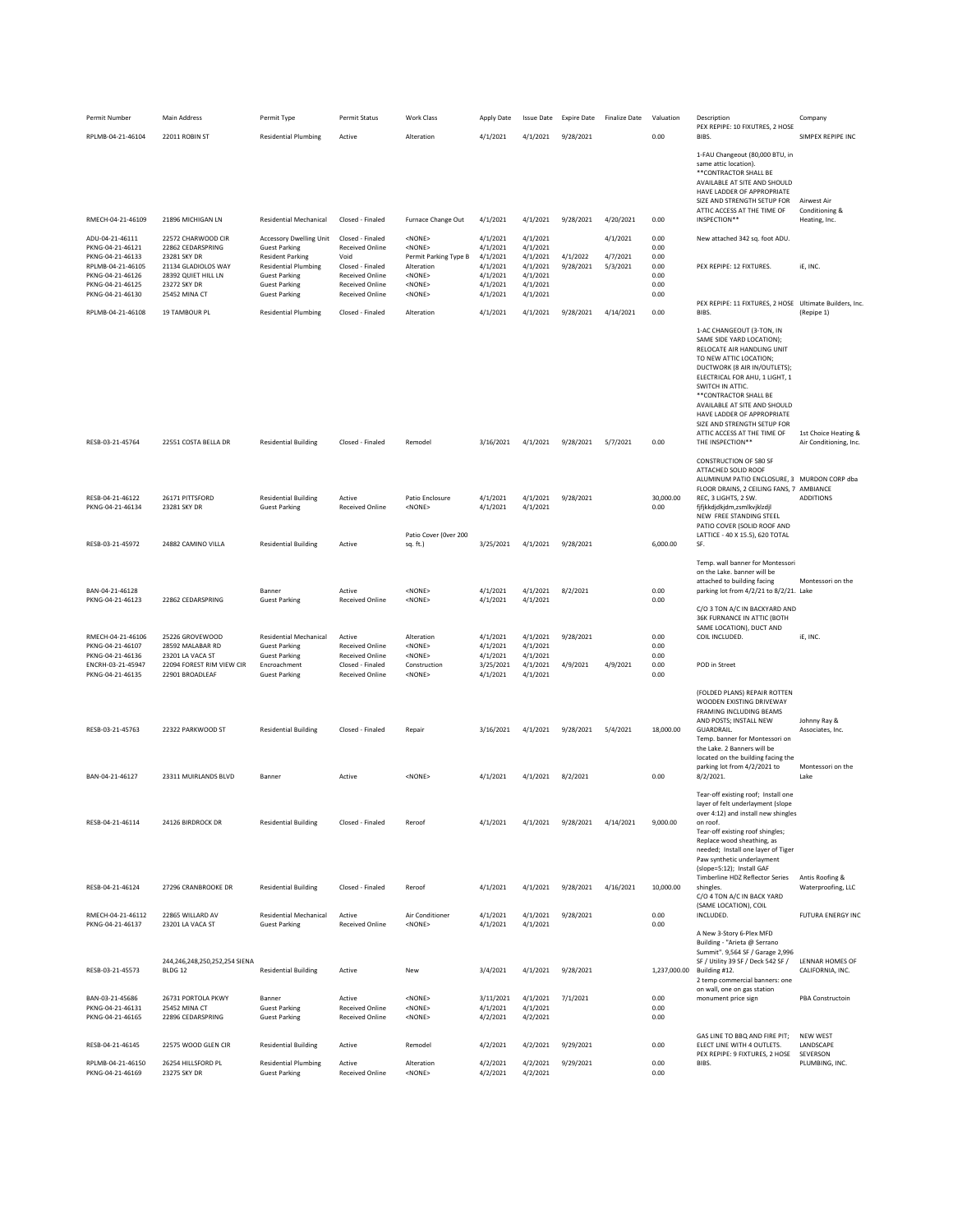| Permit Number                                                                                                                            | Main Address                                                                                                                           | Permit Type                                                                                                                                                                              | Permit Status                                                                                                                          | <b>Work Class</b>                                                                                                              | Apply Date                                                                       | <b>Issue Date</b>                                                                | <b>Expire Date</b>     | <b>Finalize Date</b>             | Valuation                                            | Description                                                                                                                                                                                                                                                                                                                                                | Company                                                       |
|------------------------------------------------------------------------------------------------------------------------------------------|----------------------------------------------------------------------------------------------------------------------------------------|------------------------------------------------------------------------------------------------------------------------------------------------------------------------------------------|----------------------------------------------------------------------------------------------------------------------------------------|--------------------------------------------------------------------------------------------------------------------------------|----------------------------------------------------------------------------------|----------------------------------------------------------------------------------|------------------------|----------------------------------|------------------------------------------------------|------------------------------------------------------------------------------------------------------------------------------------------------------------------------------------------------------------------------------------------------------------------------------------------------------------------------------------------------------------|---------------------------------------------------------------|
| RPLMB-04-21-46104                                                                                                                        | 22011 ROBIN ST                                                                                                                         | <b>Residential Plumbing</b>                                                                                                                                                              | Active                                                                                                                                 | Alteration                                                                                                                     | 4/1/2021                                                                         | 4/1/2021                                                                         | 9/28/2021              |                                  | 0.00                                                 | PEX REPIPE: 10 FIXUTRES, 2 HOSE<br>BIBS.                                                                                                                                                                                                                                                                                                                   | SIMPEX REPIPE INC                                             |
|                                                                                                                                          |                                                                                                                                        |                                                                                                                                                                                          |                                                                                                                                        |                                                                                                                                |                                                                                  |                                                                                  |                        |                                  |                                                      | 1-FAU Changeout (80,000 BTU, in<br>same attic location).<br>** CONTRACTOR SHALL BE<br>AVAILABLE AT SITE AND SHOULD<br>HAVE LADDER OF APPROPRIATE<br>SIZE AND STRENGTH SETUP FOR<br>ATTIC ACCESS AT THE TIME OF                                                                                                                                             | Airwest Air<br>Conditioning &                                 |
| RMECH-04-21-46109                                                                                                                        | 21896 MICHIGAN LN                                                                                                                      | <b>Residential Mechanical</b>                                                                                                                                                            | Closed - Finaled                                                                                                                       | Furnace Change Out                                                                                                             | 4/1/2021                                                                         | 4/1/2021                                                                         | 9/28/2021              | 4/20/2021                        | 0.00                                                 | INSPECTION**                                                                                                                                                                                                                                                                                                                                               | Heating, Inc.                                                 |
| ADU-04-21-46111<br>PKNG-04-21-46121<br>PKNG-04-21-46133<br>RPLMB-04-21-46105<br>PKNG-04-21-46126<br>PKNG-04-21-46125<br>PKNG-04-21-46130 | 22572 CHARWOOD CIR<br>22862 CEDARSPRING<br>23281 SKY DR<br>21134 GLADIOLOS WAY<br>28392 QUIET HILL LN<br>23272 SKY DR<br>25452 MINA CT | <b>Accessory Dwelling Unit</b><br><b>Guest Parking</b><br><b>Resident Parking</b><br><b>Residential Plumbing</b><br><b>Guest Parking</b><br><b>Guest Parking</b><br><b>Guest Parking</b> | Closed - Finaled<br>Received Online<br>Void<br>Closed - Finaled<br><b>Received Online</b><br><b>Received Online</b><br>Received Online | <none><br/><none><br/>Permit Parking Type B<br/>Alteration<br/><none><br/><none><br/><none></none></none></none></none></none> | 4/1/2021<br>4/1/2021<br>4/1/2021<br>4/1/2021<br>4/1/2021<br>4/1/2021<br>4/1/2021 | 4/1/2021<br>4/1/2021<br>4/1/2021<br>4/1/2021<br>4/1/2021<br>4/1/2021<br>4/1/2021 | 4/1/2022<br>9/28/2021  | 4/1/2021<br>4/7/2021<br>5/3/2021 | 0.00<br>0.00<br>0.00<br>0.00<br>0.00<br>0.00<br>0.00 | New attached 342 sq. foot ADU.<br>PEX REPIPE: 12 FIXTURES.                                                                                                                                                                                                                                                                                                 | iE, INC.                                                      |
| RPLMB-04-21-46108                                                                                                                        | 19 TAMBOUR PL                                                                                                                          | <b>Residential Plumbing</b>                                                                                                                                                              | Closed - Finaled                                                                                                                       | Alteration                                                                                                                     | 4/1/2021                                                                         | 4/1/2021                                                                         | 9/28/2021              | 4/14/2021                        | 0.00                                                 | PEX REPIPE: 11 FIXTURES, 2 HOSE Ultimate Builders, Inc.<br>BIBS.                                                                                                                                                                                                                                                                                           | (Repipe 1)                                                    |
|                                                                                                                                          |                                                                                                                                        |                                                                                                                                                                                          |                                                                                                                                        |                                                                                                                                |                                                                                  |                                                                                  |                        |                                  |                                                      | 1-AC CHANGEOUT (3-TON, IN<br>SAME SIDE YARD LOCATION):<br>RELOCATE AIR HANDLING UNIT<br>TO NEW ATTIC LOCATION:<br>DUCTWORK (8 AIR IN/OUTLETS);<br>ELECTRICAL FOR AHU, 1 LIGHT, 1<br>SWITCH IN ATTIC.<br>** CONTRACTOR SHALL BE<br>AVAILABLE AT SITE AND SHOULD<br>HAVE LADDER OF APPROPRIATE<br>SIZE AND STRENGTH SETUP FOR<br>ATTIC ACCESS AT THE TIME OF | 1st Choice Heating &                                          |
| RESB-03-21-45764                                                                                                                         | 22551 COSTA BELLA DR                                                                                                                   | <b>Residential Building</b>                                                                                                                                                              | Closed - Finaled                                                                                                                       | Remodel                                                                                                                        | 3/16/2021                                                                        | 4/1/2021                                                                         | 9/28/2021              | 5/7/2021                         | 0.00                                                 | THE INSPECTION**                                                                                                                                                                                                                                                                                                                                           | Air Conditioning, Inc.                                        |
| RESB-04-21-46122<br>PKNG-04-21-46134<br>RESB-03-21-45972                                                                                 | 26171 PITTSFORD<br>23281 SKY DR<br>24882 CAMINO VILLA                                                                                  | <b>Residential Building</b><br><b>Guest Parking</b><br><b>Residential Building</b>                                                                                                       | Active<br><b>Received Online</b><br>Active                                                                                             | Patio Enclosure<br>$<$ NONE $>$<br>Patio Cover (Over 200<br>sq. ft.)                                                           | 4/1/2021<br>4/1/2021<br>3/25/2021                                                | 4/1/2021<br>4/1/2021<br>4/1/2021                                                 | 9/28/2021<br>9/28/2021 |                                  | 30,000.00<br>0.00<br>6,000.00                        | CONSTRUCTION OF 580 SF<br>ATTACHED SOLID ROOF<br>ALUMINUM PATIO ENCLOSURE, 3 MURDON CORP dba<br>FLOOR DRAINS, 2 CEILING FANS, 7 AMBIANCE<br>REC, 3 LIGHTS, 2 SW.<br>fjfjkkdjdkjdm,zsmlkvjklzdjl<br>NEW FREE STANDING STEEL<br>PATIO COVER (SOLID ROOF AND<br>LATTICE - 40 X 15.5), 620 TOTAL<br>SF.                                                        | <b>ADDITIONS</b>                                              |
|                                                                                                                                          |                                                                                                                                        |                                                                                                                                                                                          |                                                                                                                                        |                                                                                                                                |                                                                                  |                                                                                  |                        |                                  |                                                      | Temp. wall banner for Montessori                                                                                                                                                                                                                                                                                                                           |                                                               |
| BAN-04-21-46128<br>PKNG-04-21-46123                                                                                                      | 22862 CEDARSPRING                                                                                                                      | Banner<br><b>Guest Parking</b>                                                                                                                                                           | Active<br><b>Received Online</b>                                                                                                       | <none><br/><none></none></none>                                                                                                | 4/1/2021<br>4/1/2021                                                             | 4/1/2021<br>4/1/2021                                                             | 8/2/2021               |                                  | 0.00<br>0.00                                         | on the Lake. banner will be<br>attached to building facing<br>parking lot from 4/2/21 to 8/2/21. Lake                                                                                                                                                                                                                                                      | Montessori on the                                             |
| RMECH-04-21-46106<br>PKNG-04-21-46107<br>PKNG-04-21-46136<br>ENCRH-03-21-45947<br>PKNG-04-21-46135                                       | 25226 GROVEWOOD<br>28592 MALABAR RD<br>23201 LA VACA ST<br>22094 FOREST RIM VIEW CIR<br>22901 BROADLEAF                                | <b>Residential Mechanical</b><br><b>Guest Parking</b><br><b>Guest Parking</b><br>Encroachment<br><b>Guest Parking</b>                                                                    | Active<br><b>Received Online</b><br><b>Received Online</b><br>Closed - Finaled<br><b>Received Online</b>                               | Alteration<br>$<$ NONE $>$<br>$<$ NONE $>$<br>Construction<br>$<$ NONE $>$                                                     | 4/1/2021<br>4/1/2021<br>4/1/2021<br>3/25/2021<br>4/1/2021                        | 4/1/2021<br>4/1/2021<br>4/1/2021<br>4/1/2021<br>4/1/2021                         | 9/28/2021<br>4/9/2021  | 4/9/2021                         | 0.00<br>0.00<br>0.00<br>0.00<br>0.00                 | C/O 3 TON A/C IN BACKYARD AND<br>36K FURNANCE IN ATTIC (BOTH<br>SAME LOCATION), DUCT AND<br>COIL INCLUDED.<br>POD in Street                                                                                                                                                                                                                                | iE, INC.                                                      |
|                                                                                                                                          |                                                                                                                                        |                                                                                                                                                                                          |                                                                                                                                        |                                                                                                                                |                                                                                  |                                                                                  |                        |                                  |                                                      | (FOLDED PLANS) REPAIR ROTTEN                                                                                                                                                                                                                                                                                                                               |                                                               |
| RESB-03-21-45763<br>BAN-04-21-46127                                                                                                      | 22322 PARKWOOD ST<br>23311 MUIRLANDS BLVD                                                                                              | <b>Residential Building</b><br>Banner                                                                                                                                                    | Closed - Finaled<br>Active                                                                                                             | Repair<br><none></none>                                                                                                        | 3/16/2021<br>4/1/2021                                                            | 4/1/2021<br>4/1/2021                                                             | 9/28/2021<br>8/2/2021  | 5/4/2021                         | 18,000.00<br>0.00                                    | WOODEN EXISTING DRIVEWAY<br><b>FRAMING INCLUDING BEAMS</b><br>AND POSTS; INSTALL NEW<br>GUARDRAIL.<br>Temp. banner for Montessori on<br>the Lake. 2 Banners will be<br>located on the building facing the<br>parking lot from 4/2/2021 to<br>$8/2/2021$ .                                                                                                  | Johnny Ray &<br>Associates, Inc.<br>Montessori on the<br>Lake |
|                                                                                                                                          |                                                                                                                                        |                                                                                                                                                                                          |                                                                                                                                        |                                                                                                                                |                                                                                  |                                                                                  |                        |                                  |                                                      | Tear-off existing roof; Install one                                                                                                                                                                                                                                                                                                                        |                                                               |
| RESB-04-21-46114                                                                                                                         | 24126 BIRDROCK DR                                                                                                                      | <b>Residential Building</b>                                                                                                                                                              | Closed - Finaled                                                                                                                       | Reroof                                                                                                                         | 4/1/2021                                                                         | 4/1/2021                                                                         | 9/28/2021              | 4/14/2021                        | 9,000.00                                             | layer of felt underlayment (slope<br>over 4:12) and install new shingles<br>on roof.<br>Tear-off existing roof shingles;<br>Replace wood sheathing, as<br>needed; Install one layer of Tiger<br>Paw synthetic underlayment                                                                                                                                 |                                                               |
| RESB-04-21-46124                                                                                                                         | 27296 CRANBROOKE DR                                                                                                                    | <b>Residential Building</b>                                                                                                                                                              | Closed - Finaled                                                                                                                       | Reroof                                                                                                                         | 4/1/2021                                                                         | 4/1/2021                                                                         | 9/28/2021              | 4/16/2021                        | 10,000.00                                            | (slope=5:12); Install GAF<br>Timberline HDZ Reflector Series<br>shingles.<br>C/O 4 TON A/C IN BACK YARD                                                                                                                                                                                                                                                    | Antis Roofing &<br>Waterproofing, LLC                         |
| RMECH-04-21-46112<br>PKNG-04-21-46137                                                                                                    | 22865 WILLARD AV<br>23201 LA VACA ST                                                                                                   | <b>Residential Mechanical</b><br><b>Guest Parking</b>                                                                                                                                    | Active<br><b>Received Online</b>                                                                                                       | Air Conditioner<br><none></none>                                                                                               | 4/1/2021<br>4/1/2021                                                             | 4/1/2021<br>4/1/2021                                                             | 9/28/2021              |                                  | 0.00<br>0.00                                         | (SAME LOCATION), COIL<br>INCLUDED.<br>A New 3-Story 6-Plex MFD                                                                                                                                                                                                                                                                                             | <b>FUTURA ENERGY INC</b>                                      |
| RESB-03-21-45573                                                                                                                         | 244,246,248,250,252,254 SIENA<br>BLDG 12                                                                                               | <b>Residential Building</b>                                                                                                                                                              | Active                                                                                                                                 | New                                                                                                                            | 3/4/2021                                                                         | 4/1/2021                                                                         | 9/28/2021              |                                  | 1,237,000.00                                         | Building - "Arieta @ Serrano<br>Summit". 9,564 SF / Garage 2,996<br>SF / Utility 39 SF / Deck 542 SF /<br>Building #12.<br>2 temp commercial banners: one<br>on wall, one on gas station                                                                                                                                                                   | LENNAR HOMES OF<br>CALIFORNIA, INC.                           |
| BAN-03-21-45686<br>PKNG-04-21-46131<br>PKNG-04-21-46165                                                                                  | 26731 PORTOLA PKWY<br>25452 MINA CT<br>22896 CEDARSPRING                                                                               | Banner<br><b>Guest Parking</b><br><b>Guest Parking</b>                                                                                                                                   | Active<br><b>Received Online</b><br><b>Received Online</b>                                                                             | $<$ NONE $>$<br><none><br/><math>&lt;</math>NONE<math>&gt;</math></none>                                                       | 3/11/2021<br>4/1/2021<br>4/2/2021                                                | 4/1/2021<br>4/1/2021<br>4/2/2021                                                 | 7/1/2021               |                                  | 0.00<br>0.00<br>0.00                                 | monument price sign                                                                                                                                                                                                                                                                                                                                        | <b>PBA Constructoin</b>                                       |
| RESB-04-21-46145                                                                                                                         | 22575 WOOD GLEN CIR                                                                                                                    | <b>Residential Building</b>                                                                                                                                                              | Active                                                                                                                                 | Remodel                                                                                                                        | 4/2/2021                                                                         | 4/2/2021                                                                         | 9/29/2021              |                                  | 0.00                                                 | GAS LINE TO BBQ AND FIRE PIT;<br>ELECT LINE WITH 4 OUTLETS.<br>PEX REPIPE: 9 FIXTURES, 2 HOSE                                                                                                                                                                                                                                                              | <b>NEW WEST</b><br>LANDSCAPE<br>SEVERSON                      |
| RPLMB-04-21-46150<br>PKNG-04-21-46169                                                                                                    | 26254 HILLSFORD PL<br>23275 SKY DR                                                                                                     | <b>Residential Plumbing</b><br><b>Guest Parking</b>                                                                                                                                      | Active<br><b>Received Online</b>                                                                                                       | Alteration<br><none></none>                                                                                                    | 4/2/2021<br>4/2/2021                                                             | 4/2/2021<br>4/2/2021                                                             | 9/29/2021              |                                  | 0.00<br>0.00                                         | BIBS.                                                                                                                                                                                                                                                                                                                                                      | PLUMBING, INC.                                                |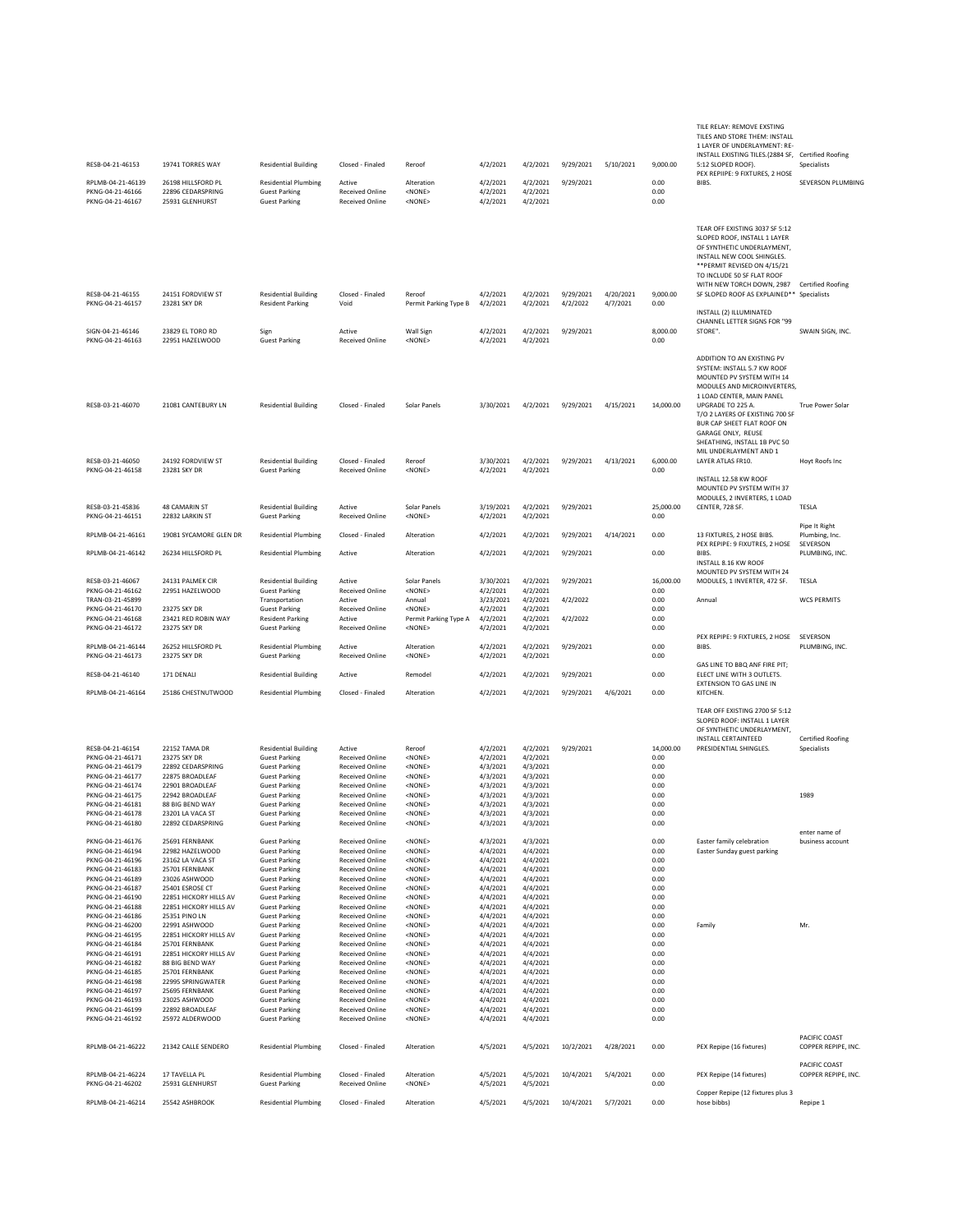| RESB-04-21-46153                                         | 19741 TORRES WAY                                    | <b>Residential Building</b>                                             | Closed - Finaled                                 | Reroof                                                    | 4/2/2021                         | 4/2/2021                         | 9/29/2021             | 5/10/2021             | 9.000.00             | TILE RELAY: REMOVE EXSTING<br>TILES AND STORE THEM: INSTALL<br>1 LAYER OF UNDERLAYMENT: RE-<br>INSTALL EXISTING TILES.(2884 SF, Certified Roofing<br>5:12 SLOPED ROOF).                                                                 | Specialists                          |
|----------------------------------------------------------|-----------------------------------------------------|-------------------------------------------------------------------------|--------------------------------------------------|-----------------------------------------------------------|----------------------------------|----------------------------------|-----------------------|-----------------------|----------------------|-----------------------------------------------------------------------------------------------------------------------------------------------------------------------------------------------------------------------------------------|--------------------------------------|
| RPLMB-04-21-46139                                        | 26198 HILLSFORD PL                                  | <b>Residential Plumbing</b>                                             | Active                                           | Alteration                                                | 4/2/2021                         | 4/2/2021                         | 9/29/2021             |                       | 0.00                 | PEX REPIIPE: 9 FIXTURES, 2 HOSE<br>BIBS.                                                                                                                                                                                                | SEVERSON PLUMBING                    |
| PKNG-04-21-46166<br>PKNG-04-21-46167                     | 22896 CEDARSPRING<br>25931 GLENHURST                | <b>Guest Parking</b><br><b>Guest Parking</b>                            | <b>Received Online</b><br><b>Received Online</b> | <none><br/><none></none></none>                           | 4/2/2021<br>4/2/2021             | 4/2/2021<br>4/2/2021             |                       |                       | 0.00<br>0.00         |                                                                                                                                                                                                                                         |                                      |
|                                                          |                                                     |                                                                         |                                                  |                                                           |                                  |                                  |                       |                       |                      | TEAR OFF EXISTING 3037 SF 5:12<br>SLOPED ROOF, INSTALL 1 LAYER<br>OF SYNTHETIC UNDERLAYMENT,<br>INSTALL NEW COOL SHINGLES.<br>** PERMIT REVISED ON 4/15/21<br>TO INCLUDE 50 SF FLAT ROOF<br>WITH NEW TORCH DOWN, 2987 Certified Roofing |                                      |
| RESB-04-21-46155<br>PKNG-04-21-46157                     | 24151 FORDVIEW ST<br>23281 SKY DR                   | <b>Residential Building</b><br><b>Resident Parking</b>                  | Closed - Finaled<br>Void                         | Reroof<br>Permit Parking Type B                           | 4/2/2021<br>4/2/2021             | 4/2/2021<br>4/2/2021             | 9/29/2021<br>4/2/2022 | 4/20/2021<br>4/7/2021 | 9,000.00<br>0.00     | SF SLOPED ROOF AS EXPLAINED** Specialists<br>INSTALL (2) ILLUMINATED<br>CHANNEL LETTER SIGNS FOR "99                                                                                                                                    |                                      |
| SIGN-04-21-46146<br>PKNG-04-21-46163                     | 23829 EL TORO RD<br>22951 HAZELWOOD                 | Sign<br><b>Guest Parking</b>                                            | Active<br><b>Received Online</b>                 | Wall Sign<br><none></none>                                | 4/2/2021<br>4/2/2021             | 4/2/2021<br>4/2/2021             | 9/29/2021             |                       | 8,000.00<br>0.00     | STORE".                                                                                                                                                                                                                                 | SWAIN SIGN, INC.                     |
| RESB-03-21-46070                                         | 21081 CANTEBURY LN                                  | <b>Residential Building</b>                                             | Closed - Finaled                                 | Solar Panels                                              | 3/30/2021                        | 4/2/2021                         | 9/29/2021             | 4/15/2021             | 14,000.00            | ADDITION TO AN EXISTING PV<br>SYSTEM: INSTALL 5.7 KW ROOF<br>MOUNTED PV SYSTEM WITH 14<br>MODULES AND MICROINVERTERS,<br>1 LOAD CENTER, MAIN PANEL<br>UPGRADE TO 225 A.<br>T/O 2 LAYERS OF EXISTING 700 SF                              | True Power Solar                     |
|                                                          |                                                     |                                                                         |                                                  |                                                           |                                  |                                  |                       |                       |                      | BUR CAP SHEET FLAT ROOF ON<br>GARAGE ONLY. REUSE<br>SHEATHING, INSTALL 1B PVC 50<br>MIL UNDERLAYMENT AND 1                                                                                                                              |                                      |
| RESB-03-21-46050<br>PKNG-04-21-46158                     | 24192 FORDVIEW ST<br>23281 SKY DR                   | <b>Residential Building</b><br><b>Guest Parking</b>                     | Closed - Finaled<br><b>Received Online</b>       | Reroof<br><none></none>                                   | 3/30/2021<br>4/2/2021            | 4/2/2021<br>4/2/2021             | 9/29/2021             | 4/13/2021             | 6,000.00<br>0.00     | LAYER ATLAS FR10.<br>INSTALL 12.58 KW ROOF<br>MOUNTED PV SYSTEM WITH 37                                                                                                                                                                 | Hoyt Roofs Inc                       |
| RESB-03-21-45836<br>PKNG-04-21-46151                     | 48 CAMARIN ST<br>22832 LARKIN ST                    | <b>Residential Building</b><br><b>Guest Parking</b>                     | Active<br><b>Received Online</b>                 | Solar Panels<br><none></none>                             | 3/19/2021<br>4/2/2021            | 4/2/2021<br>4/2/2021             | 9/29/2021             |                       | 25,000.00<br>0.00    | MODULES, 2 INVERTERS, 1 LOAD<br>CENTER, 728 SF.                                                                                                                                                                                         | TESLA                                |
| RPLMB-04-21-46161                                        | 19081 SYCAMORE GLEN DR                              | <b>Residential Plumbing</b>                                             | Closed - Finaled                                 | Alteration                                                | 4/2/2021                         | 4/2/2021                         | 9/29/2021             | 4/14/2021             | 0.00                 | 13 FIXTURES, 2 HOSE BIBS.                                                                                                                                                                                                               | Pipe It Right<br>Plumbing, Inc.      |
| RPLMB-04-21-46142                                        | 26234 HILLSFORD PL                                  | <b>Residential Plumbing</b>                                             | Active                                           | Alteration                                                | 4/2/2021                         | 4/2/2021                         | 9/29/2021             |                       | 0.00                 | PEX REPIPE: 9 FIXUTRES, 2 HOSE<br>BIBS.<br>INSTALL 8.16 KW ROOF<br>MOUNTED PV SYSTEM WITH 24                                                                                                                                            | SEVERSON<br>PLUMBING, INC.           |
| RESB-03-21-46067                                         | 24131 PALMEK CIR                                    | <b>Residential Building</b>                                             | Active                                           | Solar Panels                                              | 3/30/2021                        | 4/2/2021                         | 9/29/2021             |                       | 16,000.00            | MODULES, 1 INVERTER, 472 SF.                                                                                                                                                                                                            | TESLA                                |
| PKNG-04-21-46162<br>TRAN-03-21-45899                     | 22951 HAZELWOOD                                     | <b>Guest Parking</b><br>Transportation                                  | Received Online<br>Active                        | <none><br/>Annual</none>                                  | 4/2/2021<br>3/23/2021            | 4/2/2021<br>4/2/2021             | 4/2/2022              |                       | 0.00<br>0.00         | Annual                                                                                                                                                                                                                                  | <b>WCS PERMITS</b>                   |
| PKNG-04-21-46170<br>PKNG-04-21-46168<br>PKNG-04-21-46172 | 23275 SKY DR<br>23421 RED ROBIN WAY<br>23275 SKY DR | <b>Guest Parking</b><br><b>Resident Parking</b><br><b>Guest Parking</b> | Received Online<br>Active<br>Received Online     | <none><br/>Permit Parking Type A<br/><none></none></none> | 4/2/2021<br>4/2/2021<br>4/2/2021 | 4/2/2021<br>4/2/2021<br>4/2/2021 | 4/2/2022              |                       | 0.00<br>0.00<br>0.00 |                                                                                                                                                                                                                                         |                                      |
| RPLMB-04-21-46144<br>PKNG-04-21-46173                    | 26252 HILLSFORD PL<br>23275 SKY DR                  | <b>Residential Plumbing</b><br><b>Guest Parking</b>                     | Active<br><b>Received Online</b>                 | Alteration<br><none></none>                               | 4/2/2021<br>4/2/2021             | 4/2/2021<br>4/2/2021             | 9/29/2021             |                       | 0.00<br>0.00         | PEX REPIPE: 9 FIXTURES, 2 HOSE<br>BIBS.                                                                                                                                                                                                 | SEVERSON<br>PLUMBING, INC.           |
| RESB-04-21-46140                                         | 171 DENALI                                          | <b>Residential Building</b>                                             | Active                                           | Remodel                                                   | 4/2/2021                         | 4/2/2021                         | 9/29/2021             |                       | 0.00                 | GAS LINE TO BBQ ANF FIRE PIT;<br>ELECT LINE WITH 3 OUTLETS.<br>EXTENSION TO GAS LINE IN                                                                                                                                                 |                                      |
| RPLMB-04-21-46164                                        | 25186 CHESTNUTWOOD                                  | <b>Residential Plumbing</b>                                             | Closed - Finaled                                 | Alteration                                                | 4/2/2021                         | 4/2/2021                         | 9/29/2021             | 4/6/2021              | 0.00                 | KITCHEN.<br>TEAR OFF EXISTING 2700 SF 5:12                                                                                                                                                                                              |                                      |
|                                                          |                                                     |                                                                         |                                                  |                                                           |                                  |                                  |                       |                       |                      | SLOPED ROOF: INSTALL 1 LAYER<br>OF SYNTHETIC UNDERLAYMENT,<br><b>INSTALL CERTAINTEED</b>                                                                                                                                                | <b>Certified Roofing</b>             |
| RESB-04-21-46154<br>PKNG-04-21-46171                     | 22152 TAMA DR<br>23275 SKY DR                       | <b>Residential Building</b><br><b>Guest Parking</b>                     | Active<br><b>Received Online</b>                 | Reroof<br><none></none>                                   | 4/2/2021<br>4/2/2021             | 4/2/2021<br>4/2/2021             | 9/29/2021             |                       | 14,000.00<br>0.00    | PRESIDENTIAL SHINGLES.                                                                                                                                                                                                                  | Specialists                          |
| PKNG-04-21-46179<br>PKNG-04-21-46177                     | 22892 CEDARSPRING<br>22875 BROADLEAF                | <b>Guest Parking</b><br><b>Guest Parking</b>                            | <b>Received Online</b><br><b>Received Online</b> | <none><br/><none></none></none>                           | 4/3/2021<br>4/3/2021             | 4/3/2021<br>4/3/2021             |                       |                       | 0.00<br>0.00         |                                                                                                                                                                                                                                         |                                      |
| PKNG-04-21-46174                                         | 22901 BROADLEAF                                     | <b>Guest Parking</b>                                                    | <b>Received Online</b>                           | <none></none>                                             | 4/3/2021                         | 4/3/2021                         |                       |                       | 0.00                 |                                                                                                                                                                                                                                         |                                      |
| PKNG-04-21-46175<br>PKNG-04-21-46181                     | 22942 BROADLEAF<br>88 BIG BEND WAY                  | <b>Guest Parking</b><br><b>Guest Parking</b>                            | <b>Received Online</b><br><b>Received Online</b> | <none><br/><none></none></none>                           | 4/3/2021<br>4/3/2021             | 4/3/2021<br>4/3/2021             |                       |                       | 0.00<br>0.00         |                                                                                                                                                                                                                                         | 1989                                 |
| PKNG-04-21-46178<br>PKNG-04-21-46180                     | 23201 LA VACA ST<br>22892 CEDARSPRING               | <b>Guest Parking</b><br><b>Guest Parking</b>                            | <b>Received Online</b><br><b>Received Online</b> | <none><br/><none></none></none>                           | 4/3/2021<br>4/3/2021             | 4/3/2021<br>4/3/2021             |                       |                       | 0.00<br>0.00         |                                                                                                                                                                                                                                         |                                      |
| PKNG-04-21-46176                                         | 25691 FERNBANK                                      | <b>Guest Parking</b>                                                    | <b>Received Online</b>                           | <none></none>                                             | 4/3/2021                         | 4/3/2021                         |                       |                       | 0.00                 | Easter family celebration                                                                                                                                                                                                               | enter name of<br>business account    |
| PKNG-04-21-46194                                         | 22982 HAZELWOOD                                     | <b>Guest Parking</b>                                                    | <b>Received Online</b>                           | <none></none>                                             | 4/4/2021                         | 4/4/2021                         |                       |                       | 0.00                 | Easter Sunday guest parking                                                                                                                                                                                                             |                                      |
| PKNG-04-21-46196<br>PKNG-04-21-46183                     | 23162 LA VACA ST<br>25701 FERNBANK                  | <b>Guest Parking</b><br><b>Guest Parking</b>                            | <b>Received Online</b><br><b>Received Online</b> | <none><br/><none></none></none>                           | 4/4/2021<br>4/4/2021             | 4/4/2021<br>4/4/2021             |                       |                       | 0.00<br>0.00         |                                                                                                                                                                                                                                         |                                      |
| PKNG-04-21-46189                                         | 23026 ASHWOOD                                       | <b>Guest Parking</b>                                                    | <b>Received Online</b>                           | <none></none>                                             | 4/4/2021                         | 4/4/2021                         |                       |                       | 0.00                 |                                                                                                                                                                                                                                         |                                      |
| PKNG-04-21-46187<br>PKNG-04-21-46190                     | 25401 ESROSE CT<br>22851 HICKORY HILLS AV           | <b>Guest Parking</b><br><b>Guest Parking</b>                            | <b>Received Online</b><br><b>Received Online</b> | <none><br/><none></none></none>                           | 4/4/2021<br>4/4/2021             | 4/4/2021<br>4/4/2021             |                       |                       | 0.00<br>0.00         |                                                                                                                                                                                                                                         |                                      |
| PKNG-04-21-46188                                         | 22851 HICKORY HILLS AV                              | <b>Guest Parking</b>                                                    | <b>Received Online</b>                           | <none></none>                                             | 4/4/2021                         | 4/4/2021                         |                       |                       | 0.00                 |                                                                                                                                                                                                                                         |                                      |
| PKNG-04-21-46186<br>PKNG-04-21-46200                     | 25351 PINO LN<br>22991 ASHWOOD                      | <b>Guest Parking</b><br><b>Guest Parking</b>                            | <b>Received Online</b><br><b>Received Online</b> | <none><br/><none></none></none>                           | 4/4/2021                         | 4/4/2021                         |                       |                       | 0.00<br>0.00         | Family                                                                                                                                                                                                                                  | Mr.                                  |
| PKNG-04-21-46195                                         | 22851 HICKORY HILLS AV                              | <b>Guest Parking</b>                                                    | <b>Received Online</b>                           | <none></none>                                             | 4/4/2021<br>4/4/2021             | 4/4/2021<br>4/4/2021             |                       |                       | 0.00                 |                                                                                                                                                                                                                                         |                                      |
| PKNG-04-21-46184                                         | 25701 FERNBANK                                      | <b>Guest Parking</b>                                                    | <b>Received Online</b>                           | <none></none>                                             | 4/4/2021                         | 4/4/2021                         |                       |                       | 0.00                 |                                                                                                                                                                                                                                         |                                      |
| PKNG-04-21-46191<br>PKNG-04-21-46182                     | 22851 HICKORY HILLS AV<br>88 BIG BEND WAY           | <b>Guest Parking</b><br><b>Guest Parking</b>                            | <b>Received Online</b><br><b>Received Online</b> | <none><br/><none></none></none>                           | 4/4/2021<br>4/4/2021             | 4/4/2021<br>4/4/2021             |                       |                       | 0.00<br>0.00         |                                                                                                                                                                                                                                         |                                      |
| PKNG-04-21-46185                                         | 25701 FERNBANK                                      | <b>Guest Parking</b>                                                    | <b>Received Online</b>                           | <none></none>                                             | 4/4/2021                         | 4/4/2021                         |                       |                       | 0.00                 |                                                                                                                                                                                                                                         |                                      |
| PKNG-04-21-46198<br>PKNG-04-21-46197                     | 22995 SPRINGWATER<br>25695 FERNBANK                 | <b>Guest Parking</b><br><b>Guest Parking</b>                            | <b>Received Online</b><br><b>Received Online</b> | <none><br/><none></none></none>                           | 4/4/2021<br>4/4/2021             | 4/4/2021<br>4/4/2021             |                       |                       | 0.00<br>0.00         |                                                                                                                                                                                                                                         |                                      |
| PKNG-04-21-46193                                         | 23025 ASHWOOD                                       | <b>Guest Parking</b>                                                    | <b>Received Online</b>                           | <none></none>                                             | 4/4/2021                         | 4/4/2021                         |                       |                       | 0.00                 |                                                                                                                                                                                                                                         |                                      |
| PKNG-04-21-46199<br>PKNG-04-21-46192                     | 22892 BROADLEAF<br>25972 ALDERWOOD                  | <b>Guest Parking</b><br><b>Guest Parking</b>                            | <b>Received Online</b><br><b>Received Online</b> | <none><br/><none></none></none>                           | 4/4/2021<br>4/4/2021             | 4/4/2021<br>4/4/2021             |                       |                       | 0.00<br>0.00         |                                                                                                                                                                                                                                         |                                      |
| RPLMB-04-21-46222                                        | 21342 CALLE SENDERO                                 | <b>Residential Plumbing</b>                                             | Closed - Finaled                                 | Alteration                                                | 4/5/2021                         | 4/5/2021                         | 10/2/2021             | 4/28/2021             | 0.00                 | PEX Repipe (16 fixtures)                                                                                                                                                                                                                | PACIFIC COAST<br>COPPER REPIPE, INC. |
|                                                          |                                                     |                                                                         |                                                  |                                                           |                                  |                                  |                       |                       |                      |                                                                                                                                                                                                                                         | PACIFIC COAST                        |
| RPLMB-04-21-46224<br>PKNG-04-21-46202                    | 17 TAVELLA PL<br>25931 GLENHURST                    | <b>Residential Plumbing</b><br><b>Guest Parking</b>                     | Closed - Finaled<br><b>Received Online</b>       | Alteration<br>$<$ NONE $>$                                | 4/5/2021<br>4/5/2021             | 4/5/2021<br>4/5/2021             | 10/4/2021             | 5/4/2021              | 0.00<br>0.00         | PEX Repipe (14 fixtures)                                                                                                                                                                                                                | COPPER REPIPE, INC.                  |
| RPLMB-04-21-46214                                        | 25542 ASHBROOK                                      | <b>Residential Plumbing</b>                                             | Closed - Finaled                                 | Alteration                                                | 4/5/2021                         | 4/5/2021                         | 10/4/2021             | 5/7/2021              | 0.00                 | Copper Repipe (12 fixtures plus 3<br>hose bibbs)                                                                                                                                                                                        | Repipe 1                             |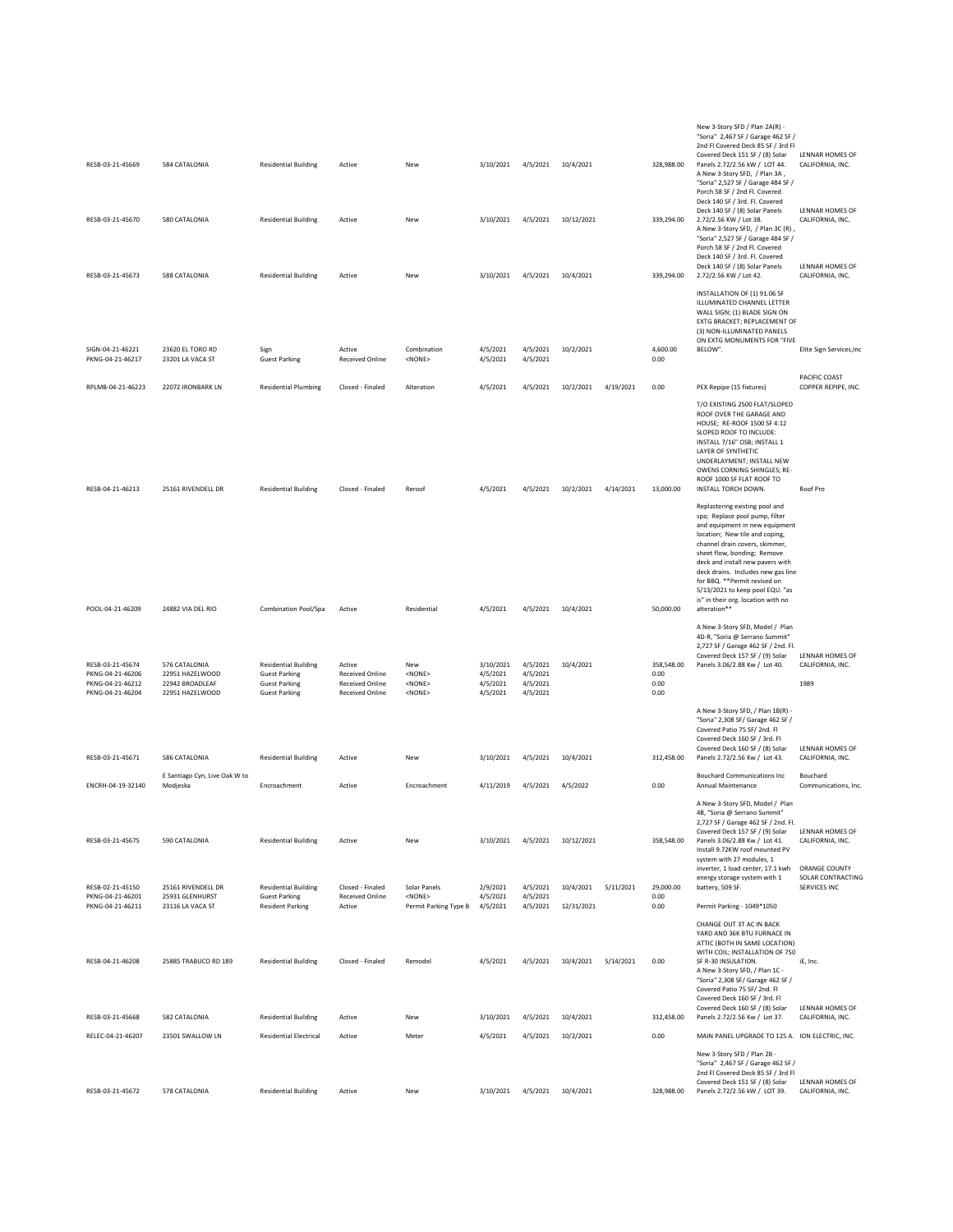| RESB-03-21-45669                                                             | 584 CATALONIA                                                          | <b>Residential Building</b>                                                                         | Active                                                                               | New                                                      | 3/10/2021                                     | 4/5/2021                                     | 10/4/2021  |           | 328,988.00                         | New 3-Story SFD / Plan 2A(R) -<br>"Soria" 2,467 SF / Garage 462 SF /<br>2nd FI Covered Deck 85 SF / 3rd FI<br>Covered Deck 151 SF / (8) Solar<br>Panels 2.72/2.56 kW / LOT 44.<br>A New 3-Story SFD, / Plan 3A,                                                                                                                                                                                           | LENNAR HOMES OF<br>CALIFORNIA, INC.                |
|------------------------------------------------------------------------------|------------------------------------------------------------------------|-----------------------------------------------------------------------------------------------------|--------------------------------------------------------------------------------------|----------------------------------------------------------|-----------------------------------------------|----------------------------------------------|------------|-----------|------------------------------------|-----------------------------------------------------------------------------------------------------------------------------------------------------------------------------------------------------------------------------------------------------------------------------------------------------------------------------------------------------------------------------------------------------------|----------------------------------------------------|
| RESB-03-21-45670                                                             | 580 CATALONIA                                                          | <b>Residential Building</b>                                                                         | Active                                                                               | New                                                      | 3/10/2021                                     | 4/5/2021                                     | 10/12/2021 |           | 339,294.00                         | "Soria" 2,527 SF / Garage 484 SF /<br>Porch 58 SF / 2nd Fl. Covered<br>Deck 140 SF / 3rd. Fl. Covered<br>Deck 140 SF / (8) Solar Panels<br>2.72/2.56 KW / Lot 38.<br>A New 3-Story SFD, / Plan 3C (R),<br>"Soria" 2,527 SF / Garage 484 SF /                                                                                                                                                              | LENNAR HOMES OF<br>CALIFORNIA, INC.                |
| RESB-03-21-45673                                                             | 588 CATALONIA                                                          | <b>Residential Building</b>                                                                         | Active                                                                               | New                                                      | 3/10/2021                                     | 4/5/2021                                     | 10/4/2021  |           | 339,294.00                         | Porch 58 SF / 2nd Fl. Covered<br>Deck 140 SF / 3rd. Fl. Covered<br>Deck 140 SF / (8) Solar Panels<br>2.72/2.56 KW / Lot 42.                                                                                                                                                                                                                                                                               | LENNAR HOMES OF<br>CALIFORNIA, INC.                |
|                                                                              |                                                                        |                                                                                                     |                                                                                      |                                                          |                                               |                                              |            |           |                                    | INSTALLATION OF (1) 91.06 SF<br>ILLUMINATED CHANNEL LETTER<br>WALL SIGN; (1) BLADE SIGN ON<br>EXTG BRACKET; REPLACEMENT OF<br>(3) NON-ILLUMINATED PANELS<br>ON EXTG MONUMENTS FOR "FIVE                                                                                                                                                                                                                   |                                                    |
| SIGN-04-21-46221<br>PKNG-04-21-46217                                         | 23620 EL TORO RD<br>23201 LA VACA ST                                   | Sign<br><b>Guest Parking</b>                                                                        | Active<br><b>Received Online</b>                                                     | Combination<br><none></none>                             | 4/5/2021<br>4/5/2021                          | 4/5/2021<br>4/5/2021                         | 10/2/2021  |           | 4,600.00<br>0.00                   | BELOW".                                                                                                                                                                                                                                                                                                                                                                                                   | Elite Sign Services, Inc                           |
| RPLMB-04-21-46223                                                            | 22072 IRONBARK LN                                                      | <b>Residential Plumbing</b>                                                                         | Closed - Finaled                                                                     | Alteration                                               | 4/5/2021                                      | 4/5/2021                                     | 10/2/2021  | 4/19/2021 | 0.00                               | PEX Repipe (15 fixtures)                                                                                                                                                                                                                                                                                                                                                                                  | PACIFIC COAST<br>COPPER REPIPE, INC.               |
| RESB-04-21-46213                                                             | 25161 RIVENDELL DR                                                     | <b>Residential Building</b>                                                                         | Closed - Finaled                                                                     | Reroof                                                   | 4/5/2021                                      | 4/5/2021                                     | 10/2/2021  | 4/14/2021 | 13,000.00                          | T/O EXISTING 2500 FLAT/SLOPED<br>ROOF OVER THE GARAGE AND<br>HOUSE; RE-ROOF 1500 SF 4:12<br>SLOPED ROOF TO INCLUDE:<br>INSTALL 7/16" OSB; INSTALL 1<br>LAYER OF SYNTHETIC<br>UNDERLAYMENT; INSTALL NEW<br>OWENS CORNING SHINGLES; RE-<br>ROOF 1000 SF FLAT ROOF TO<br>INSTALL TORCH DOWN.                                                                                                                 | Roof Pro                                           |
| POOL-04-21-46209                                                             | 24882 VIA DEL RIO                                                      | Combination Pool/Spa                                                                                | Active                                                                               | Residential                                              | 4/5/2021                                      | 4/5/2021                                     | 10/4/2021  |           | 50,000.00                          | Replastering existing pool and<br>spa; Replace pool pump, filter<br>and equipment in new equipment<br>location; New tile and coping,<br>channel drain covers, skimmer,<br>sheet flow, bonding; Remove<br>deck and install new pavers with<br>deck drains. Includes new gas line<br>for BBQ. ** Permit revised on<br>5/13/2021 to keep pool EQU. "as<br>is" in their org. location with no<br>alteration** |                                                    |
|                                                                              |                                                                        |                                                                                                     |                                                                                      |                                                          |                                               |                                              |            |           |                                    | A New 3-Story SFD, Model / Plan<br>4D-R, "Soria @ Serrano Summit"                                                                                                                                                                                                                                                                                                                                         |                                                    |
| RESB-03-21-45674<br>PKNG-04-21-46206<br>PKNG-04-21-46212<br>PKNG-04-21-46204 | 576 CATALONIA<br>22951 HAZELWOOD<br>22942 BROADLEAF<br>22951 HAZELWOOD | <b>Residential Building</b><br><b>Guest Parking</b><br><b>Guest Parking</b><br><b>Guest Parking</b> | Active<br><b>Received Online</b><br><b>Received Online</b><br><b>Received Online</b> | New<br><none><br/><none><br/><none></none></none></none> | 3/10/2021<br>4/5/2021<br>4/5/2021<br>4/5/2021 | 4/5/2021<br>4/5/2021<br>4/5/2021<br>4/5/2021 | 10/4/2021  |           | 358,548.00<br>0.00<br>0.00<br>0.00 | 2,727 SF / Garage 462 SF / 2nd. Fl.<br>Covered Deck 157 SF / (9) Solar<br>Panels 3.06/2.88 Kw / Lot 40.                                                                                                                                                                                                                                                                                                   | <b>LENNAR HOMES OF</b><br>CALIFORNIA, INC.<br>1989 |
| RESB-03-21-45671                                                             | 586 CATALONIA                                                          | <b>Residential Building</b>                                                                         | Active                                                                               | New                                                      | 3/10/2021                                     | 4/5/2021                                     | 10/4/2021  |           | 312,458.00                         | A New 3-Story SFD, / Plan 1B(R) -<br>"Soria" 2,308 SF/ Garage 462 SF /<br>Covered Patio 75 SF/2nd, FI<br>Covered Deck 160 SF / 3rd. Fl<br>Covered Deck 160 SF / (8) Solar<br>Panels 2.72/2.56 Kw / Lot 43.                                                                                                                                                                                                | LENNAR HOMES OF<br>CALIFORNIA, INC.                |
| ENCRH-04-19-32140                                                            | E Santiago Cyn, Live Oak W to<br>Modjeska                              | Encroachment                                                                                        | Active                                                                               | Encroachment                                             | 4/11/2019                                     | 4/5/2021                                     | 4/5/2022   |           | 0.00                               | <b>Bouchard Communications Inc.</b><br>Annual Maintenance                                                                                                                                                                                                                                                                                                                                                 | Bouchard<br>Communications, Inc.                   |
| RESB-03-21-45675                                                             | 590 CATALONIA                                                          | <b>Residential Building</b>                                                                         | Active                                                                               | New                                                      | 3/10/2021                                     | 4/5/2021                                     | 10/12/2021 |           | 358,548.00                         | A New 3-Story SFD, Model / Plan<br>4B, "Soria @ Serrano Summit"<br>2,727 SF / Garage 462 SF / 2nd. Fl.<br>Covered Deck 157 SF / (9) Solar<br>Panels 3.06/2.88 Kw / Lot 41.<br>Install 9.72KW roof mounted PV                                                                                                                                                                                              | LENNAR HOMES OF<br>CALIFORNIA, INC.                |
| RESB-02-21-45150                                                             | 25161 RIVENDELL DR                                                     | <b>Residential Building</b>                                                                         | Closed - Finaled                                                                     | Solar Panels                                             | 2/9/2021                                      | 4/5/2021                                     | 10/4/2021  | 5/11/2021 | 29,000.00                          | system with 27 modules, 1<br>inverter, 1 load center, 17.1 kwh<br>energy storage system with 1<br>battery, 509 SF.                                                                                                                                                                                                                                                                                        | ORANGE COUNTY<br>SOLAR CONTRACTING<br>SERVICES INC |
| PKNG-04-21-46201<br>PKNG-04-21-46211                                         | 25931 GLENHURST<br>23116 LA VACA ST                                    | <b>Guest Parking</b><br><b>Resident Parking</b>                                                     | Received Online<br>Active                                                            | <none><br/>Permit Parking Type B</none>                  | 4/5/2021<br>4/5/2021                          | 4/5/2021<br>4/5/2021                         | 12/31/2021 |           | 0.00<br>0.00                       | Permit Parking - 1049*1050                                                                                                                                                                                                                                                                                                                                                                                |                                                    |
| RESB-04-21-46208                                                             | 25885 TRABUCO RD 189                                                   | <b>Residential Building</b>                                                                         | Closed - Finaled                                                                     | Remodel                                                  | 4/5/2021                                      | 4/5/2021                                     | 10/4/2021  | 5/14/2021 | 0.00                               | CHANGE OUT 3T AC IN BACK<br>YARD AND 36K BTU FURNACE IN<br>ATTIC (BOTH IN SAME LOCATION)<br>WITH COIL; INSTALLATION OF 750<br>SF R-30 INSULATION.<br>A New 3-Story SFD, / Plan 1C -<br>"Soria" 2,308 SF/ Garage 462 SF /<br>Covered Patio 75 SF/ 2nd. Fl<br>Covered Deck 160 SF / 3rd. FI                                                                                                                 | iE, Inc.                                           |
| RESB-03-21-45668                                                             | 582 CATALONIA                                                          | <b>Residential Building</b>                                                                         | Active                                                                               | New                                                      | 3/10/2021                                     | 4/5/2021                                     | 10/4/2021  |           | 312,458.00                         | Covered Deck 160 SF / (8) Solar<br>Panels 2.72/2.56 Kw / Lot 37.                                                                                                                                                                                                                                                                                                                                          | LENNAR HOMES OF<br>CALIFORNIA, INC.                |
| RELEC-04-21-46207                                                            | 23501 SWALLOW LN                                                       | <b>Residential Electrical</b>                                                                       | Active                                                                               | Meter                                                    | 4/5/2021                                      | 4/5/2021                                     | 10/2/2021  |           | 0.00                               | MAIN PANEL UPGRADE TO 125 A. ION ELECTRIC, INC.                                                                                                                                                                                                                                                                                                                                                           |                                                    |
| RESB-03-21-45672                                                             | 578 CATALONIA                                                          | <b>Residential Building</b>                                                                         | Active                                                                               | New                                                      | 3/10/2021                                     | 4/5/2021 10/4/2021                           |            |           | 328,988.00                         | New 3-Story SFD / Plan 2B -<br>"Soria" 2,467 SF / Garage 462 SF /<br>2nd FI Covered Deck 85 SF / 3rd FI<br>Covered Deck 151 SF / (8) Solar<br>Panels 2.72/2.56 kW / LOT 39.                                                                                                                                                                                                                               | LENNAR HOMES OF<br>CALIFORNIA, INC.                |
|                                                                              |                                                                        |                                                                                                     |                                                                                      |                                                          |                                               |                                              |            |           |                                    |                                                                                                                                                                                                                                                                                                                                                                                                           |                                                    |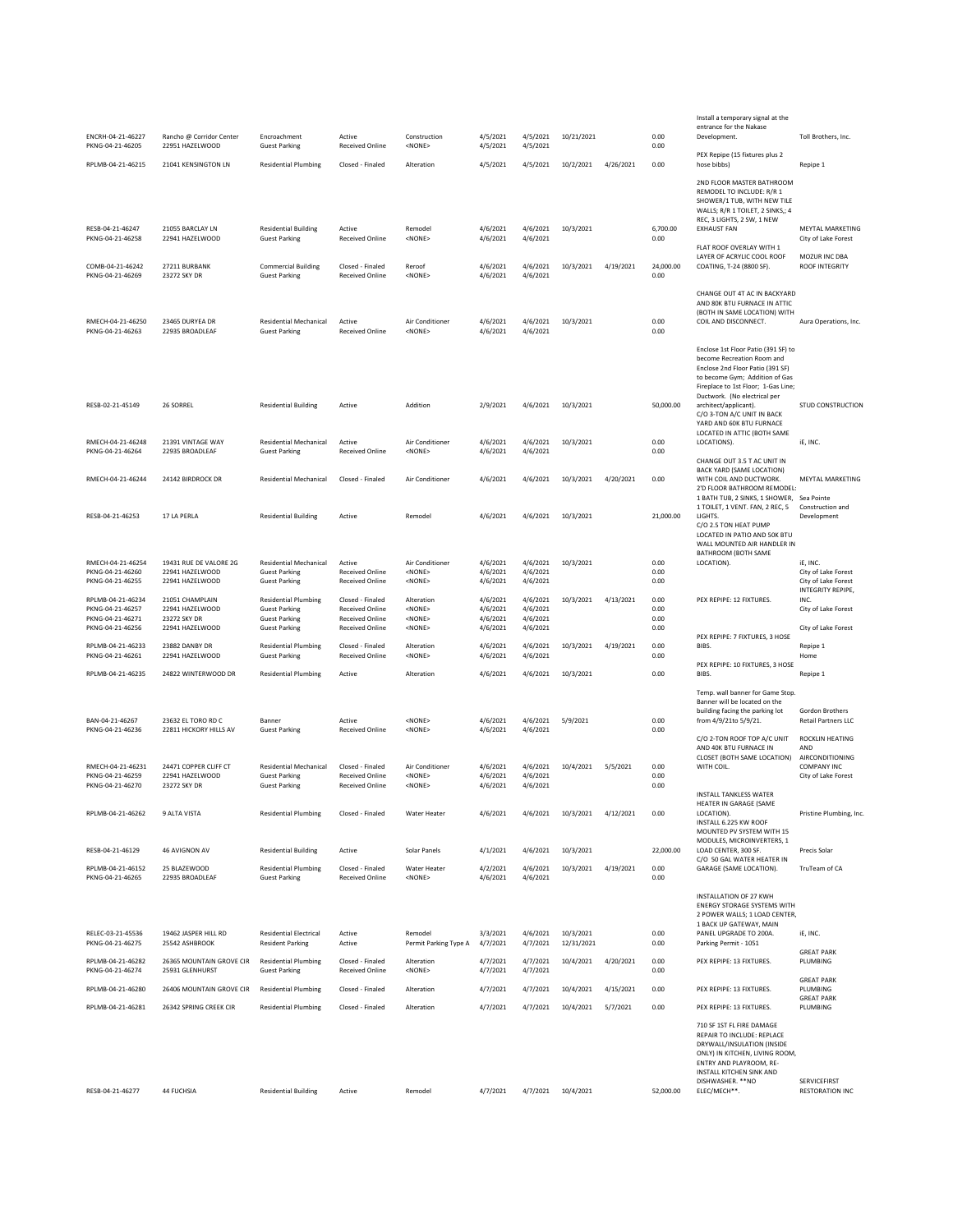| ENCRH-04-21-46227                                                             | Rancho @ Corridor Center                                              | Encroachment                                                                                        | Active                                                                                         | Construction                                                    | 4/5/2021                                     | 4/5/2021                                     | 10/21/2021 |           | 0.00                         | Install a temporary signal at the<br>entrance for the Nakase<br>Development.                                                                                                                                        | Toll Brothers, Inc.                                             |
|-------------------------------------------------------------------------------|-----------------------------------------------------------------------|-----------------------------------------------------------------------------------------------------|------------------------------------------------------------------------------------------------|-----------------------------------------------------------------|----------------------------------------------|----------------------------------------------|------------|-----------|------------------------------|---------------------------------------------------------------------------------------------------------------------------------------------------------------------------------------------------------------------|-----------------------------------------------------------------|
| PKNG-04-21-46205                                                              | 22951 HAZELWOOD                                                       | <b>Guest Parking</b>                                                                                | <b>Received Online</b>                                                                         | <none></none>                                                   | 4/5/2021                                     | 4/5/2021                                     |            |           | 0.00                         | PEX Repipe (15 fixtures plus 2                                                                                                                                                                                      |                                                                 |
| RPLMB-04-21-46215                                                             | 21041 KENSINGTON LN                                                   | <b>Residential Plumbing</b>                                                                         | Closed - Finaled                                                                               | Alteration                                                      | 4/5/2021                                     | 4/5/2021                                     | 10/2/2021  | 4/26/2021 | 0.00                         | hose bibbs)                                                                                                                                                                                                         | Repipe 1                                                        |
| RESB-04-21-46247                                                              | 21055 BARCLAY LN                                                      | <b>Residential Building</b>                                                                         | Active                                                                                         | Remodel                                                         | 4/6/2021                                     | 4/6/2021                                     | 10/3/2021  |           | 6,700.00                     | 2ND FLOOR MASTER BATHROOM<br>REMODEL TO INCLUDE: R/R 1<br>SHOWER/1 TUB, WITH NEW TILE<br>WALLS; R/R 1 TOILET, 2 SINKS,; 4<br>REC, 3 LIGHTS, 2 SW, 1 NEW<br><b>EXHAUST FAN</b>                                       | MEYTAL MARKETING                                                |
| PKNG-04-21-46258                                                              | 22941 HAZELWOOD                                                       | <b>Guest Parking</b>                                                                                | <b>Received Online</b>                                                                         | <none></none>                                                   | 4/6/2021                                     | 4/6/2021                                     |            |           | 0.00                         | FLAT ROOF OVERLAY WITH 1                                                                                                                                                                                            | City of Lake Forest                                             |
| COMB-04-21-46242<br>PKNG-04-21-46269                                          | 27211 BURBANK<br>23272 SKY DR                                         | <b>Commercial Building</b><br><b>Guest Parking</b>                                                  | Closed - Finaled<br><b>Received Online</b>                                                     | Reroof<br><none></none>                                         | 4/6/2021<br>4/6/2021                         | 4/6/2021<br>4/6/2021                         | 10/3/2021  | 4/19/2021 | 24,000.00<br>0.00            | LAYER OF ACRYLIC COOL ROOF<br>COATING, T-24 (8800 SF).                                                                                                                                                              | MOZUR INC DBA<br>ROOF INTEGRITY                                 |
| RMECH-04-21-46250<br>PKNG-04-21-46263                                         | 23465 DURYEA DR<br>22935 BROADLEAF                                    | <b>Residential Mechanical</b><br><b>Guest Parking</b>                                               | Active<br><b>Received Online</b>                                                               | Air Conditioner<br><none></none>                                | 4/6/2021<br>4/6/2021                         | 4/6/2021<br>4/6/2021                         | 10/3/2021  |           | 0.00<br>0.00                 | CHANGE OUT 4T AC IN BACKYARD<br>AND 80K BTU FURNACE IN ATTIC<br>(BOTH IN SAME LOCATION) WITH<br>COIL AND DISCONNECT.                                                                                                | Aura Operations, Inc.                                           |
|                                                                               |                                                                       |                                                                                                     |                                                                                                |                                                                 |                                              |                                              |            |           |                              | Enclose 1st Floor Patio (391 SF) to<br>become Recreation Room and<br>Enclose 2nd Floor Patio (391 SF)<br>to become Gym; Addition of Gas<br>Fireplace to 1st Floor; 1-Gas Line;<br>Ductwork. (No electrical per      |                                                                 |
| RESB-02-21-45149                                                              | 26 SORREL                                                             | <b>Residential Building</b>                                                                         | Active                                                                                         | Addition                                                        | 2/9/2021                                     | 4/6/2021                                     | 10/3/2021  |           | 50,000.00                    | architect/applicant).<br>C/O 3-TON A/C UNIT IN BACK<br>YARD AND 60K BTU FURNACE<br>LOCATED IN ATTIC (BOTH SAME                                                                                                      | STUD CONSTRUCTION                                               |
| RMECH-04-21-46248<br>PKNG-04-21-46264                                         | 21391 VINTAGE WAY<br>22935 BROADLEAF                                  | <b>Residential Mechanical</b><br><b>Guest Parking</b>                                               | Active<br><b>Received Online</b>                                                               | Air Conditioner<br><none></none>                                | 4/6/2021<br>4/6/2021                         | 4/6/2021<br>4/6/2021                         | 10/3/2021  |           | 0.00<br>0.00                 | LOCATIONS).<br>CHANGE OUT 3.5 T AC UNIT IN                                                                                                                                                                          | iE, INC.                                                        |
| RMECH-04-21-46244                                                             | 24142 BIRDROCK DR                                                     | <b>Residential Mechanical</b>                                                                       | Closed - Finaled                                                                               | Air Conditioner                                                 | 4/6/2021                                     | 4/6/2021                                     | 10/3/2021  | 4/20/2021 | 0.00                         | BACK YARD (SAME LOCATION)<br>WITH COIL AND DUCTWORK.<br>2'D FLOOR BATHROOM REMODEL:<br>1 BATH TUB, 2 SINKS, 1 SHOWER, Sea Pointe                                                                                    | MEYTAL MARKETING                                                |
| RESB-04-21-46253                                                              | 17 LA PERLA                                                           | <b>Residential Building</b>                                                                         | Active                                                                                         | Remodel                                                         | 4/6/2021                                     | 4/6/2021                                     | 10/3/2021  |           | 21,000.00                    | 1 TOILET, 1 VENT. FAN, 2 REC, 5<br>LIGHTS.<br>C/O 2.5 TON HEAT PUMP<br>LOCATED IN PATIO AND 50K BTU                                                                                                                 | Construction and<br>Development                                 |
| RMECH-04-21-46254                                                             | 19431 RUE DE VALORE 2G                                                | <b>Residential Mechanical</b>                                                                       | Active                                                                                         | Air Conditioner                                                 | 4/6/2021                                     | 4/6/2021                                     | 10/3/2021  |           | 0.00                         | WALL MOUNTED AIR HANDLER IN<br>BATHROOM (BOTH SAME<br>LOCATION).                                                                                                                                                    | iE, INC.                                                        |
| PKNG-04-21-46260<br>PKNG-04-21-46255                                          | 22941 HAZELWOOD<br>22941 HAZELWOOD                                    | <b>Guest Parking</b><br><b>Guest Parking</b>                                                        | <b>Received Online</b><br><b>Received Online</b>                                               | <none><br/><none></none></none>                                 | 4/6/2021<br>4/6/2021                         | 4/6/2021<br>4/6/2021                         |            |           | 0.00<br>0.00                 |                                                                                                                                                                                                                     | City of Lake Forest<br>City of Lake Forest<br>INTEGRITY REPIPE, |
| RPLMB-04-21-46234<br>PKNG-04-21-46257<br>PKNG-04-21-46271<br>PKNG-04-21-46256 | 21051 CHAMPLAIN<br>22941 HAZELWOOD<br>23272 SKY DR<br>22941 HAZELWOOD | <b>Residential Plumbing</b><br><b>Guest Parking</b><br><b>Guest Parking</b><br><b>Guest Parking</b> | Closed - Finaled<br><b>Received Online</b><br><b>Received Online</b><br><b>Received Online</b> | Alteration<br><none><br/><none><br/><none></none></none></none> | 4/6/2021<br>4/6/2021<br>4/6/2021<br>4/6/2021 | 4/6/2021<br>4/6/2021<br>4/6/2021<br>4/6/2021 | 10/3/2021  | 4/13/2021 | 0.00<br>0.00<br>0.00<br>0.00 | PEX REPIPE: 12 FIXTURES.                                                                                                                                                                                            | INC.<br>City of Lake Forest<br>City of Lake Forest              |
| RPLMB-04-21-46233                                                             | 23882 DANBY DR                                                        | <b>Residential Plumbing</b>                                                                         | Closed - Finaled                                                                               | Alteration                                                      | 4/6/2021                                     | 4/6/2021                                     | 10/3/2021  | 4/19/2021 | 0.00                         | PEX REPIPE: 7 FIXTURES, 3 HOSE<br>BIBS.                                                                                                                                                                             | Repipe 1                                                        |
| PKNG-04-21-46261<br>RPLMB-04-21-46235                                         | 22941 HAZELWOOD<br>24822 WINTERWOOD DR                                | <b>Guest Parking</b><br><b>Residential Plumbing</b>                                                 | <b>Received Online</b><br>Active                                                               | <none><br/>Alteration</none>                                    | 4/6/2021<br>4/6/2021                         | 4/6/2021<br>4/6/2021                         | 10/3/2021  |           | 0.00<br>0.00                 | PEX REPIPE: 10 FIXTURES, 3 HOSE<br>BIBS.                                                                                                                                                                            | Home<br>Repipe 1                                                |
|                                                                               |                                                                       |                                                                                                     |                                                                                                |                                                                 |                                              |                                              |            |           |                              | Temp. wall banner for Game Stop.<br>Banner will be located on the<br>building facing the parking lot                                                                                                                | Gordon Brothers                                                 |
| BAN-04-21-46267<br>PKNG-04-21-46236                                           | 23632 EL TORO RD C<br>22811 HICKORY HILLS AV                          | Banner<br><b>Guest Parking</b>                                                                      | Active<br><b>Received Online</b>                                                               | <none><br/><none></none></none>                                 | 4/6/2021<br>4/6/2021                         | 4/6/2021<br>4/6/2021                         | 5/9/2021   |           | 0.00<br>0.00                 | from 4/9/21to 5/9/21.<br>C/O 2-TON ROOF TOP A/C UNIT                                                                                                                                                                | <b>Retail Partners LLC</b><br><b>ROCKLIN HEATING</b>            |
| RMECH-04-21-46231<br>PKNG-04-21-46259                                         | 24471 COPPER CLIFF CT<br>22941 HAZELWOOD                              | <b>Residential Mechanical</b><br><b>Guest Parking</b>                                               | Closed - Finaled<br><b>Received Online</b>                                                     | Air Conditioner<br><none></none>                                | 4/6/2021<br>4/6/2021                         | 4/6/2021<br>4/6/2021                         | 10/4/2021  | 5/5/2021  | 0.00<br>0.00                 | AND 40K BTU FURNACE IN<br>CLOSET (BOTH SAME LOCATION)<br>WITH COIL.                                                                                                                                                 | AND<br>AIRCONDITIONING<br>COMPANY INC                           |
| PKNG-04-21-46270                                                              | 23272 SKY DR                                                          | <b>Guest Parking</b>                                                                                | <b>Received Online</b>                                                                         | <none></none>                                                   | 4/6/2021                                     | 4/6/2021                                     |            |           | 0.00                         | <b>INSTALL TANKLESS WATER</b><br>HEATER IN GARAGE (SAME                                                                                                                                                             | City of Lake Forest                                             |
| RPLMB-04-21-46262                                                             | 9 ALTA VISTA                                                          | <b>Residential Plumbing</b>                                                                         | Closed - Finaled                                                                               | Water Heater                                                    | 4/6/2021                                     | 4/6/2021                                     | 10/3/2021  | 4/12/2021 | 0.00                         | LOCATION).<br>INSTALL 6.225 KW ROOF<br>MOUNTED PV SYSTEM WITH 15                                                                                                                                                    | Pristine Plumbing, Inc.                                         |
| RESB-04-21-46129                                                              | 46 AVIGNON AV                                                         | <b>Residential Building</b>                                                                         | Active                                                                                         | Solar Panels                                                    | 4/1/2021                                     | 4/6/2021                                     | 10/3/2021  |           | 22,000.00                    | MODULES, MICROINVERTERS, 1<br>LOAD CENTER, 300 SF.<br>C/O 50 GAL WATER HEATER IN                                                                                                                                    | Precis Solar                                                    |
| RPLMB-04-21-46152<br>PKNG-04-21-46265                                         | 25 BLAZEWOOD<br>22935 BROADLEAF                                       | <b>Residential Plumbing</b><br><b>Guest Parking</b>                                                 | Closed - Finaled<br><b>Received Online</b>                                                     | Water Heater<br><none></none>                                   | 4/2/2021<br>4/6/2021                         | 4/6/2021<br>4/6/2021                         | 10/3/2021  | 4/19/2021 | 0.00<br>0.00                 | GARAGE (SAME LOCATION).                                                                                                                                                                                             | TruTeam of CA                                                   |
| RELEC-03-21-45536                                                             | 19462 JASPER HILL RD                                                  | <b>Residential Electrical</b>                                                                       | Active                                                                                         | Remodel                                                         | 3/3/2021                                     | 4/6/2021                                     | 10/3/2021  |           | 0.00                         | INSTALLATION OF 27 KWH<br><b>ENERGY STORAGE SYSTEMS WITH</b><br>2 POWER WALLS; 1 LOAD CENTER,<br>1 BACK UP GATEWAY, MAIN<br>PANEL UPGRADE TO 200A.                                                                  | iE, INC.                                                        |
| PKNG-04-21-46275                                                              | 25542 ASHBROOK                                                        | <b>Resident Parking</b>                                                                             | Active                                                                                         | Permit Parking Type A                                           | 4/7/2021                                     | 4/7/2021                                     | 12/31/2021 |           | 0.00                         | Parking Permit - 1051                                                                                                                                                                                               | <b>GREAT PARK</b>                                               |
| RPLMB-04-21-46282<br>PKNG-04-21-46274                                         | 26365 MOUNTAIN GROVE CIR<br>25931 GLENHURST                           | <b>Residential Plumbing</b><br><b>Guest Parking</b>                                                 | Closed - Finaled<br><b>Received Online</b>                                                     | Alteration<br><none></none>                                     | 4/7/2021<br>4/7/2021                         | 4/7/2021<br>4/7/2021                         | 10/4/2021  | 4/20/2021 | 0.00<br>0.00                 | PEX REPIPE: 13 FIXTURES.                                                                                                                                                                                            | PLUMBING<br><b>GREAT PARK</b>                                   |
| RPLMB-04-21-46280                                                             | 26406 MOUNTAIN GROVE CIR                                              | <b>Residential Plumbing</b>                                                                         | Closed - Finaled                                                                               | Alteration                                                      | 4/7/2021                                     | 4/7/2021                                     | 10/4/2021  | 4/15/2021 | 0.00                         | PEX REPIPE: 13 FIXTURES.                                                                                                                                                                                            | PLUMBING<br><b>GREAT PARK</b>                                   |
| RPLMB-04-21-46281                                                             | 26342 SPRING CREEK CIR                                                | <b>Residential Plumbing</b>                                                                         | Closed - Finaled                                                                               | Alteration                                                      | 4/7/2021                                     | 4/7/2021                                     | 10/4/2021  | 5/7/2021  | 0.00                         | PEX REPIPE: 13 FIXTURES.                                                                                                                                                                                            | PLUMBING                                                        |
| RESB-04-21-46277                                                              | 44 FUCHSIA                                                            |                                                                                                     | Active                                                                                         | Remodel                                                         | 4/7/2021                                     | 4/7/2021 10/4/2021                           |            |           | 52,000.00                    | 710 SF 1ST FL FIRE DAMAGE<br>REPAIR TO INCLUDE: REPLACE<br>DRYWALL/INSULATION (INSIDE<br>ONLY) IN KITCHEN, LIVING ROOM,<br>ENTRY AND PLAYROOM, RE-<br>INSTALL KITCHEN SINK AND<br>DISHWASHER. ** NO<br>ELEC/MECH**. | SERVICEFIRST<br><b>RESTORATION INC</b>                          |
|                                                                               |                                                                       | <b>Residential Building</b>                                                                         |                                                                                                |                                                                 |                                              |                                              |            |           |                              |                                                                                                                                                                                                                     |                                                                 |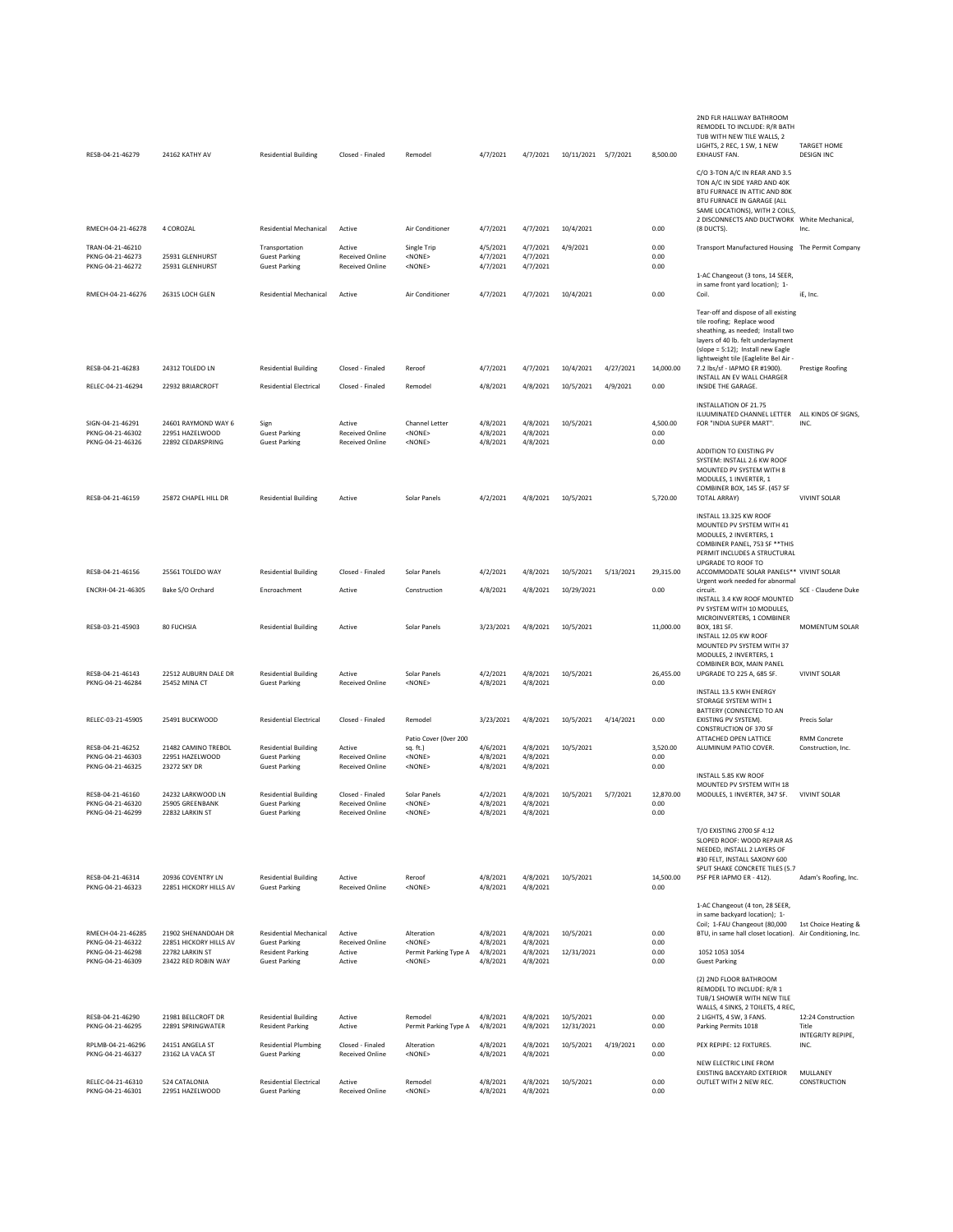| RESB-04-21-46279                                         | 24162 KATHY AV                                                   | <b>Residential Building</b>                                             | Closed - Finaled                                           | Remodel                                                   | 4/7/2021                         | 4/7/2021                         | 10/11/2021 5/7/2021     |           | 8,500.00                 | 2ND FLR HALLWAY BATHROOM<br>REMODEL TO INCLUDE: R/R BATH<br>TUB WITH NEW TILE WALLS, 2<br>LIGHTS, 2 REC, 1 SW, 1 NEW<br>EXHAUST FAN.                                                                                        | <b>TARGET HOME</b><br><b>DESIGN INC</b>          |
|----------------------------------------------------------|------------------------------------------------------------------|-------------------------------------------------------------------------|------------------------------------------------------------|-----------------------------------------------------------|----------------------------------|----------------------------------|-------------------------|-----------|--------------------------|-----------------------------------------------------------------------------------------------------------------------------------------------------------------------------------------------------------------------------|--------------------------------------------------|
|                                                          |                                                                  |                                                                         |                                                            |                                                           |                                  |                                  |                         |           |                          | C/O 3-TON A/C IN REAR AND 3.5<br>TON A/C IN SIDE YARD AND 40K<br>BTU FURNACE IN ATTIC AND 80K<br>BTU FURNACE IN GARAGE (ALL<br>SAME LOCATIONS), WITH 2 COILS,                                                               |                                                  |
| RMECH-04-21-46278                                        | 4 COROZAL                                                        | Residential Mechanical                                                  | Active                                                     | Air Conditioner                                           | 4/7/2021                         | 4/7/2021                         | 10/4/2021               |           | 0.00                     | 2 DISCONNECTS AND DUCTWORK White Mechanical,<br>(8 DUCTS).                                                                                                                                                                  | Inc.                                             |
| TRAN-04-21-46210<br>PKNG-04-21-46273<br>PKNG-04-21-46272 | 25931 GLENHURST<br>25931 GLENHURST                               | Transportation<br><b>Guest Parking</b><br><b>Guest Parking</b>          | Active<br><b>Received Online</b><br><b>Received Online</b> | Single Trip<br><none><br/><none></none></none>            | 4/5/2021<br>4/7/2021<br>4/7/2021 | 4/7/2021<br>4/7/2021<br>4/7/2021 | 4/9/2021                |           | 0.00<br>0.00<br>0.00     | Transport Manufactured Housing The Permit Company<br>1-AC Changeout (3 tons, 14 SEER,                                                                                                                                       |                                                  |
| RMECH-04-21-46276                                        | 26315 LOCH GLEN                                                  | <b>Residential Mechanical</b>                                           | Active                                                     | Air Conditioner                                           | 4/7/2021                         | 4/7/2021                         | 10/4/2021               |           | 0.00                     | in same front yard location); 1-<br>Coil.                                                                                                                                                                                   | iE, Inc.                                         |
|                                                          |                                                                  |                                                                         |                                                            |                                                           |                                  |                                  |                         |           |                          | Tear-off and dispose of all existing<br>tile roofing; Replace wood<br>sheathing, as needed; Install two<br>layers of 40 lb. felt underlayment<br>(slope = 5:12); Install new Eagle<br>lightweight tile (Eaglelite Bel Air - |                                                  |
| RESB-04-21-46283                                         | 24312 TOLEDO LN                                                  | <b>Residential Building</b>                                             | Closed - Finaled                                           | Reroof                                                    | 4/7/2021                         | 4/7/2021                         | 10/4/2021               | 4/27/2021 | 14,000.00                | 7.2 lbs/sf - IAPMO ER #1900).<br>INSTALL AN EV WALL CHARGER                                                                                                                                                                 | Prestige Roofing                                 |
| RELEC-04-21-46294                                        | 22932 BRIARCROFT                                                 | <b>Residential Electrical</b>                                           | Closed - Finaled                                           | Remodel                                                   | 4/8/2021                         | 4/8/2021                         | 10/5/2021               | 4/9/2021  | 0.00                     | INSIDE THE GARAGE.                                                                                                                                                                                                          |                                                  |
| SIGN-04-21-46291<br>PKNG-04-21-46302<br>PKNG-04-21-46326 | 24601 RAYMOND WAY 6<br>22951 HAZELWOOD<br>22892 CEDARSPRING      | Sign<br><b>Guest Parking</b><br><b>Guest Parking</b>                    | Active<br>Received Online<br>Received Online               | Channel Letter<br><none><br/><none></none></none>         | 4/8/2021<br>4/8/2021<br>4/8/2021 | 4/8/2021<br>4/8/2021<br>4/8/2021 | 10/5/2021               |           | 4,500.00<br>0.00<br>0.00 | INSTALLATION OF 21.75<br>ILUUMINATED CHANNEL LETTER<br>FOR "INDIA SUPER MART".                                                                                                                                              | ALL KINDS OF SIGNS,<br>INC.                      |
| RESB-04-21-46159                                         | 25872 CHAPEL HILL DR                                             | <b>Residential Building</b>                                             | Active                                                     | Solar Panels                                              | 4/2/2021                         | 4/8/2021                         | 10/5/2021               |           | 5,720.00                 | ADDITION TO EXISTING PV<br>SYSTEM: INSTALL 2.6 KW ROOF<br>MOUNTED PV SYSTEM WITH 8<br>MODULES, 1 INVERTER, 1<br>COMBINER BOX, 145 SF. (457 SF<br><b>TOTAL ARRAY)</b>                                                        | <b>VIVINT SOLAR</b>                              |
|                                                          |                                                                  |                                                                         |                                                            |                                                           |                                  |                                  |                         |           |                          | INSTALL 13.325 KW ROOF<br>MOUNTED PV SYSTEM WITH 41<br>MODULES, 2 INVERTERS, 1<br>COMBINER PANEL, 753 SF ** THIS<br>PERMIT INCLUDES A STRUCTURAL<br>UPGRADE TO ROOF TO                                                      |                                                  |
| RESB-04-21-46156                                         | 25561 TOLEDO WAY                                                 | <b>Residential Building</b>                                             | Closed - Finaled                                           | Solar Panels                                              | 4/2/2021                         | 4/8/2021                         | 10/5/2021               | 5/13/2021 | 29,315.00                | ACCOMMODATE SOLAR PANELS** VIVINT SOLAR<br>Urgent work needed for abnormal                                                                                                                                                  |                                                  |
| ENCRH-04-21-46305                                        | Bake S/O Orchard                                                 | Encroachment                                                            | Active                                                     | Construction                                              | 4/8/2021                         | 4/8/2021                         | 10/29/2021              |           | 0.00                     | circuit.<br>INSTALL 3.4 KW ROOF MOUNTED<br>PV SYSTEM WITH 10 MODULES,                                                                                                                                                       | SCE - Claudene Duke                              |
| RESB-03-21-45903                                         | 80 FUCHSIA                                                       | <b>Residential Building</b>                                             | Active                                                     | Solar Panels                                              | 3/23/2021                        | 4/8/2021                         | 10/5/2021               |           | 11,000.00                | MICROINVERTERS, 1 COMBINER<br>BOX, 181 SF.<br>INSTALL 12.05 KW ROOF<br>MOUNTED PV SYSTEM WITH 37<br>MODULES, 2 INVERTERS, 1<br>COMBINER BOX, MAIN PANEL                                                                     | MOMENTUM SOLAR                                   |
| RESB-04-21-46143<br>PKNG-04-21-46284                     | 22512 AUBURN DALE DR<br>25452 MINA CT                            | <b>Residential Building</b><br><b>Guest Parking</b>                     | Active<br><b>Received Online</b>                           | Solar Panels<br><none></none>                             | 4/2/2021<br>4/8/2021             | 4/8/2021<br>4/8/2021             | 10/5/2021               |           | 26,455.00<br>0.00        | UPGRADE TO 225 A, 685 SF.<br>INSTALL 13.5 KWH ENERGY<br>STORAGE SYSTEM WITH 1                                                                                                                                               | <b>VIVINT SOLAR</b>                              |
| RELEC-03-21-45905                                        | 25491 BUCKWOOD                                                   | <b>Residential Electrical</b>                                           | Closed - Finaled                                           | Remodel                                                   | 3/23/2021                        | 4/8/2021                         | 10/5/2021               | 4/14/2021 | 0.00                     | BATTERY (CONNECTED TO AN<br>EXISTING PV SYSTEM).<br><b>CONSTRUCTION OF 370 SF</b>                                                                                                                                           | Precis Solar                                     |
| RESB-04-21-46252<br>PKNG-04-21-46303                     | 21482 CAMINO TREBOL<br>22951 HAZELWOOD                           | <b>Residential Building</b><br><b>Guest Parking</b>                     | Active<br><b>Received Online</b>                           | Patio Cover (Over 200<br>sq. ft.)<br><none></none>        | 4/6/2021<br>4/8/2021             | 4/8/2021<br>4/8/2021             | 10/5/2021               |           | 3,520.00<br>0.00         | ATTACHED OPEN LATTICE<br>ALUMINUM PATIO COVER.                                                                                                                                                                              | RMM Concrete<br>Construction, Inc.               |
| PKNG-04-21-46325<br>RESB-04-21-46160                     | 23272 SKY DR<br>24232 LARKWOOD LN                                | <b>Guest Parking</b><br><b>Residential Building</b>                     | <b>Received Online</b><br>Closed - Finaled                 | <none><br/>Solar Panels</none>                            | 4/8/2021<br>4/2/2021             | 4/8/2021<br>4/8/2021             | 10/5/2021               | 5/7/2021  | 0.00<br>12,870.00        | INSTALL 5.85 KW ROOF<br>MOUNTED PV SYSTEM WITH 18<br>MODULES, 1 INVERTER, 347 SF.                                                                                                                                           | <b>VIVINT SOLAR</b>                              |
| PKNG-04-21-46320<br>PKNG-04-21-46299                     | 25905 GREENBANK<br>22832 LARKIN ST                               | <b>Guest Parking</b><br><b>Guest Parking</b>                            | <b>Received Online</b><br>Received Online                  | $<$ NONF><br><none></none>                                | 4/8/2021<br>4/8/2021             | 4/8/2021<br>4/8/2021             |                         |           | 0.00<br>0.00             |                                                                                                                                                                                                                             |                                                  |
|                                                          |                                                                  |                                                                         |                                                            |                                                           |                                  |                                  |                         |           |                          | T/O EXISTING 2700 SF 4:12<br>SLOPED ROOF: WOOD REPAIR AS<br>NEEDED, INSTALL 2 LAYERS OF<br>#30 FELT, INSTALL SAXONY 600<br>SPLIT SHAKE CONCRETE TILES (5.7                                                                  |                                                  |
| RESB-04-21-46314<br>PKNG-04-21-46323                     | 20936 COVENTRY LN<br>22851 HICKORY HILLS AV                      | <b>Residential Building</b><br><b>Guest Parking</b>                     | Active<br><b>Received Online</b>                           | Reroof<br><none></none>                                   | 4/8/2021<br>4/8/2021             | 4/8/2021<br>4/8/2021             | 10/5/2021               |           | 14,500.00<br>0.00        | PSF PER IAPMO ER - 412).                                                                                                                                                                                                    | Adam's Roofing, Inc.                             |
| RMECH-04-21-46285                                        | 21902 SHENANDOAH DR                                              | <b>Residential Mechanical</b>                                           | Active                                                     | Alteration                                                | 4/8/2021                         | 4/8/2021                         | 10/5/2021               |           | 0.00                     | 1-AC Changeout (4 ton, 28 SEER,<br>in same backyard location); 1-<br>Coil; 1-FAU Changeout (80,000<br>BTU, in same hall closet location). Air Conditioning, Inc.                                                            | 1st Choice Heating &                             |
| PKNG-04-21-46322<br>PKNG-04-21-46298<br>PKNG-04-21-46309 | 22851 HICKORY HILLS AV<br>22782 LARKIN ST<br>23422 RED ROBIN WAY | <b>Guest Parking</b><br><b>Resident Parking</b><br><b>Guest Parking</b> | <b>Received Online</b><br>Active<br>Active                 | <nonf><br/>Permit Parking Type A<br/><none></none></nonf> | 4/8/2021<br>4/8/2021<br>4/8/2021 | 4/8/2021<br>4/8/2021<br>4/8/2021 | 12/31/2021              |           | 0.00<br>0.00<br>0.00     | 1052 1053 1054<br><b>Guest Parking</b>                                                                                                                                                                                      |                                                  |
|                                                          |                                                                  |                                                                         |                                                            |                                                           |                                  |                                  |                         |           |                          | (2) 2ND FLOOR BATHROOM<br>REMODEL TO INCLUDE: R/R 1<br>TUB/1 SHOWER WITH NEW TILE<br>WALLS, 4 SINKS, 2 TOILETS, 4 REC,                                                                                                      |                                                  |
| RESB-04-21-46290<br>PKNG-04-21-46295                     | 21981 BELLCROFT DR<br>22891 SPRINGWATER                          | <b>Residential Building</b><br><b>Resident Parking</b>                  | Active<br>Active                                           | Remodel<br>Permit Parking Type A                          | 4/8/2021<br>4/8/2021             | 4/8/2021<br>4/8/2021             | 10/5/2021<br>12/31/2021 |           | 0.00<br>0.00             | 2 LIGHTS, 4 SW, 3 FANS.<br>Parking Permits 1018                                                                                                                                                                             | 12:24 Construction<br>Title<br>INTEGRITY REPIPE, |
| RPLMB-04-21-46296<br>PKNG-04-21-46327                    | 24151 ANGELA ST<br>23162 LA VACA ST                              | <b>Residential Plumbing</b><br><b>Guest Parking</b>                     | Closed - Finaled<br><b>Received Online</b>                 | Alteration<br><none></none>                               | 4/8/2021<br>4/8/2021             | 4/8/2021<br>4/8/2021             | 10/5/2021               | 4/19/2021 | 0.00<br>0.00             | PEX REPIPE: 12 FIXTURES.<br>NEW ELECTRIC LINE FROM                                                                                                                                                                          | INC.                                             |
| RELEC-04-21-46310<br>PKNG-04-21-46301                    | 524 CATALONIA<br>22951 HAZELWOOD                                 | <b>Residential Electrical</b><br><b>Guest Parking</b>                   | Active<br><b>Received Online</b>                           | Remodel<br><none></none>                                  | 4/8/2021<br>4/8/2021             | 4/8/2021<br>4/8/2021             | 10/5/2021               |           | 0.00<br>0.00             | EXISTING BACKYARD EXTERIOR<br>OUTLET WITH 2 NEW REC.                                                                                                                                                                        | MULLANEY<br>CONSTRUCTION                         |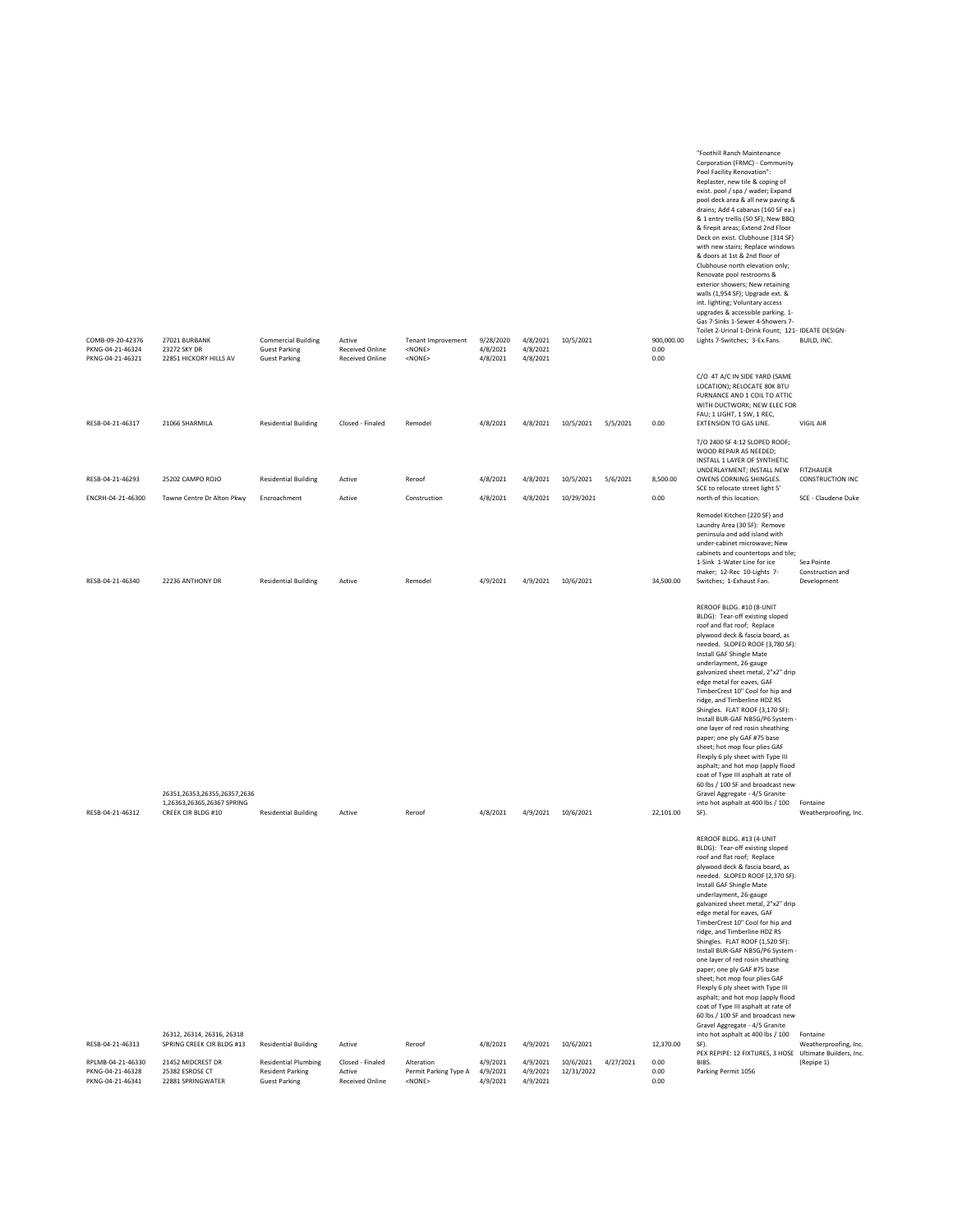| COMB-09-20-42376<br>PKNG-04-21-46324<br>PKNG-04-21-46321  | 27021 BURBANK<br>23272 SKY DR<br>22851 HICKORY HILLS AV                          | <b>Commercial Building</b><br><b>Guest Parking</b><br><b>Guest Parking</b>     | Active<br><b>Received Online</b><br><b>Received Online</b> | Tenant Improvement<br>$<$ NONE $>$<br>$<$ NONE $>$  | 9/28/2020<br>4/8/2021<br>4/8/2021 | 4/8/2021<br>4/8/2021<br>4/8/2021 | 10/5/2021               |           | 900,000.00<br>0.00<br>0.00 | "Foothill Ranch Maintenance<br>Corporation (FRMC) - Community<br>Pool Facility Renovation":<br>Replaster, new tile & coping of<br>exist. pool / spa / wader; Expand<br>pool deck area & all new paving &<br>drains; Add 4 cabanas (160 SF ea.)<br>& 1 entry trellis (50 SF); New BBQ<br>& firepit areas; Extend 2nd Floor<br>Deck on exist. Clubhouse (314 SF)<br>with new stairs; Replace windows<br>& doors at 1st & 2nd floor of<br>Clubhouse north elevation only;<br>Renovate pool restrooms &<br>exterior showers; New retaining<br>walls (1,954 SF); Upgrade ext. &<br>int. lighting; Voluntary access<br>upgrades & accessible parking. 1-<br>Gas 7-Sinks 1-Sewer 4-Showers 7-<br>Toilet 2-Urinal 1-Drink Fount; 121- IDEATE DESIGN-<br>Lights 7-Switches; 3-Ex.Fans. | BUILD, INC.                                   |
|-----------------------------------------------------------|----------------------------------------------------------------------------------|--------------------------------------------------------------------------------|------------------------------------------------------------|-----------------------------------------------------|-----------------------------------|----------------------------------|-------------------------|-----------|----------------------------|-------------------------------------------------------------------------------------------------------------------------------------------------------------------------------------------------------------------------------------------------------------------------------------------------------------------------------------------------------------------------------------------------------------------------------------------------------------------------------------------------------------------------------------------------------------------------------------------------------------------------------------------------------------------------------------------------------------------------------------------------------------------------------|-----------------------------------------------|
| RESB-04-21-46317                                          | 21066 SHARMILA                                                                   | <b>Residential Building</b>                                                    | Closed - Finaled                                           | Remodel                                             | 4/8/2021                          | 4/8/2021                         | 10/5/2021               | 5/5/2021  | 0.00                       | C/O 4T A/C IN SIDE YARD (SAME<br>LOCATION); RELOCATE 80K BTU<br>FURNANCE AND 1 COIL TO ATTIC<br>WITH DUCTWORK; NEW ELEC FOR<br>FAU; 1 LIGHT, 1 SW, 1 REC,<br>EXTENSION TO GAS LINE.                                                                                                                                                                                                                                                                                                                                                                                                                                                                                                                                                                                           | VIGIL AIR                                     |
|                                                           |                                                                                  |                                                                                |                                                            |                                                     |                                   |                                  |                         |           |                            | T/O 2400 SF 4:12 SLOPED ROOF;<br>WOOD REPAIR AS NEEDED;<br>INSTALL 1 LAYER OF SYNTHETIC                                                                                                                                                                                                                                                                                                                                                                                                                                                                                                                                                                                                                                                                                       |                                               |
| RESB-04-21-46293                                          | 25202 CAMPO ROJO                                                                 | <b>Residential Building</b>                                                    | Active                                                     | Reroof                                              | 4/8/2021                          | 4/8/2021                         | 10/5/2021               | 5/6/2021  | 8,500.00                   | UNDERLAYMENT; INSTALL NEW<br>OWENS CORNING SHINGLES.<br>SCE to relocate street light 5'                                                                                                                                                                                                                                                                                                                                                                                                                                                                                                                                                                                                                                                                                       | FITZHAUER<br>CONSTRUCTION INC                 |
| ENCRH-04-21-46300                                         | Towne Centre Dr Alton Pkwy                                                       | Encroachment                                                                   | Active                                                     | Construction                                        | 4/8/2021                          | 4/8/2021                         | 10/29/2021              |           | 0.00                       | north of this location.                                                                                                                                                                                                                                                                                                                                                                                                                                                                                                                                                                                                                                                                                                                                                       | SCE - Claudene Duke                           |
| RESB-04-21-46340                                          | 22236 ANTHONY DR                                                                 | <b>Residential Building</b>                                                    | Active                                                     | Remodel                                             | 4/9/2021                          | 4/9/2021                         | 10/6/2021               |           | 34,500.00                  | Remodel Kitchen (220 SF) and<br>Laundry Area (30 SF): Remove<br>peninsula and add island with<br>under-cabinet microwave; New<br>cabinets and countertops and tile;<br>1-Sink 1-Water Line for ice<br>maker; 12-Rec 10-Lights 7-<br>Switches; 1-Exhaust Fan.                                                                                                                                                                                                                                                                                                                                                                                                                                                                                                                  | Sea Pointe<br>Construction and<br>Development |
| RESB-04-21-46312                                          | 26351,26353,26355,26357,2636<br>1,26363,26365,26367 SPRING<br>CREEK CIR BLDG #10 | <b>Residential Building</b>                                                    | Active                                                     | Reroof                                              | 4/8/2021                          | 4/9/2021                         | 10/6/2021               |           | 22,101.00                  | REROOF BLDG. #10 (8-UNIT<br>BLDG): Tear-off existing sloped<br>roof and flat roof; Replace<br>plywood deck & fascia board, as<br>needed. SLOPED ROOF (3,780 SF):<br>Install GAF Shingle Mate<br>underlayment, 26-gauge<br>galvanized sheet metal, 2"x2" drip<br>edge metal for eaves, GAF<br>TimberCrest 10" Cool for hip and<br>ridge, and Timberline HDZ RS<br>Shingles. FLAT ROOF (3,170 SF):<br>Install BUR-GAF NB5G/P6 System -<br>one layer of red rosin sheathing<br>paper; one ply GAF #75 base<br>sheet; hot mop four plies GAF<br>Flexply 6 ply sheet with Type III<br>asphalt; and hot mop (apply flood<br>coat of Type III asphalt at rate of<br>60 lbs / 100 SF and broadcast new<br>Gravel Aggregate - 4/5 Granite<br>into hot asphalt at 400 lbs / 100<br>SF). | Fontaine<br>Weatherproofing, Inc.             |
|                                                           | 26312, 26314, 26316, 26318                                                       |                                                                                |                                                            |                                                     |                                   |                                  |                         |           |                            | REROOF BLDG. #13 (4-UNIT<br>BLDG): Tear-off existing sloped<br>roof and flat roof; Replace<br>plywood deck & fascia board, as<br>needed. SLOPED ROOF (2,370 SF):<br>Install GAF Shingle Mate<br>underlayment, 26-gauge<br>galvanized sheet metal, 2"x2" drip<br>edge metal for eaves, GAF<br>TimberCrest 10" Cool for hip and<br>ridge, and Timberline HDZ RS<br>Shingles. FLAT ROOF (1,520 SF):<br>Install BUR-GAF NB5G/P6 System -<br>one layer of red rosin sheathing<br>paper; one ply GAF #75 base<br>sheet; hot mop four plies GAF<br>Flexply 6 ply sheet with Type III<br>asphalt; and hot mop (apply flood<br>coat of Type III asphalt at rate of<br>60 lbs / 100 SF and broadcast new<br>Gravel Aggregate - 4/5 Granite<br>into hot asphalt at 400 lbs / 100         |                                               |
| RESB-04-21-46313                                          | SPRING CREEK CIR BLDG #13                                                        | <b>Residential Building</b>                                                    | Active                                                     | Reroof                                              | 4/8/2021                          | 4/9/2021                         | 10/6/2021               |           | 12,370.00                  | SF).<br>PEX REPIPE: 12 FIXTURES, 3 HOSE Ultimate Builders, Inc.                                                                                                                                                                                                                                                                                                                                                                                                                                                                                                                                                                                                                                                                                                               | Fontaine<br>Weatherproofing, Inc.             |
| RPLMB-04-21-46330<br>PKNG-04-21-46328<br>PKNG-04-21-46341 | 21452 MIDCREST DR<br>25382 ESROSE CT<br>22881 SPRINGWATER                        | <b>Residential Plumbing</b><br><b>Resident Parking</b><br><b>Guest Parking</b> | Closed - Finaled<br>Active<br><b>Received Online</b>       | Alteration<br>Permit Parking Type A<br>$<$ NONE $>$ | 4/9/2021<br>4/9/2021<br>4/9/2021  | 4/9/2021<br>4/9/2021<br>4/9/2021 | 10/6/2021<br>12/31/2022 | 4/27/2021 | 0.00<br>0.00<br>0.00       | BIBS.<br>Parking Permit 1056                                                                                                                                                                                                                                                                                                                                                                                                                                                                                                                                                                                                                                                                                                                                                  | (Repipe 1)                                    |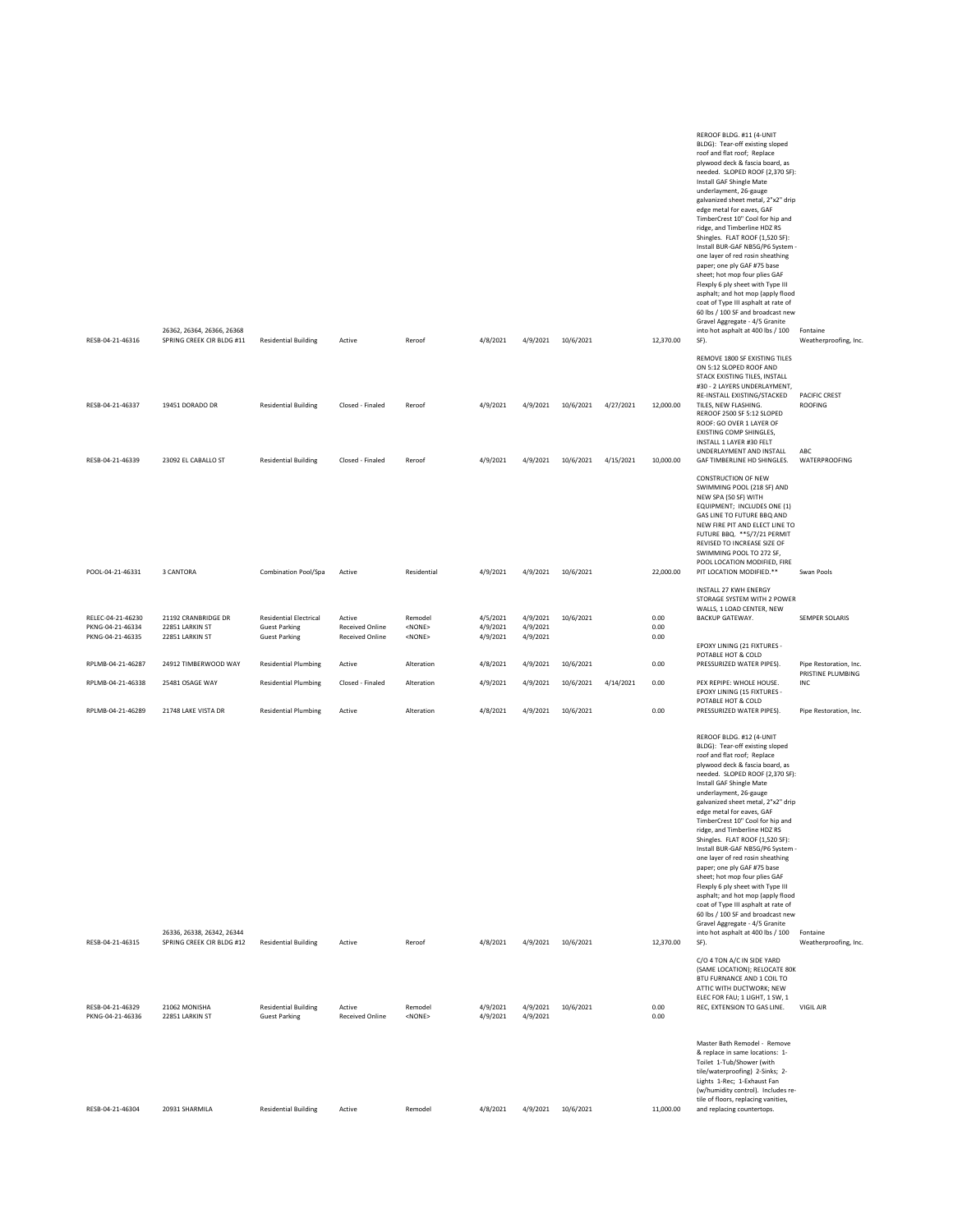|                                                           |                                                           |                                                                               |                                                     |                                            |                                  |                                  |                        |                        |                        | REROOF BLDG. #11 (4-UNIT<br>BLDG): Tear-off existing sloped<br>roof and flat roof; Replace<br>plywood deck & fascia board, as<br>needed. SLOPED ROOF (2,370 SF):<br>Install GAF Shingle Mate<br>underlayment, 26-gauge<br>galvanized sheet metal, 2"x2" drip<br>edge metal for eaves, GAF<br>TimberCrest 10" Cool for hip and<br>ridge, and Timberline HDZ RS<br>Shingles. FLAT ROOF (1,520 SF):<br>Install BUR-GAF NB5G/P6 System -<br>one layer of red rosin sheathing<br>paper; one ply GAF #75 base<br>sheet; hot mop four plies GAF<br>Flexply 6 ply sheet with Type III<br>asphalt; and hot mop (apply flood<br>coat of Type III asphalt at rate of<br>60 lbs / 100 SF and broadcast new<br>Gravel Aggregate - 4/5 Granite                                              |                                                  |
|-----------------------------------------------------------|-----------------------------------------------------------|-------------------------------------------------------------------------------|-----------------------------------------------------|--------------------------------------------|----------------------------------|----------------------------------|------------------------|------------------------|------------------------|-------------------------------------------------------------------------------------------------------------------------------------------------------------------------------------------------------------------------------------------------------------------------------------------------------------------------------------------------------------------------------------------------------------------------------------------------------------------------------------------------------------------------------------------------------------------------------------------------------------------------------------------------------------------------------------------------------------------------------------------------------------------------------|--------------------------------------------------|
| RESB-04-21-46316                                          | 26362, 26364, 26366, 26368<br>SPRING CREEK CIR BLDG #11   | <b>Residential Building</b>                                                   | Active                                              | Reroof                                     | 4/8/2021                         |                                  | 4/9/2021 10/6/2021     |                        | 12,370.00              | into hot asphalt at 400 lbs / 100<br>SF).<br>REMOVE 1800 SF EXISTING TILES<br>ON 5:12 SLOPED ROOF AND<br>STACK EXISTING TILES, INSTALL                                                                                                                                                                                                                                                                                                                                                                                                                                                                                                                                                                                                                                        | Fontaine<br>Weatherproofing, Inc.                |
| RESB-04-21-46337<br>RESB-04-21-46339                      | 19451 DORADO DR<br>23092 EL CABALLO ST                    | <b>Residential Building</b><br><b>Residential Building</b>                    | Closed - Finaled<br>Closed - Finaled                | Reroof<br>Reroof                           | 4/9/2021<br>4/9/2021             | 4/9/2021<br>4/9/2021             | 10/6/2021<br>10/6/2021 | 4/27/2021<br>4/15/2021 | 12,000.00<br>10,000.00 | #30 - 2 LAYERS UNDERLAYMENT,<br>RE-INSTALL EXISTING/STACKED<br>TILES, NEW FLASHING.<br>REROOF 2500 SF 5:12 SLOPED<br>ROOF: GO OVER 1 LAYER OF<br>EXISTING COMP SHINGLES,<br>INSTALL 1 LAYER #30 FELT<br>UNDERLAYMENT AND INSTALL<br>GAF TIMBERLINE HD SHINGLES.                                                                                                                                                                                                                                                                                                                                                                                                                                                                                                               | PACIFIC CREST<br>ROOFING<br>ABC<br>WATERPROOFING |
|                                                           |                                                           |                                                                               |                                                     |                                            |                                  |                                  |                        |                        |                        | <b>CONSTRUCTION OF NEW</b><br>SWIMMING POOL (218 SF) AND<br>NEW SPA (50 SF) WITH<br>EQUIPMENT; INCLUDES ONE (1)<br>GAS LINE TO FUTURE BBQ AND<br>NEW FIRE PIT AND ELECT LINE TO<br>FUTURE BBQ. ** 5/7/21 PERMIT<br>REVISED TO INCREASE SIZE OF<br>SWIMMING POOL TO 272 SF,<br>POOL LOCATION MODIFIED, FIRE                                                                                                                                                                                                                                                                                                                                                                                                                                                                    |                                                  |
| POOL-04-21-46331                                          | 3 CANTORA                                                 | Combination Pool/Spa                                                          | Active                                              | Residential                                | 4/9/2021                         |                                  | 4/9/2021 10/6/2021     |                        | 22,000.00              | PIT LOCATION MODIFIED.**<br>INSTALL 27 KWH ENERGY<br>STORAGE SYSTEM WITH 2 POWER                                                                                                                                                                                                                                                                                                                                                                                                                                                                                                                                                                                                                                                                                              | Swan Pools                                       |
| RELEC-04-21-46230<br>PKNG-04-21-46334<br>PKNG-04-21-46335 | 21192 CRANBRIDGE DR<br>22851 LARKIN ST<br>22851 LARKIN ST | <b>Residential Electrical</b><br><b>Guest Parking</b><br><b>Guest Parking</b> | Active<br>Received Online<br><b>Received Online</b> | Remodel<br><none><br/><none></none></none> | 4/5/2021<br>4/9/2021<br>4/9/2021 | 4/9/2021<br>4/9/2021<br>4/9/2021 | 10/6/2021              |                        | 0.00<br>0.00<br>0.00   | WALLS, 1 LOAD CENTER, NEW<br><b>BACKUP GATEWAY.</b><br>EPOXY LINING (21 FIXTURES -                                                                                                                                                                                                                                                                                                                                                                                                                                                                                                                                                                                                                                                                                            | SEMPER SOLARIS                                   |
| RPLMB-04-21-46287                                         | 24912 TIMBERWOOD WAY                                      | <b>Residential Plumbing</b>                                                   | Active                                              | Alteration                                 | 4/8/2021                         | 4/9/2021                         | 10/6/2021              |                        | 0.00                   | POTABLE HOT & COLD<br>PRESSURIZED WATER PIPES).                                                                                                                                                                                                                                                                                                                                                                                                                                                                                                                                                                                                                                                                                                                               | Pipe Restoration, Inc.<br>PRISTINE PLUMBING      |
| RPLMB-04-21-46338                                         | 25481 OSAGE WAY                                           | <b>Residential Plumbing</b>                                                   | Closed - Finaled                                    | Alteration                                 | 4/9/2021                         | 4/9/2021                         | 10/6/2021              | 4/14/2021              | 0.00                   | PEX REPIPE: WHOLE HOUSE.<br>EPOXY LINING (15 FIXTURES -                                                                                                                                                                                                                                                                                                                                                                                                                                                                                                                                                                                                                                                                                                                       | INC                                              |
| RPLMB-04-21-46289                                         | 21748 LAKE VISTA DR                                       | <b>Residential Plumbing</b>                                                   | Active                                              | Alteration                                 | 4/8/2021                         | 4/9/2021                         | 10/6/2021              |                        | 0.00                   | POTABLE HOT & COLD<br>PRESSURIZED WATER PIPES).                                                                                                                                                                                                                                                                                                                                                                                                                                                                                                                                                                                                                                                                                                                               | Pipe Restoration, Inc.                           |
| RESB-04-21-46315                                          | 26336. 26338. 26342. 26344<br>SPRING CREEK CIR BLDG #12   | <b>Residential Building</b>                                                   | Active                                              | Reroof                                     | 4/8/2021                         |                                  | 4/9/2021 10/6/2021     |                        | 12,370.00              | REROOF BLDG. #12 (4-UNIT<br>BLDG): Tear-off existing sloped<br>roof and flat roof; Replace<br>plywood deck & fascia board, as<br>needed. SLOPED ROOF (2,370 SF):<br>Install GAF Shingle Mate<br>underlayment, 26-gauge<br>galvanized sheet metal, 2"x2" drip<br>edge metal for eaves, GAF<br>TimberCrest 10" Cool for hip and<br>ridge, and Timberline HDZ RS<br>Shingles. FLAT ROOF (1,520 SF):<br>Install BUR-GAF NB5G/P6 System -<br>one layer of red rosin sheathing<br>paper; one ply GAF #75 base<br>sheet; hot mop four plies GAF<br>Flexply 6 ply sheet with Type III<br>asphalt; and hot mop (apply flood<br>coat of Type III asphalt at rate of<br>60 lbs / 100 SF and broadcast new<br>Gravel Aggregate - 4/5 Granite<br>into hot asphalt at 400 lbs / 100<br>SF). | Fontaine<br>Weatherproofing, Inc.                |
|                                                           |                                                           |                                                                               |                                                     |                                            |                                  |                                  |                        |                        |                        | C/O 4 TON A/C IN SIDE YARD<br>(SAME LOCATION); RELOCATE 80K                                                                                                                                                                                                                                                                                                                                                                                                                                                                                                                                                                                                                                                                                                                   |                                                  |
| RESB-04-21-46329<br>PKNG-04-21-46336                      | 21062 MONISHA<br>22851 LARKIN ST                          | <b>Residential Building</b><br><b>Guest Parking</b>                           | Active<br><b>Received Online</b>                    | Remodel<br>$<$ NONE $>$                    | 4/9/2021<br>4/9/2021             | 4/9/2021<br>4/9/2021             | 10/6/2021              |                        | 0.00<br>0.00           | BTU FURNANCE AND 1 COIL TO<br>ATTIC WITH DUCTWORK; NEW<br>ELEC FOR FAU; 1 LIGHT, 1 SW, 1<br>REC, EXTENSION TO GAS LINE.                                                                                                                                                                                                                                                                                                                                                                                                                                                                                                                                                                                                                                                       | VIGIL AIR                                        |
| RESB-04-21-46304                                          | 20931 SHARMILA                                            | <b>Residential Building</b>                                                   | Active                                              | Remodel                                    | 4/8/2021                         | 4/9/2021                         | 10/6/2021              |                        | 11,000.00              | Master Bath Remodel - Remove<br>& replace in same locations: 1-<br>Toilet 1-Tub/Shower (with<br>tile/waterproofing) 2-Sinks; 2-<br>Lights 1-Rec; 1-Exhaust Fan<br>(w/humidity control). Includes re-<br>tile of floors, replacing vanities,<br>and replacing countertops.                                                                                                                                                                                                                                                                                                                                                                                                                                                                                                     |                                                  |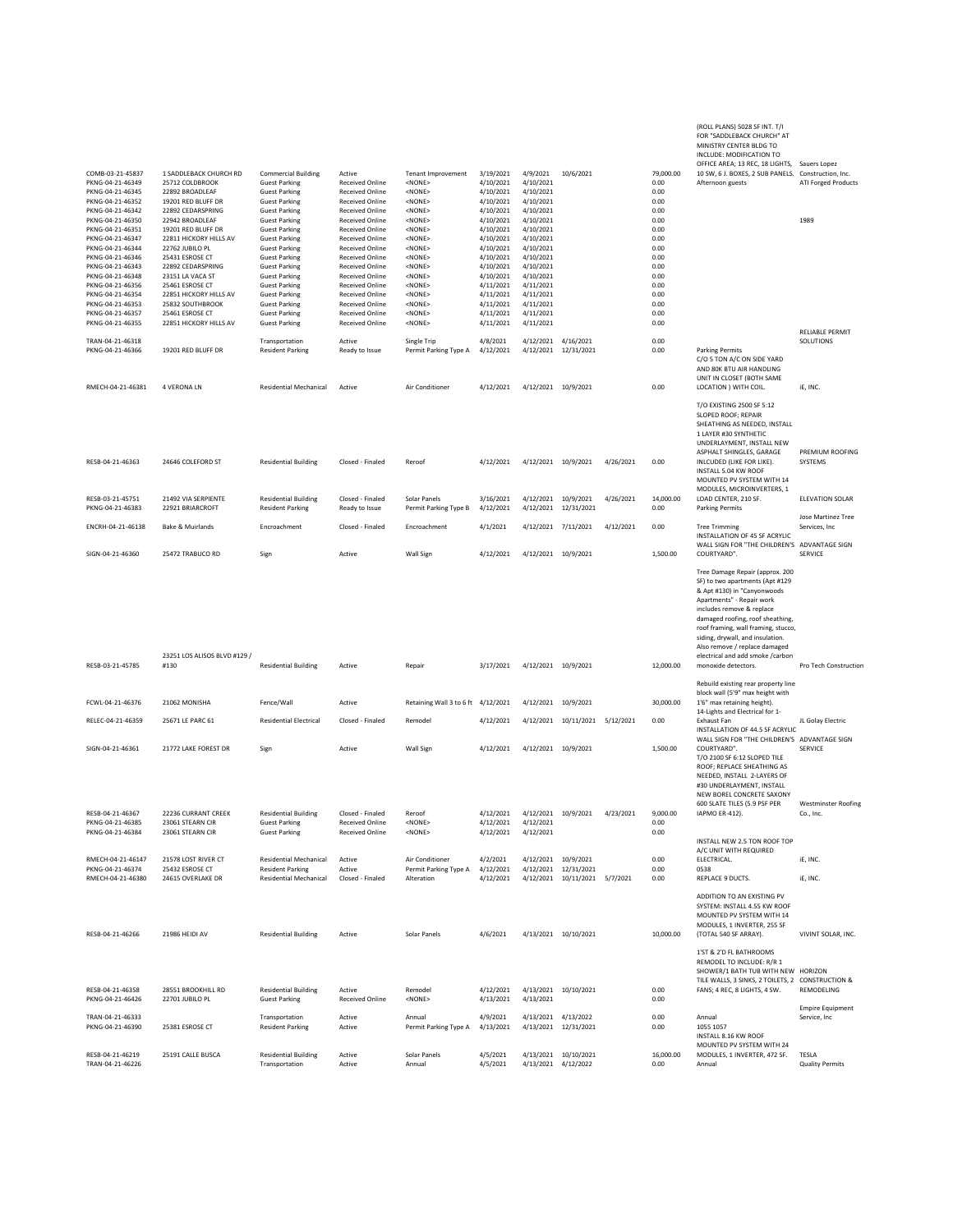| COMB-03-21-45837                                                                                                                                                                                     | 1 SADDLEBACK CHURCH RD                                                                                                                                                                                          | <b>Commercial Building</b>                                                                                                                                                                                                                   | Active                                                                                                                                                                                                                                                           | <b>Tenant Improvement</b>                                                                                                                                                       | 3/19/2021                                                                                                                      | 4/9/2021                                                                                                                       | 10/6/2021                                                      |           | 79,000.00                                                                    | (ROLL PLANS) 5028 SF INT. T/I<br>FOR "SADDLEBACK CHURCH" AT<br>MINISTRY CENTER BLDG TO<br>INCLUDE: MODIFICATION TO<br>OFFICE AREA; 13 REC, 18 LIGHTS, Sauers Lopez<br>10 SW, 6 J. BOXES, 2 SUB PANELS. Construction, Inc.                                                                                                                                              |                                              |
|------------------------------------------------------------------------------------------------------------------------------------------------------------------------------------------------------|-----------------------------------------------------------------------------------------------------------------------------------------------------------------------------------------------------------------|----------------------------------------------------------------------------------------------------------------------------------------------------------------------------------------------------------------------------------------------|------------------------------------------------------------------------------------------------------------------------------------------------------------------------------------------------------------------------------------------------------------------|---------------------------------------------------------------------------------------------------------------------------------------------------------------------------------|--------------------------------------------------------------------------------------------------------------------------------|--------------------------------------------------------------------------------------------------------------------------------|----------------------------------------------------------------|-----------|------------------------------------------------------------------------------|------------------------------------------------------------------------------------------------------------------------------------------------------------------------------------------------------------------------------------------------------------------------------------------------------------------------------------------------------------------------|----------------------------------------------|
| PKNG-04-21-46349<br>PKNG-04-21-46345<br>PKNG-04-21-46352<br>PKNG-04-21-46342                                                                                                                         | 25712 COLDBROOK<br>22892 BROADLEAF<br>19201 RED BLUFF DR<br>22892 CEDARSPRING                                                                                                                                   | <b>Guest Parking</b><br><b>Guest Parking</b><br><b>Guest Parking</b><br><b>Guest Parking</b>                                                                                                                                                 | <b>Received Online</b><br><b>Received Online</b><br><b>Received Online</b><br><b>Received Online</b>                                                                                                                                                             | <none><br/><none><br/><none><br/><none></none></none></none></none>                                                                                                             | 4/10/2021<br>4/10/2021<br>4/10/2021<br>4/10/2021                                                                               | 4/10/2021<br>4/10/2021<br>4/10/2021<br>4/10/2021                                                                               |                                                                |           | 0.00<br>0.00<br>0.00<br>0.00                                                 | Afternoon guests                                                                                                                                                                                                                                                                                                                                                       | ATI Forged Products                          |
| PKNG-04-21-46350<br>PKNG-04-21-46351<br>PKNG-04-21-46347<br>PKNG-04-21-46344<br>PKNG-04-21-46346<br>PKNG-04-21-46343<br>PKNG-04-21-46348<br>PKNG-04-21-46356<br>PKNG-04-21-46354<br>PKNG-04-21-46353 | 22942 BROADLEAF<br>19201 RED BLUFF DR<br>22811 HICKORY HILLS AV<br>22762 JUBILO PL<br>25431 ESROSE CT<br>22892 CEDARSPRING<br>23151 LA VACA ST<br>25461 ESROSE CT<br>22851 HICKORY HILLS AV<br>25832 SOUTHBROOK | <b>Guest Parking</b><br><b>Guest Parking</b><br><b>Guest Parking</b><br><b>Guest Parking</b><br><b>Guest Parking</b><br><b>Guest Parking</b><br><b>Guest Parking</b><br><b>Guest Parking</b><br><b>Guest Parking</b><br><b>Guest Parking</b> | <b>Received Online</b><br><b>Received Online</b><br><b>Received Online</b><br><b>Received Online</b><br><b>Received Online</b><br><b>Received Online</b><br><b>Received Online</b><br><b>Received Online</b><br><b>Received Online</b><br><b>Received Online</b> | <none><br/><none><br/><none><br/><none><br/><none><br/><none><br/><none><br/><none><br/><none><br/><none></none></none></none></none></none></none></none></none></none></none> | 4/10/2021<br>4/10/2021<br>4/10/2021<br>4/10/2021<br>4/10/2021<br>4/10/2021<br>4/10/2021<br>4/11/2021<br>4/11/2021<br>4/11/2021 | 4/10/2021<br>4/10/2021<br>4/10/2021<br>4/10/2021<br>4/10/2021<br>4/10/2021<br>4/10/2021<br>4/11/2021<br>4/11/2021<br>4/11/2021 |                                                                |           | 0.00<br>0.00<br>0.00<br>0.00<br>0.00<br>0.00<br>0.00<br>0.00<br>0.00<br>0.00 |                                                                                                                                                                                                                                                                                                                                                                        | 1989                                         |
| PKNG-04-21-46357<br>PKNG-04-21-46355                                                                                                                                                                 | 25461 ESROSE CT<br>22851 HICKORY HILLS AV                                                                                                                                                                       | <b>Guest Parking</b><br><b>Guest Parking</b>                                                                                                                                                                                                 | <b>Received Online</b><br><b>Received Online</b>                                                                                                                                                                                                                 | <none><br/><none></none></none>                                                                                                                                                 | 4/11/2021<br>4/11/2021                                                                                                         | 4/11/2021<br>4/11/2021                                                                                                         |                                                                |           | 0.00<br>0.00                                                                 |                                                                                                                                                                                                                                                                                                                                                                        | RELIABLE PERMIT                              |
| TRAN-04-21-46318<br>PKNG-04-21-46366                                                                                                                                                                 | 19201 RED BLUFF DR                                                                                                                                                                                              | Transportation<br><b>Resident Parking</b>                                                                                                                                                                                                    | Active<br>Ready to Issue                                                                                                                                                                                                                                         | Single Trip<br>Permit Parking Type A                                                                                                                                            | 4/8/2021<br>4/12/2021                                                                                                          | 4/12/2021 4/16/2021                                                                                                            | 4/12/2021 12/31/2021                                           |           | 0.00<br>0.00                                                                 | <b>Parking Permits</b><br>C/O 5 TON A/C ON SIDE YARD<br>AND 80K BTU AIR HANDLING<br>UNIT IN CLOSET (BOTH SAME                                                                                                                                                                                                                                                          | SOLUTIONS                                    |
| RMECH-04-21-46381                                                                                                                                                                                    | 4 VERONA LN                                                                                                                                                                                                     | <b>Residential Mechanical</b>                                                                                                                                                                                                                | Active                                                                                                                                                                                                                                                           | Air Conditioner                                                                                                                                                                 | 4/12/2021                                                                                                                      | 4/12/2021 10/9/2021                                                                                                            |                                                                |           | 0.00                                                                         | LOCATION ) WITH COIL.                                                                                                                                                                                                                                                                                                                                                  | iE, INC.                                     |
| RESB-04-21-46363                                                                                                                                                                                     | 24646 COLEFORD ST                                                                                                                                                                                               | <b>Residential Building</b>                                                                                                                                                                                                                  | Closed - Finaled                                                                                                                                                                                                                                                 | Reroof                                                                                                                                                                          | 4/12/2021                                                                                                                      | 4/12/2021 10/9/2021                                                                                                            |                                                                | 4/26/2021 | 0.00                                                                         | T/O EXISTING 2500 SF 5:12<br>SLOPED ROOF; REPAIR<br>SHEATHING AS NEEDED, INSTALL<br>1 LAYER #30 SYNTHETIC<br>UNDERLAYMENT, INSTALL NEW<br>ASPHALT SHINGLES, GARAGE<br>INLCUDED (LIKE FOR LIKE).<br><b>INSTALL 5.04 KW ROOF</b><br>MOUNTED PV SYSTEM WITH 14                                                                                                            | <b>PREMIUM ROOFING</b><br>SYSTEMS            |
| RESB-03-21-45751                                                                                                                                                                                     | 21492 VIA SERPIENTE                                                                                                                                                                                             | <b>Residential Building</b>                                                                                                                                                                                                                  | Closed - Finaled                                                                                                                                                                                                                                                 | Solar Panels                                                                                                                                                                    | 3/16/2021                                                                                                                      | 4/12/2021 10/9/2021                                                                                                            |                                                                | 4/26/2021 | 14,000.00                                                                    | MODULES, MICROINVERTERS, 1<br>LOAD CENTER, 210 SF.                                                                                                                                                                                                                                                                                                                     | <b>ELEVATION SOLAR</b>                       |
| PKNG-04-21-46383<br>ENCRH-04-21-46138                                                                                                                                                                | 22921 BRIARCROFT<br><b>Bake &amp; Muirlands</b>                                                                                                                                                                 | <b>Resident Parking</b><br>Encroachment                                                                                                                                                                                                      | Ready to Issue<br>Closed - Finaled                                                                                                                                                                                                                               | Permit Parking Type B<br>Encroachment                                                                                                                                           | 4/12/2021<br>4/1/2021                                                                                                          | 4/12/2021 7/11/2021                                                                                                            | 4/12/2021 12/31/2021                                           | 4/12/2021 | 0.00<br>0.00                                                                 | <b>Parking Permits</b><br><b>Tree Trimming</b>                                                                                                                                                                                                                                                                                                                         | Jose Martinez Tree<br>Services, Inc.         |
| SIGN-04-21-46360                                                                                                                                                                                     | 25472 TRABUCO RD                                                                                                                                                                                                | Sign                                                                                                                                                                                                                                         | Active                                                                                                                                                                                                                                                           | Wall Sign                                                                                                                                                                       | 4/12/2021                                                                                                                      | 4/12/2021 10/9/2021                                                                                                            |                                                                |           | 1,500.00                                                                     | INSTALLATION OF 45 SF ACRYLIC<br>WALL SIGN FOR "THE CHILDREN'S ADVANTAGE SIGN<br>COURTYARD".                                                                                                                                                                                                                                                                           | SERVICE                                      |
| RESB-03-21-45785                                                                                                                                                                                     | 23251 LOS ALISOS BLVD #129 /<br>#130                                                                                                                                                                            | <b>Residential Building</b>                                                                                                                                                                                                                  | Active                                                                                                                                                                                                                                                           | Repair                                                                                                                                                                          | 3/17/2021                                                                                                                      | 4/12/2021 10/9/2021                                                                                                            |                                                                |           | 12,000.00                                                                    | Tree Damage Repair (approx. 200<br>SF) to two apartments (Apt #129<br>& Apt #130) in "Canyonwoods<br>Apartments" - Repair work<br>includes remove & replace<br>damaged roofing, roof sheathing,<br>roof framing, wall framing, stucco,<br>siding, drywall, and insulation.<br>Also remove / replace damaged<br>electrical and add smoke /carbon<br>monoxide detectors. | Pro Tech Construction                        |
|                                                                                                                                                                                                      |                                                                                                                                                                                                                 |                                                                                                                                                                                                                                              |                                                                                                                                                                                                                                                                  |                                                                                                                                                                                 |                                                                                                                                |                                                                                                                                |                                                                |           |                                                                              | Rebuild existing rear property line<br>block wall (5'9" max height with                                                                                                                                                                                                                                                                                                |                                              |
| FCWL-04-21-46376<br>RELEC-04-21-46359                                                                                                                                                                | 21062 MONISHA<br>25671 LE PARC 61                                                                                                                                                                               | Fence/Wall<br><b>Residential Electrical</b>                                                                                                                                                                                                  | Active<br>Closed - Finaled                                                                                                                                                                                                                                       | Retaining Wall 3 to 6 ft 4/12/2021<br>Remodel                                                                                                                                   | 4/12/2021                                                                                                                      | 4/12/2021 10/9/2021                                                                                                            | 4/12/2021 10/11/2021 5/12/2021                                 |           | 30,000.00<br>0.00                                                            | 1'6" max retaining height).<br>14-Lights and Electrical for 1-<br>Exhaust Fan                                                                                                                                                                                                                                                                                          | JL Golav Electric                            |
|                                                                                                                                                                                                      | 21772 LAKE FOREST DR                                                                                                                                                                                            |                                                                                                                                                                                                                                              |                                                                                                                                                                                                                                                                  |                                                                                                                                                                                 |                                                                                                                                |                                                                                                                                |                                                                |           |                                                                              | INSTALLATION OF 44.5 SF ACRYLIC<br>WALL SIGN FOR "THE CHILDREN'S ADVANTAGE SIGN                                                                                                                                                                                                                                                                                        |                                              |
| SIGN-04-21-46361                                                                                                                                                                                     |                                                                                                                                                                                                                 | Sign                                                                                                                                                                                                                                         | Active                                                                                                                                                                                                                                                           | Wall Sign                                                                                                                                                                       | 4/12/2021                                                                                                                      | 4/12/2021 10/9/2021                                                                                                            |                                                                |           | 1,500.00                                                                     | COURTYARD".<br>T/O 2100 SF 6:12 SLOPED TILE<br>ROOF; REPLACE SHEATHING AS<br>NEEDED, INSTALL 2-LAYERS OF<br>#30 UNDERLAYMENT. INSTALL<br>NEW BOREL CONCRETE SAXONY<br>600 SLATE TILES (5.9 PSF PER                                                                                                                                                                     | <b>SERVICE</b><br><b>Westminster Roofing</b> |
| RFSB-04-21-46367<br>PKNG-04-21-46385<br>PKNG-04-21-46384                                                                                                                                             | 22236 CURRANT CREEK<br>23061 STEARN CIR<br>23061 STEARN CIR                                                                                                                                                     | <b>Residential Building</b><br><b>Guest Parking</b><br><b>Guest Parking</b>                                                                                                                                                                  | Closed - Finaled<br>Received Online<br><b>Received Online</b>                                                                                                                                                                                                    | Reroof<br><none><br/><math>&lt;</math>NONE<math>&gt;</math></none>                                                                                                              | 4/12/2021<br>4/12/2021                                                                                                         | 4/12/2021<br>4/12/2021                                                                                                         | $4/12/2021 \qquad 4/12/2021 \qquad 10/9/2021 \qquad 4/23/2021$ |           | 9.000.00<br>0.00<br>0.00                                                     | IAPMO ER-412).<br>INSTALL NEW 2.5 TON ROOF TOP                                                                                                                                                                                                                                                                                                                         | Co., Inc                                     |
| RMECH-04-21-46147                                                                                                                                                                                    | 21578 LOST RIVER CT                                                                                                                                                                                             | <b>Residential Mechanical</b>                                                                                                                                                                                                                | Active                                                                                                                                                                                                                                                           | Air Conditioner                                                                                                                                                                 | 4/2/2021                                                                                                                       | 4/12/2021                                                                                                                      | 10/9/2021                                                      |           | 0.00                                                                         | A/C UNIT WITH REQUIRED<br>ELECTRICAL.                                                                                                                                                                                                                                                                                                                                  | iE, INC.                                     |
| PKNG-04-21-46374<br>RMECH-04-21-46380                                                                                                                                                                | 25432 ESROSE CT<br>24615 OVERLAKE DR                                                                                                                                                                            | <b>Resident Parking</b><br><b>Residential Mechanical</b>                                                                                                                                                                                     | Active<br>Closed - Finaled                                                                                                                                                                                                                                       | Permit Parking Type A<br>Alteration                                                                                                                                             | 4/12/2021<br>4/12/2021                                                                                                         | 4/12/2021                                                                                                                      | 12/31/2021<br>4/12/2021 10/11/2021 5/7/2021                    |           | 0.00<br>0.00                                                                 | 0538<br>REPLACE 9 DUCTS.                                                                                                                                                                                                                                                                                                                                               | iE, INC.                                     |
| RESB-04-21-46266                                                                                                                                                                                     | 21986 HEIDI AV                                                                                                                                                                                                  | <b>Residential Building</b>                                                                                                                                                                                                                  | Active                                                                                                                                                                                                                                                           | Solar Panels                                                                                                                                                                    | 4/6/2021                                                                                                                       |                                                                                                                                | 4/13/2021 10/10/2021                                           |           | 10,000.00                                                                    | ADDITION TO AN EXISTING PV<br>SYSTEM: INSTALL 4.55 KW ROOF<br>MOUNTED PV SYSTEM WITH 14<br>MODULES, 1 INVERTER, 255 SF<br>(TOTAL 540 SF ARRAY).                                                                                                                                                                                                                        | VIVINT SOLAR, INC.                           |
| RESB-04-21-46358                                                                                                                                                                                     | 28551 BROOKHILL RD                                                                                                                                                                                              | <b>Residential Building</b>                                                                                                                                                                                                                  | Active                                                                                                                                                                                                                                                           | Remodel                                                                                                                                                                         | 4/12/2021                                                                                                                      |                                                                                                                                | 4/13/2021 10/10/2021                                           |           | 0.00                                                                         | 1'ST & 2'D FL BATHROOMS<br>REMODEL TO INCLUDE: R/R 1<br>SHOWER/1 BATH TUB WITH NEW HORIZON<br>TILE WALLS, 3 SINKS, 2 TOILETS, 2 CONSTRUCTION &<br>FANS; 4 REC, 8 LIGHTS, 4 SW.                                                                                                                                                                                         | REMODELING                                   |
| PKNG-04-21-46426<br>TRAN-04-21-46333                                                                                                                                                                 | 22701 JUBILO PL                                                                                                                                                                                                 | <b>Guest Parking</b><br>Transportation                                                                                                                                                                                                       | <b>Received Online</b><br>Active                                                                                                                                                                                                                                 | <none><br/>Annual</none>                                                                                                                                                        | 4/13/2021<br>4/9/2021                                                                                                          | 4/13/2021                                                                                                                      | 4/13/2021 4/13/2022                                            |           | 0.00<br>0.00                                                                 | Annual                                                                                                                                                                                                                                                                                                                                                                 | <b>Empire Equipment</b><br>Service, Inc      |
| PKNG-04-21-46390                                                                                                                                                                                     | 25381 ESROSE CT                                                                                                                                                                                                 | <b>Resident Parking</b>                                                                                                                                                                                                                      | Active                                                                                                                                                                                                                                                           | Permit Parking Type A                                                                                                                                                           | 4/13/2021                                                                                                                      |                                                                                                                                | 4/13/2021 12/31/2021                                           |           | 0.00                                                                         | 1055 1057<br>INSTALL 8.16 KW ROOF<br>MOUNTED PV SYSTEM WITH 24                                                                                                                                                                                                                                                                                                         |                                              |
| RESB-04-21-46219<br>TRAN-04-21-46226                                                                                                                                                                 | 25191 CALLE BUSCA                                                                                                                                                                                               | <b>Residential Building</b><br>Transportation                                                                                                                                                                                                | Active<br>Active                                                                                                                                                                                                                                                 | Solar Panels<br>Annual                                                                                                                                                          | 4/5/2021<br>4/5/2021                                                                                                           | 4/13/2021 4/12/2022                                                                                                            | 4/13/2021 10/10/2021                                           |           | 16,000.00<br>0.00                                                            | MODULES, 1 INVERTER, 472 SF.<br>Annual                                                                                                                                                                                                                                                                                                                                 | TESLA<br><b>Quality Permits</b>              |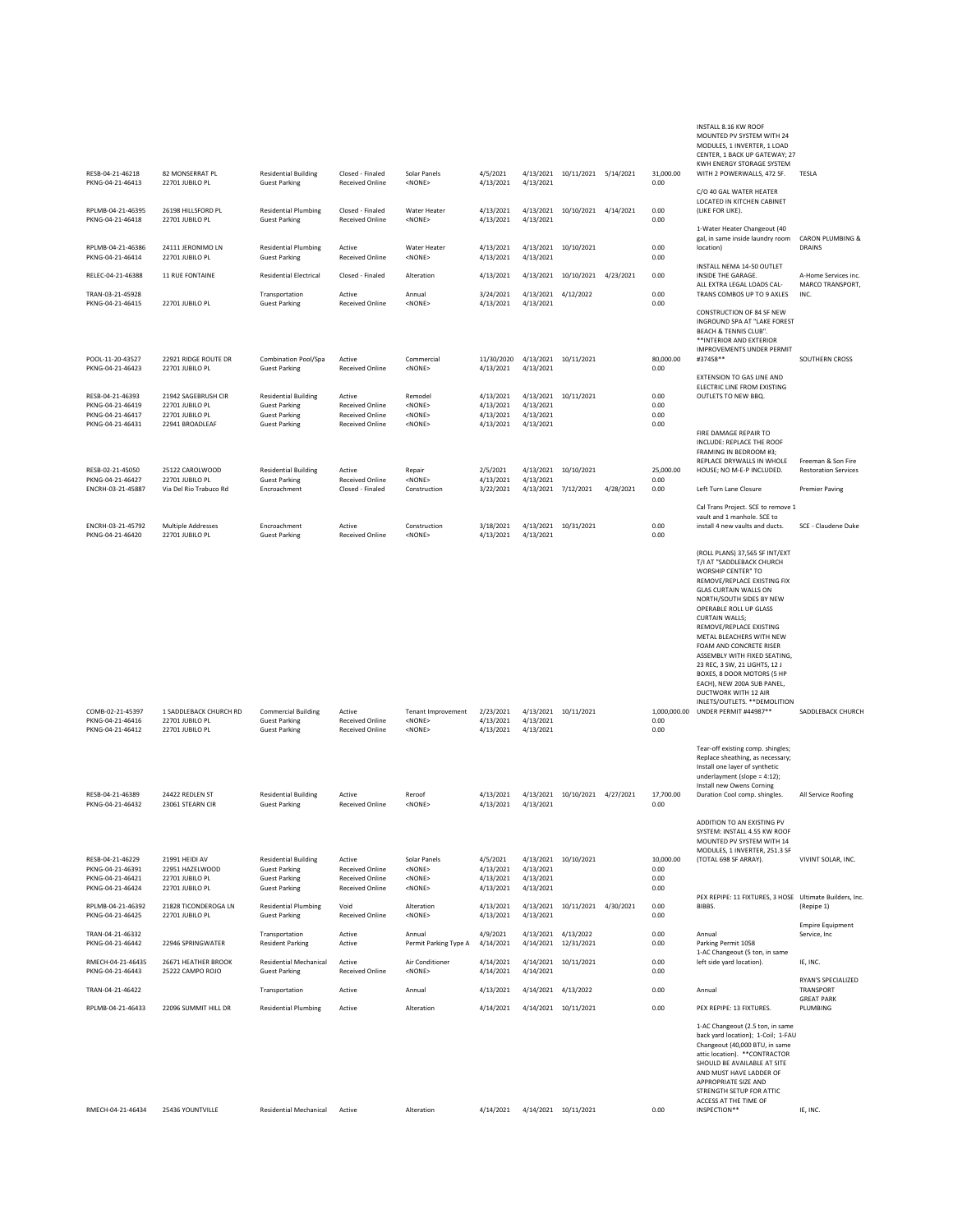| RESB-04-21-46218                                                             | 82 MONSERRAT PI                                                              | <b>Residential Building</b>                                                                         | Closed - Finaled                                                                     | Solar Panels                                                 | 4/5/2021                                         |                                     | 4/13/2021 10/11/2021 5/14/2021              |           | 31,000.00                    | INSTALL 8.16 KW ROOF<br>MOUNTED PV SYSTEM WITH 24<br>MODULES, 1 INVERTER, 1 LOAD<br>CENTER, 1 BACK UP GATEWAY; 27<br>KWH ENERGY STORAGE SYSTEM<br>WITH 2 POWERWALLS, 472 SF.                                                                                                                                                                                                                                                                                                                                                     | TESLA                                             |
|------------------------------------------------------------------------------|------------------------------------------------------------------------------|-----------------------------------------------------------------------------------------------------|--------------------------------------------------------------------------------------|--------------------------------------------------------------|--------------------------------------------------|-------------------------------------|---------------------------------------------|-----------|------------------------------|----------------------------------------------------------------------------------------------------------------------------------------------------------------------------------------------------------------------------------------------------------------------------------------------------------------------------------------------------------------------------------------------------------------------------------------------------------------------------------------------------------------------------------|---------------------------------------------------|
| PKNG-04-21-46413<br>RPLMB-04-21-46395                                        | 22701 JUBILO PL<br>26198 HILLSFORD PL                                        | <b>Guest Parking</b><br><b>Residential Plumbing</b>                                                 | <b>Received Online</b><br>Closed - Finaled                                           | <none><br/><b>Water Heater</b></none>                        | 4/13/2021<br>4/13/2021                           | 4/13/2021                           | 4/13/2021 10/10/2021 4/14/2021              |           | 0.00<br>0.00                 | C/O 40 GAL WATER HEATER<br>LOCATED IN KITCHEN CABINET<br>(LIKE FOR LIKE).                                                                                                                                                                                                                                                                                                                                                                                                                                                        |                                                   |
| PKNG-04-21-46418                                                             | 22701 JUBILO PL                                                              | <b>Guest Parking</b>                                                                                | <b>Received Online</b>                                                               | <none></none>                                                | 4/13/2021                                        | 4/13/2021                           |                                             |           | 0.00                         | 1-Water Heater Changeout (40<br>gal, in same inside laundry room                                                                                                                                                                                                                                                                                                                                                                                                                                                                 | <b>CARON PLUMBING &amp;</b>                       |
| RPLMB-04-21-46386<br>PKNG-04-21-46414                                        | 24111 JERONIMO LN<br>22701 JUBILO PL                                         | <b>Residential Plumbing</b><br><b>Guest Parking</b>                                                 | Active<br><b>Received Online</b>                                                     | Water Heater<br><none></none>                                | 4/13/2021<br>4/13/2021                           | 4/13/2021                           | 4/13/2021 10/10/2021                        |           | 0.00<br>0.00                 | location)<br>INSTALL NEMA 14-50 OUTLET                                                                                                                                                                                                                                                                                                                                                                                                                                                                                           | <b>DRAINS</b>                                     |
| RELEC-04-21-46388                                                            | 11 RUE FONTAINE                                                              | <b>Residential Electrical</b>                                                                       | Closed - Finaled                                                                     | Alteration                                                   | 4/13/2021                                        | 4/13/2021                           | 10/10/2021                                  | 4/23/2021 | 0.00                         | INSIDE THE GARAGE.<br>ALL EXTRA LEGAL LOADS CAL-                                                                                                                                                                                                                                                                                                                                                                                                                                                                                 | A-Home Services inc.<br>MARCO TRANSPORT,          |
| TRAN-03-21-45928<br>PKNG-04-21-46415                                         | 22701 JUBILO PL                                                              | Transportation<br><b>Guest Parking</b>                                                              | Active<br><b>Received Online</b>                                                     | Annual<br><none></none>                                      | 3/24/2021<br>4/13/2021                           | 4/13/2021<br>4/13/2021              | 4/12/2022                                   |           | 0.00<br>0.00                 | TRANS COMBOS UP TO 9 AXLES<br>CONSTRUCTION OF 84 SF NEW<br>INGROUND SPA AT "LAKE FOREST<br><b>BEACH &amp; TENNIS CLUB".</b><br>**INTERIOR AND EXTERIOR<br><b>IMPROVEMENTS UNDER PERMIT</b>                                                                                                                                                                                                                                                                                                                                       | INC.                                              |
| POOL-11-20-43527<br>PKNG-04-21-46423                                         | 22921 RIDGE ROUTE DR<br>22701 JUBILO PL                                      | Combination Pool/Spa<br><b>Guest Parking</b>                                                        | Active<br><b>Received Online</b>                                                     | Commercial<br><none></none>                                  | 11/30/2020 4/13/2021 10/11/2021<br>4/13/2021     | 4/13/2021                           |                                             |           | 80,000.00<br>0.00            | #37458**<br>EXTENSION TO GAS LINE AND<br>ELECTRIC LINE FROM EXISTING                                                                                                                                                                                                                                                                                                                                                                                                                                                             | SOUTHERN CROSS                                    |
| RESB-04-21-46393<br>PKNG-04-21-46419<br>PKNG-04-21-46417<br>PKNG-04-21-46431 | 21942 SAGEBRUSH CIR<br>22701 JUBILO PL<br>22701 JUBILO PL<br>22941 BROADLEAF | <b>Residential Building</b><br><b>Guest Parking</b><br><b>Guest Parking</b><br><b>Guest Parking</b> | Active<br><b>Received Online</b><br><b>Received Online</b><br><b>Received Online</b> | Remodel<br><none><br/><none><br/><none></none></none></none> | 4/13/2021<br>4/13/2021<br>4/13/2021<br>4/13/2021 | 4/13/2021<br>4/13/2021<br>4/13/2021 | 4/13/2021 10/11/2021                        |           | 0.00<br>0.00<br>0.00<br>0.00 | OUTLETS TO NEW BBQ.<br>FIRE DAMAGE REPAIR TO                                                                                                                                                                                                                                                                                                                                                                                                                                                                                     |                                                   |
| RESB-02-21-45050                                                             |                                                                              |                                                                                                     |                                                                                      |                                                              |                                                  |                                     |                                             |           |                              | INCLUDE: REPLACE THE ROOF<br>FRAMING IN BEDROOM #3;<br>REPLACE DRYWALLS IN WHOLE<br>HOUSE; NO M-E-P INCLUDED.                                                                                                                                                                                                                                                                                                                                                                                                                    | Freeman & Son Fire<br><b>Restoration Services</b> |
| PKNG-04-21-46427<br>ENCRH-03-21-45887                                        | 25122 CAROLWOOD<br>22701 JUBILO PL<br>Via Del Rio Trabuco Rd                 | <b>Residential Building</b><br><b>Guest Parking</b><br>Encroachment                                 | Active<br><b>Received Online</b><br>Closed - Finaled                                 | Repair<br><none><br/>Construction</none>                     | 2/5/2021<br>4/13/2021<br>3/22/2021               | 4/13/2021                           | 4/13/2021 10/10/2021<br>4/13/2021 7/12/2021 | 4/28/2021 | 25,000.00<br>0.00<br>0.00    | Left Turn Lane Closure                                                                                                                                                                                                                                                                                                                                                                                                                                                                                                           | <b>Premier Paving</b>                             |
|                                                                              |                                                                              |                                                                                                     |                                                                                      |                                                              |                                                  |                                     |                                             |           |                              | Cal Trans Project. SCE to remove 1<br>vault and 1 manhole. SCE to                                                                                                                                                                                                                                                                                                                                                                                                                                                                |                                                   |
| ENCRH-03-21-45792<br>PKNG-04-21-46420                                        | <b>Multiple Addresses</b><br>22701 JUBILO PL                                 | Encroachment<br><b>Guest Parking</b>                                                                | Active<br><b>Received Online</b>                                                     | Construction<br><none></none>                                | 3/18/2021<br>4/13/2021                           | 4/13/2021                           | 4/13/2021 10/31/2021                        |           | 0.00<br>0.00                 | install 4 new vaults and ducts.                                                                                                                                                                                                                                                                                                                                                                                                                                                                                                  | SCE - Claudene Duke                               |
| COMB-02-21-45397<br>PKNG-04-21-46416<br>PKNG-04-21-46412                     | 1 SADDLEBACK CHURCH RD<br>22701 JUBILO PL<br>22701 JUBILO PL                 | <b>Commercial Building</b><br><b>Guest Parking</b><br><b>Guest Parking</b>                          | Active<br><b>Received Online</b><br>Received Online                                  | <b>Tenant Improvement</b><br><none><br/><none></none></none> | 2/23/2021<br>4/13/2021<br>4/13/2021              | 4/13/2021<br>4/13/2021              | 4/13/2021 10/11/2021                        |           | 1,000,000.00<br>0.00<br>0.00 | (ROLL PLANS) 37,565 SF INT/EXT<br>T/I AT "SADDLEBACK CHURCH<br>WORSHIP CENTER" TO<br>REMOVE/REPLACE EXISTING FIX<br><b>GLAS CURTAIN WALLS ON</b><br>NORTH/SOUTH SIDES BY NEW<br>OPERABLE ROLL UP GLASS<br><b>CURTAIN WALLS;</b><br>REMOVE/REPLACE EXISTING<br>METAL BLEACHERS WITH NEW<br>FOAM AND CONCRETE RISER<br>ASSEMBLY WITH FIXED SEATING,<br>23 REC, 3 SW, 21 LIGHTS, 12 J<br>BOXES, 8 DOOR MOTORS (5 HP<br>EACH), NEW 200A SUB PANEL,<br>DUCTWORK WITH 12 AIR<br>INLETS/OUTLETS. ** DEMOLITION<br>UNDER PERMIT #44987** | SADDLEBACK CHURCH                                 |
| RESB-04-21-46389<br>PKNG-04-21-46432                                         | 24422 REDLEN ST<br>23061 STEARN CIR                                          | <b>Residential Building</b><br><b>Guest Parking</b>                                                 | Active<br><b>Received Online</b>                                                     | Reroof<br><none></none>                                      | 4/13/2021<br>4/13/2021                           | 4/13/2021<br>4/13/2021              | 10/10/2021 4/27/2021                        |           | 17,700.00<br>0.00            | Tear-off existing comp. shingles;<br>Replace sheathing, as necessary;<br>Install one layer of synthetic<br>underlayment (slope = 4:12);<br>Install new Owens Corning<br>Duration Cool comp. shingles.                                                                                                                                                                                                                                                                                                                            | All Service Roofing                               |
| RESB-04-21-46229<br>PKNG-04-21-46391<br>PKNG-04-21-46421                     | 21991 HEIDI AV<br>22951 HAZELWOOD<br>22701 JUBILO PL                         | <b>Residential Building</b><br><b>Guest Parking</b><br><b>Guest Parking</b>                         | Active<br><b>Received Online</b><br><b>Received Online</b>                           | Solar Panels<br>$<$ NONF><br><none></none>                   | 4/5/2021<br>4/13/2021<br>4/13/2021               | 4/13/2021<br>4/13/2021              | 4/13/2021 10/10/2021                        |           | 10,000.00<br>0.00<br>0.00    | ADDITION TO AN EXISTING PV<br>SYSTEM: INSTALL 4.55 KW ROOF<br>MOUNTED PV SYSTEM WITH 14<br>MODULES, 1 INVERTER, 251.3 SF<br>(TOTAL 698 SF ARRAY).                                                                                                                                                                                                                                                                                                                                                                                | VIVINT SOLAR, INC.                                |
| PKNG-04-21-46424<br>RPLMB-04-21-46392                                        | 22701 JUBILO PL<br>21828 TICONDEROGA LN                                      | <b>Guest Parking</b><br><b>Residential Plumbing</b>                                                 | <b>Received Online</b><br>Void                                                       | $<$ NONE $>$<br>Alteration                                   | 4/13/2021<br>4/13/2021                           | 4/13/2021<br>4/13/2021              | 10/11/2021 4/30/2021                        |           | 0.00<br>0.00                 | PEX REPIPE: 11 FIXTURES, 3 HOSE Ultimate Builders, Inc.<br>BIBBS.                                                                                                                                                                                                                                                                                                                                                                                                                                                                | (Repipe 1)                                        |
| PKNG-04-21-46425<br>TRAN-04-21-46332                                         | 22701 JUBILO PL                                                              | <b>Guest Parking</b><br>Transportation                                                              | <b>Received Online</b><br>Active                                                     | <none><br/>Annual</none>                                     | 4/13/2021<br>4/9/2021                            | 4/13/2021                           | 4/13/2021 4/13/2022                         |           | 0.00<br>0.00                 | Annual                                                                                                                                                                                                                                                                                                                                                                                                                                                                                                                           | <b>Empire Equipment</b><br>Service, Inc           |
| PKNG-04-21-46442<br>RMECH-04-21-46435                                        | 22946 SPRINGWATER<br>26671 HEATHER BROOK                                     | <b>Resident Parking</b><br><b>Residential Mechanical</b>                                            | Active<br>Active                                                                     | Permit Parking Type A<br>Air Conditioner                     | 4/14/2021<br>4/14/2021                           | 4/14/2021                           | 12/31/2021<br>4/14/2021 10/11/2021          |           | 0.00<br>0.00                 | Parking Permit 1058<br>1-AC Changeout (5 ton, in same<br>left side yard location).                                                                                                                                                                                                                                                                                                                                                                                                                                               | IE, INC.                                          |
| PKNG-04-21-46443                                                             | 25222 CAMPO ROJO                                                             | <b>Guest Parking</b>                                                                                | <b>Received Online</b>                                                               | <none></none>                                                | 4/14/2021                                        | 4/14/2021                           |                                             |           | 0.00                         |                                                                                                                                                                                                                                                                                                                                                                                                                                                                                                                                  | RYAN'S SPECIALIZED                                |
| TRAN-04-21-46422<br>RPLMB-04-21-46433                                        | 22096 SUMMIT HILL DR                                                         | Transportation<br><b>Residential Plumbing</b>                                                       | Active<br>Active                                                                     | Annual<br>Alteration                                         | 4/13/2021<br>4/14/2021                           |                                     | 4/14/2021 4/13/2022<br>4/14/2021 10/11/2021 |           | 0.00<br>0.00                 | Annual<br>PEX REPIPE: 13 FIXTURES.                                                                                                                                                                                                                                                                                                                                                                                                                                                                                               | TRANSPORT<br><b>GREAT PARK</b><br>PLUMBING        |
| RMECH-04-21-46434                                                            | 25436 YOUNTVILLE                                                             | <b>Residential Mechanical</b>                                                                       | Active                                                                               | Alteration                                                   | 4/14/2021                                        |                                     | 4/14/2021 10/11/2021                        |           | 0.00                         | 1-AC Changeout (2.5 ton, in same<br>back yard location); 1-Coil; 1-FAU<br>Changeout (40,000 BTU, in same<br>attic location). ** CONTRACTOR<br>SHOULD BE AVAILABLE AT SITE<br>AND MUST HAVE LADDER OF<br>APPROPRIATE SIZE AND<br>STRENGTH SETUP FOR ATTIC<br>ACCESS AT THE TIME OF<br>INSPECTION**                                                                                                                                                                                                                                | IE, INC.                                          |
|                                                                              |                                                                              |                                                                                                     |                                                                                      |                                                              |                                                  |                                     |                                             |           |                              |                                                                                                                                                                                                                                                                                                                                                                                                                                                                                                                                  |                                                   |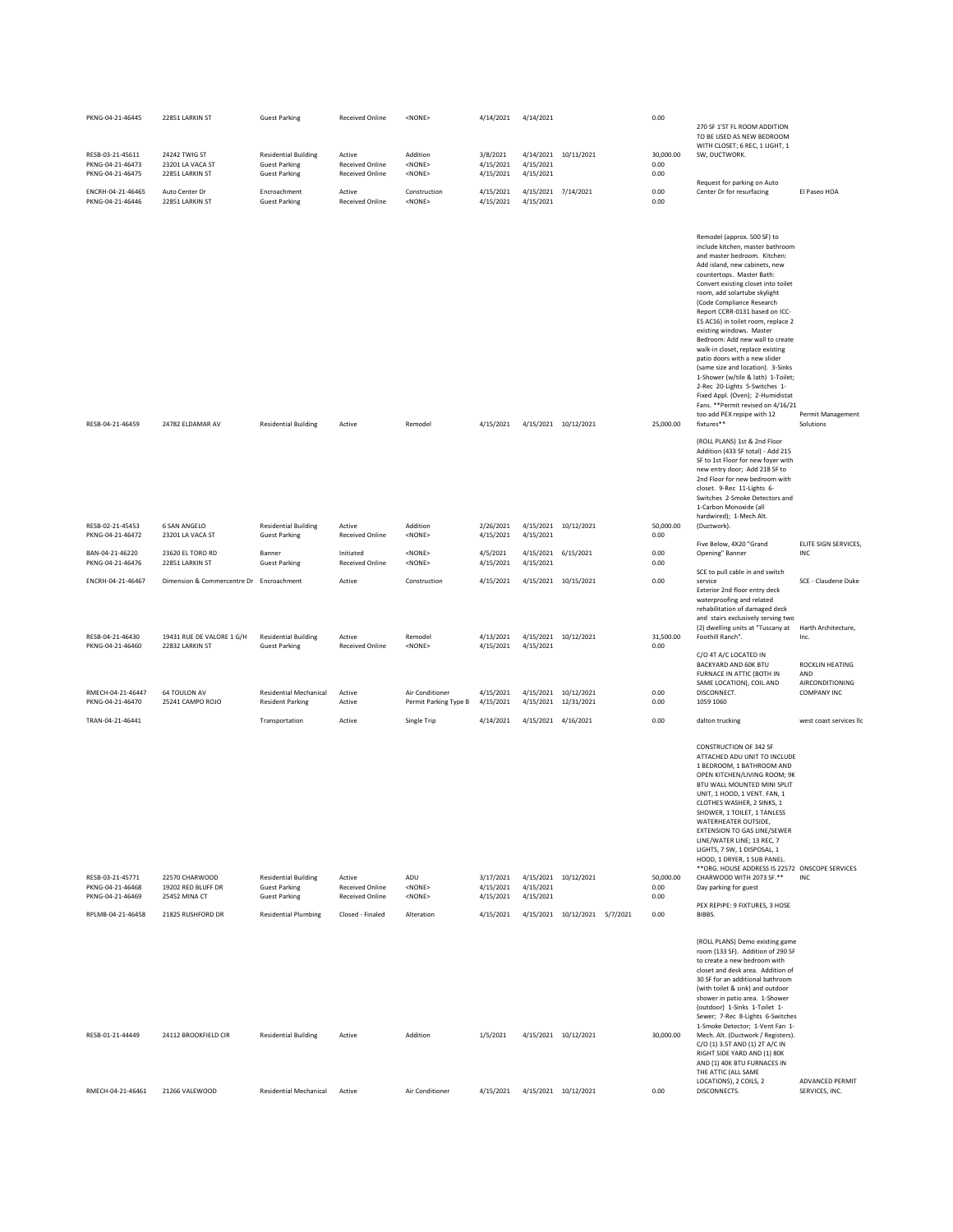| PKNG-04-21-46445                                         | 22851 LARKIN ST                                                       | <b>Guest Parking</b>                                                        | <b>Received Online</b>                                     | <none></none>                                                        | 4/14/2021                           | 4/14/2021                           |                                              | 0.00                      |                                                                                                                                                                                                                                                                                                                                                                                                                                                                                                                                                                                                                                                                                                                 |                                                                        |
|----------------------------------------------------------|-----------------------------------------------------------------------|-----------------------------------------------------------------------------|------------------------------------------------------------|----------------------------------------------------------------------|-------------------------------------|-------------------------------------|----------------------------------------------|---------------------------|-----------------------------------------------------------------------------------------------------------------------------------------------------------------------------------------------------------------------------------------------------------------------------------------------------------------------------------------------------------------------------------------------------------------------------------------------------------------------------------------------------------------------------------------------------------------------------------------------------------------------------------------------------------------------------------------------------------------|------------------------------------------------------------------------|
|                                                          |                                                                       |                                                                             |                                                            |                                                                      |                                     |                                     |                                              |                           | 270 SF 1'ST FL ROOM ADDITION<br>TO BE USED AS NEW BEDROOM<br>WITH CLOSET; 6 REC, 1 LIGHT, 1                                                                                                                                                                                                                                                                                                                                                                                                                                                                                                                                                                                                                     |                                                                        |
| RESB-03-21-45611<br>PKNG-04-21-46473<br>PKNG-04-21-46475 | 24242 TWIG ST<br>23201 LA VACA ST<br>22851 LARKIN ST                  | <b>Residential Building</b><br><b>Guest Parking</b><br><b>Guest Parking</b> | Active<br><b>Received Online</b><br><b>Received Online</b> | Addition<br><none><br/><math>&lt;</math>NONE<math>&gt;</math></none> | 3/8/2021<br>4/15/2021<br>4/15/2021  | 4/14/2021<br>4/15/2021<br>4/15/2021 | 10/11/2021                                   | 30,000.00<br>0.00<br>0.00 | SW, DUCTWORK.                                                                                                                                                                                                                                                                                                                                                                                                                                                                                                                                                                                                                                                                                                   |                                                                        |
| ENCRH-04-21-46465<br>PKNG-04-21-46446                    | Auto Center Dr<br>22851 LARKIN ST                                     | Encroachment<br><b>Guest Parking</b>                                        | Active<br><b>Received Online</b>                           | Construction<br><none></none>                                        | 4/15/2021<br>4/15/2021              | 4/15/2021                           | 4/15/2021 7/14/2021                          | 0.00<br>0.00              | Request for parking on Auto<br>Center Dr for resurfacing                                                                                                                                                                                                                                                                                                                                                                                                                                                                                                                                                                                                                                                        | El Paseo HOA                                                           |
| RESB-04-21-46459                                         | 24782 ELDAMAR AV                                                      | <b>Residential Building</b>                                                 | Active                                                     | Remodel                                                              | 4/15/2021                           |                                     | 4/15/2021 10/12/2021                         | 25,000.00                 | Remodel (approx. 500 SF) to<br>include kitchen, master bathroom<br>and master bedroom. Kitchen:<br>Add island, new cabinets, new<br>countertops. Master Bath:<br>Convert existing closet into toilet<br>room, add solartube skylight<br>(Code Compliance Research<br>Report CCRR-0131 based on ICC-<br>ES AC16) in toilet room, replace 2<br>existing windows. Master<br>Bedroom: Add new wall to create<br>walk-in closet, replace existing<br>patio doors with a new slider<br>(same size and location). 3-Sinks<br>1-Shower (w/tile & lath) 1-Toilet;<br>2-Rec 20-Lights 5-Switches 1-<br>Fixed Appl. (Oven); 2-Humidistat<br>Fans. ** Permit revised on 4/16/21<br>too add PEX repipe with 12<br>fixtures** | <b>Permit Management</b><br>Solutions                                  |
|                                                          |                                                                       |                                                                             |                                                            |                                                                      |                                     |                                     |                                              |                           | (ROLL PLANS) 1st & 2nd Floor<br>Addition (433 SF total) - Add 215<br>SF to 1st Floor for new foyer with<br>new entry door; Add 218 SF to<br>2nd Floor for new bedroom with<br>closet. 9-Rec 11-Lights 6-<br>Switches 2-Smoke Detectors and<br>1-Carbon Monoxide (all<br>hardwired); 1-Mech Alt.                                                                                                                                                                                                                                                                                                                                                                                                                 |                                                                        |
| RESB-02-21-45453<br>PKNG-04-21-46472                     | 6 SAN ANGELO<br>23201 LA VACA ST                                      | <b>Residential Building</b><br><b>Guest Parking</b>                         | Active<br><b>Received Online</b>                           | Addition<br><none></none>                                            | 2/26/2021<br>4/15/2021              | 4/15/2021                           | 4/15/2021 10/12/2021                         | 50,000.00<br>0.00         | (Ductwork).<br>Five Below, 4X20 "Grand                                                                                                                                                                                                                                                                                                                                                                                                                                                                                                                                                                                                                                                                          | ELITE SIGN SERVICES,                                                   |
| BAN-04-21-46220<br>PKNG-04-21-46476                      | 23620 EL TORO RD<br>22851 LARKIN ST                                   | Banner<br><b>Guest Parking</b>                                              | Initiated<br><b>Received Online</b>                        | <none><br/><none></none></none>                                      | 4/5/2021<br>4/15/2021               | 4/15/2021<br>4/15/2021              | 6/15/2021                                    | 0.00<br>0.00              | Opening" Banner<br>SCE to pull cable in and switch                                                                                                                                                                                                                                                                                                                                                                                                                                                                                                                                                                                                                                                              | INC                                                                    |
| ENCRH-04-21-46467<br>RESB-04-21-46430                    | Dimension & Commercentre Dr Encroachment<br>19431 RUE DE VALORE 1 G/H | <b>Residential Building</b>                                                 | Active<br>Active                                           | Construction<br>Remodel                                              | 4/15/2021<br>4/13/2021              |                                     | 4/15/2021 10/15/2021<br>4/15/2021 10/12/2021 | 0.00<br>31,500.00         | service<br>Exterior 2nd floor entry deck<br>waterproofing and related<br>rehabilitation of damaged deck<br>and stairs exclusively serving two<br>(2) dwelling units at "Tuscany at<br>Foothill Ranch".                                                                                                                                                                                                                                                                                                                                                                                                                                                                                                          | SCE - Claudene Duke<br>Harth Architecture,<br>Inc.                     |
| PKNG-04-21-46460<br>RMECH-04-21-46447                    | 22832 LARKIN ST<br>64 TOULON AV                                       | <b>Guest Parking</b><br><b>Residential Mechanical</b>                       | <b>Received Online</b><br>Active                           | <none><br/>Air Conditioner</none>                                    | 4/15/2021<br>4/15/2021              | 4/15/2021                           | 4/15/2021 10/12/2021                         | 0.00<br>0.00              | C/O 4T A/C LOCATED IN<br>BACKYARD AND 60K BTU<br>FURNACE IN ATTIC (BOTH IN<br>SAME LOCATION), COIL AND<br>DISCONNECT.                                                                                                                                                                                                                                                                                                                                                                                                                                                                                                                                                                                           | ROCKLIN HEATING<br>AND<br><b>AIRCONDITIONING</b><br><b>COMPANY INC</b> |
| PKNG-04-21-46470<br>TRAN-04-21-46441                     | 25241 CAMPO ROJO                                                      | <b>Resident Parking</b><br>Transportation                                   | Active<br>Active                                           | Permit Parking Type B<br>Single Trip                                 | 4/15/2021<br>4/14/2021              | 4/15/2021<br>4/15/2021 4/16/2021    | 12/31/2021                                   | 0.00<br>0.00              | 1059 1060<br>dalton trucking                                                                                                                                                                                                                                                                                                                                                                                                                                                                                                                                                                                                                                                                                    | west coast services llc                                                |
|                                                          |                                                                       |                                                                             |                                                            |                                                                      |                                     |                                     |                                              |                           | <b>CONSTRUCTION OF 342 SF</b><br>ATTACHED ADU UNIT TO INCLUDE<br>1 BEDROOM, 1 BATHROOM AND<br>OPEN KITCHEN/LIVING ROOM; 9K<br>BTU WALL MOUNTED MINI SPLIT<br>UNIT, 1 HOOD, 1 VENT. FAN, 1<br>CLOTHES WASHER, 2 SINKS, 1<br>SHOWER, 1 TOILET, 1 TANLESS<br>WATERHEATER OUTSIDE,<br><b>EXTENSION TO GAS LINE/SEWER</b><br>LINE/WATER LINE; 13 REC, 7<br>LIGHTS, 7 SW, 1 DISPOSAL, 1<br>HOOD, 1 DRYER, 1 SUB PANEL<br>** ORG. HOUSE ADDRESS IS 22572 ONSCOPE SERVICES                                                                                                                                                                                                                                              |                                                                        |
| RESB-03-21-45771<br>PKNG-04-21-46468<br>PKNG-04-21-46469 | 22570 CHARWOOD<br>19202 RED BLUFF DR<br>25452 MINA CT                 | <b>Residential Building</b><br><b>Guest Parking</b><br><b>Guest Parking</b> | Active<br><b>Received Online</b><br><b>Received Online</b> | ADU<br><none><br/><none></none></none>                               | 3/17/2021<br>4/15/2021<br>4/15/2021 | 4/15/2021<br>4/15/2021              | 4/15/2021 10/12/2021                         | 50,000.00<br>0.00<br>0.00 | CHARWOOD WITH 2073 SF.**<br>Day parking for guest                                                                                                                                                                                                                                                                                                                                                                                                                                                                                                                                                                                                                                                               | <b>INC</b>                                                             |
| RPLMB-04-21-46458                                        | 21825 RUSHFORD DR                                                     | <b>Residential Plumbing</b>                                                 | Closed - Finaled                                           | Alteration                                                           | 4/15/2021                           |                                     | 4/15/2021 10/12/2021 5/7/2021                | 0.00                      | PEX REPIPE: 9 FIXTURES, 3 HOSE<br>BIBBS.                                                                                                                                                                                                                                                                                                                                                                                                                                                                                                                                                                                                                                                                        |                                                                        |
| RESB-01-21-44449                                         | 24112 BROOKFIELD CIR                                                  | <b>Residential Building</b>                                                 | Active                                                     | Addition                                                             | 1/5/2021                            |                                     | 4/15/2021 10/12/2021                         | 30,000.00                 | (ROLL PLANS) Demo existing game<br>room (133 SF). Addition of 290 SF<br>to create a new bedroom with<br>closet and desk area. Addition of<br>30 SE for an additional bathroom<br>(with toilet & sink) and outdoor<br>shower in patio area. 1-Shower<br>(outdoor) 1-Sinks 1-Toilet 1-<br>Sewer; 7-Rec 8-Lights 6-Switches<br>1-Smoke Detector; 1-Vent Fan 1-<br>Mech. Alt. (Ductwork / Registers).<br>C/O (1) 3.5T AND (1) 2T A/C IN<br>RIGHT SIDE YARD AND (1) 80K<br>AND (1) 40K BTU FURNACES IN<br>THE ATTIC (ALL SAME<br>LOCATIONS), 2 COILS, 2                                                                                                                                                              | ADVANCED PERMIT                                                        |
| RMECH-04-21-46461                                        | 21266 VALEWOOD                                                        | <b>Residential Mechanical</b>                                               | Active                                                     | Air Conditioner                                                      | 4/15/2021                           |                                     | 4/15/2021 10/12/2021                         | 0.00                      | DISCONNECTS.                                                                                                                                                                                                                                                                                                                                                                                                                                                                                                                                                                                                                                                                                                    | SERVICES, INC.                                                         |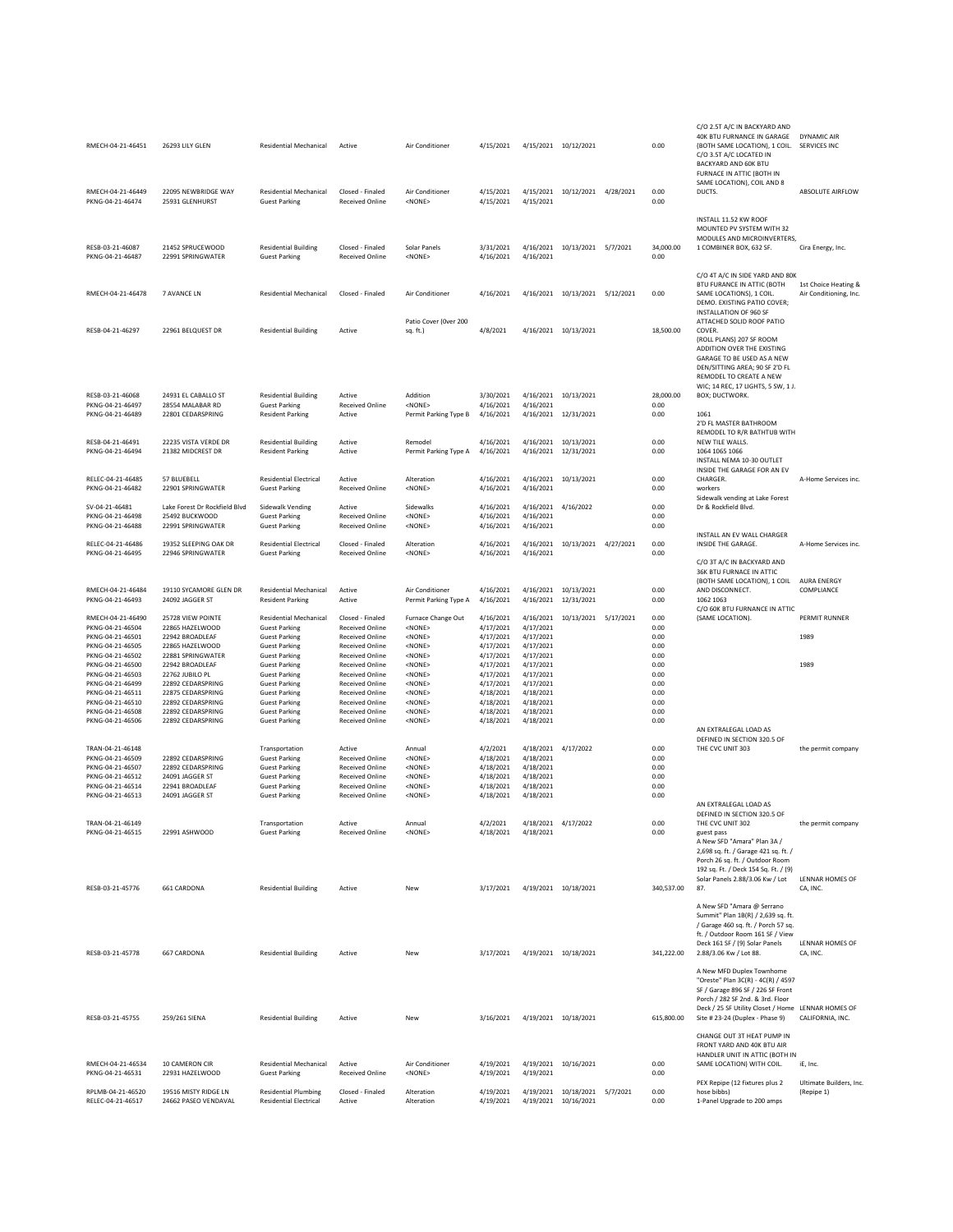| RMECH-04-21-46451                     | 26293 LILY GLEN                            | Residential Mechanical                                   | Active                                           | Air Conditioner                          | 4/15/2021              | 4/15/2021 10/12/2021             |                                                       | 0.00              | C/O 2.5T A/C IN BACKYARD AND<br>40K BTU FURNANCE IN GARAGE<br>(BOTH SAME LOCATION), 1 COIL.<br>C/O 3.5T A/C LOCATED IN<br>BACKYARD AND 60K BTU<br>FURNACE IN ATTIC (BOTH IN                                                          | <b>DYNAMIC AIR</b><br>SERVICES INC             |
|---------------------------------------|--------------------------------------------|----------------------------------------------------------|--------------------------------------------------|------------------------------------------|------------------------|----------------------------------|-------------------------------------------------------|-------------------|--------------------------------------------------------------------------------------------------------------------------------------------------------------------------------------------------------------------------------------|------------------------------------------------|
| RMECH-04-21-46449<br>PKNG-04-21-46474 | 22095 NEWBRIDGE WAY<br>25931 GLENHURST     | <b>Residential Mechanical</b><br><b>Guest Parking</b>    | Closed - Finaled<br><b>Received Online</b>       | Air Conditioner<br><none></none>         | 4/15/2021<br>4/15/2021 | 4/15/2021                        | 4/15/2021 10/12/2021 4/28/2021                        | 0.00<br>0.00      | SAME LOCATION), COIL AND 8<br>DUCTS.                                                                                                                                                                                                 | ABSOLUTE AIRFLOW                               |
| RESB-03-21-46087<br>PKNG-04-21-46487  | 21452 SPRUCEWOOD<br>22991 SPRINGWATER      | <b>Residential Building</b><br><b>Guest Parking</b>      | Closed - Finaled<br><b>Received Online</b>       | Solar Panels<br><none></none>            | 3/31/2021<br>4/16/2021 | 4/16/2021<br>4/16/2021           | 10/13/2021 5/7/2021                                   | 34,000.00<br>0.00 | INSTALL 11.52 KW ROOF<br>MOUNTED PV SYSTEM WITH 32<br>MODULES AND MICROINVERTERS,<br>1 COMBINER BOX, 632 SF.                                                                                                                         | Cira Energy, Inc.                              |
|                                       |                                            |                                                          |                                                  |                                          |                        |                                  |                                                       |                   | C/O 4T A/C IN SIDE YARD AND 80K                                                                                                                                                                                                      |                                                |
| RMECH-04-21-46478                     | 7 AVANCE LN                                | <b>Residential Mechanical</b>                            | Closed - Finaled                                 | Air Conditioner                          | 4/16/2021              |                                  | 4/16/2021 10/13/2021 5/12/2021                        | 0.00              | BTU FURANCE IN ATTIC (BOTH<br>SAME LOCATIONS), 1 COIL.<br>DEMO. EXISTING PATIO COVER;<br>INSTALLATION OF 960 SF                                                                                                                      | 1st Choice Heating &<br>Air Conditioning, Inc. |
| RESB-04-21-46297                      | 22961 BELQUEST DR                          | <b>Residential Building</b>                              | Active                                           | Patio Cover (Over 200<br>sq. ft.)        | 4/8/2021               | 4/16/2021 10/13/2021             |                                                       | 18,500.00         | ATTACHED SOLID ROOF PATIO<br><b>COVER</b><br>(ROLL PLANS) 207 SF ROOM<br>ADDITION OVER THE EXISTING<br>GARAGE TO BE USED AS A NEW<br>DEN/SITTING AREA: 90 SF 2'D FL<br>REMODEL TO CREATE A NEW<br>WIC; 14 REC, 17 LIGHTS, 5 SW, 1 J. |                                                |
| RESB-03-21-46068<br>PKNG-04-21-46497  | 24931 EL CABALLO ST<br>28554 MALABAR RD    | <b>Residential Building</b><br><b>Guest Parking</b>      | Active<br><b>Received Online</b>                 | Addition<br><none></none>                | 3/30/2021<br>4/16/2021 | 4/16/2021<br>4/16/2021           | 10/13/2021                                            | 28,000.00<br>0.00 | BOX; DUCTWORK.                                                                                                                                                                                                                       |                                                |
| PKNG-04-21-46489                      | 22801 CEDARSPRING                          | <b>Resident Parking</b>                                  | Active                                           | Permit Parking Type B                    | 4/16/2021              |                                  | 4/16/2021 12/31/2021                                  | 0.00              | 1061<br>2'D FL MASTER BATHROOM                                                                                                                                                                                                       |                                                |
| RESB-04-21-46491<br>PKNG-04-21-46494  | 22235 VISTA VERDE DR<br>21382 MIDCREST DR  | <b>Residential Building</b><br><b>Resident Parking</b>   | Active<br>Active                                 | Remodel<br>Permit Parking Type A         | 4/16/2021<br>4/16/2021 |                                  | 4/16/2021 10/13/2021<br>4/16/2021 12/31/2021          | 0.00<br>0.00      | REMODEL TO R/R BATHTUB WITH<br>NFW TILF WALLS.<br>1064 1065 1066<br>INSTALL NEMA 10-30 OUTLET<br>INSIDE THE GARAGE FOR AN EV                                                                                                         |                                                |
| RELEC-04-21-46485<br>PKNG-04-21-46482 | 57 BLUEBELL<br>22901 SPRINGWATER           | <b>Residential Electrical</b><br><b>Guest Parking</b>    | Active<br><b>Received Online</b>                 | Alteration<br><none></none>              | 4/16/2021<br>4/16/2021 | 4/16/2021<br>4/16/2021           | 10/13/2021                                            | 0.00<br>0.00      | CHARGER<br>workers                                                                                                                                                                                                                   | A-Home Services inc.                           |
| SV-04-21-46481                        | Lake Forest Dr Rockfield Blvd              | Sidewalk Vending                                         | Active                                           | Sidewalks                                | 4/16/2021              | 4/16/2021                        | 4/16/2022                                             | 0.00              | Sidewalk vending at Lake Forest<br>Dr & Rockfield Blvd.                                                                                                                                                                              |                                                |
| PKNG-04-21-46498<br>PKNG-04-21-46488  | 25492 BUCKWOOD<br>22991 SPRINGWATER        | <b>Guest Parking</b><br><b>Guest Parking</b>             | Received Online<br><b>Received Online</b>        | <none><br/><none></none></none>          | 4/16/2021<br>4/16/2021 | 4/16/2021<br>4/16/2021           |                                                       | 0.00<br>0.00      | INSTALL AN EV WALL CHARGER                                                                                                                                                                                                           |                                                |
| RELEC-04-21-46486<br>PKNG-04-21-46495 | 19352 SLEEPING OAK DR<br>22946 SPRINGWATER | <b>Residential Electrical</b><br><b>Guest Parking</b>    | Closed - Finaled<br><b>Received Online</b>       | Alteration<br><none></none>              | 4/16/2021<br>4/16/2021 | 4/16/2021<br>4/16/2021           | 10/13/2021 4/27/2021                                  | 0.00<br>0.00      | INSIDE THE GARAGE.                                                                                                                                                                                                                   | A-Home Services inc.                           |
|                                       |                                            |                                                          |                                                  |                                          |                        |                                  |                                                       |                   | C/O 3T A/C IN BACKYARD AND<br>36K BTU FURNACE IN ATTIC<br>(BOTH SAME LOCATION), 1 COIL                                                                                                                                               | <b>AURA ENERGY</b>                             |
| RMECH-04-21-46484<br>PKNG-04-21-46493 | 19110 SYCAMORE GLEN DR<br>24092 JAGGER ST  | <b>Residential Mechanical</b><br><b>Resident Parking</b> | Active<br>Active                                 | Air Conditioner<br>Permit Parking Type A | 4/16/2021<br>4/16/2021 | 4/16/2021<br>4/16/2021           | 10/13/2021<br>12/31/2021                              | 0.00<br>0.00      | AND DISCONNECT.<br>1062 1063<br>C/O 60K BTU FURNANCE IN ATTIC                                                                                                                                                                        | COMPLIANCE                                     |
| RMECH-04-21-46490                     | 25728 VIEW POINTE                          | <b>Residential Mechanical</b>                            | Closed - Finaled                                 | Furnace Change Out                       | 4/16/2021              | 4/16/2021                        | 10/13/2021 5/17/2021                                  | 0.00              | (SAME LOCATION).                                                                                                                                                                                                                     | PERMIT RUNNER                                  |
| PKNG-04-21-46504<br>PKNG-04-21-46501  | 22865 HAZELWOOD<br>22942 BROADLEAF         | <b>Guest Parking</b><br><b>Guest Parking</b>             | <b>Received Online</b><br><b>Received Online</b> | <none><br/><none></none></none>          | 4/17/2021<br>4/17/2021 | 4/17/2021<br>4/17/2021           |                                                       | 0.00<br>0.00      |                                                                                                                                                                                                                                      | 1989                                           |
| PKNG-04-21-46505                      | 22865 HAZELWOOD                            | <b>Guest Parking</b>                                     | <b>Received Online</b>                           | <none></none>                            | 4/17/2021              | 4/17/2021                        |                                                       | 0.00              |                                                                                                                                                                                                                                      |                                                |
| PKNG-04-21-46502<br>PKNG-04-21-46500  | 22881 SPRINGWATER<br>22942 BROADLEAF       | <b>Guest Parking</b><br><b>Guest Parking</b>             | <b>Received Online</b><br><b>Received Online</b> | <none><br/><none></none></none>          | 4/17/2021<br>4/17/2021 | 4/17/2021<br>4/17/2021           |                                                       | 0.00<br>0.00      |                                                                                                                                                                                                                                      | 1989                                           |
| PKNG-04-21-46503                      | 22762 JUBILO PL                            | <b>Guest Parking</b>                                     | <b>Received Online</b>                           | <none></none>                            | 4/17/2021              | 4/17/2021                        |                                                       | 0.00              |                                                                                                                                                                                                                                      |                                                |
| PKNG-04-21-46499<br>PKNG-04-21-46511  | 22892 CEDARSPRING<br>22875 CEDARSPRING     | <b>Guest Parking</b><br><b>Guest Parking</b>             | <b>Received Online</b><br><b>Received Online</b> | <none><br/><none></none></none>          | 4/17/2021<br>4/18/2021 | 4/17/2021<br>4/18/2021           |                                                       | 0.00<br>0.00      |                                                                                                                                                                                                                                      |                                                |
| PKNG-04-21-46510                      | 22892 CEDARSPRING                          | <b>Guest Parking</b>                                     | <b>Received Online</b>                           | <none></none>                            | 4/18/2021              | 4/18/2021                        |                                                       | 0.00              |                                                                                                                                                                                                                                      |                                                |
| PKNG-04-21-46508<br>PKNG-04-21-46506  | 22892 CEDARSPRING<br>22892 CEDARSPRING     | <b>Guest Parking</b><br><b>Guest Parking</b>             | <b>Received Online</b><br><b>Received Online</b> | <none><br/><none></none></none>          | 4/18/2021<br>4/18/2021 | 4/18/2021<br>4/18/2021           |                                                       | 0.00<br>0.00      |                                                                                                                                                                                                                                      |                                                |
|                                       |                                            |                                                          |                                                  |                                          |                        |                                  |                                                       |                   | AN EXTRALEGAL LOAD AS<br>DEFINED IN SECTION 320.5 OF                                                                                                                                                                                 |                                                |
| TRAN-04-21-46148<br>PKNG-04-21-46509  | 22892 CEDARSPRING                          | Transportation<br><b>Guest Parking</b>                   | Active<br><b>Received Online</b>                 | Annual<br><none></none>                  | 4/2/2021<br>4/18/2021  | 4/18/2021<br>4/18/2021           | 4/17/2022                                             | 0.00<br>0.00      | THE CVC UNIT 303                                                                                                                                                                                                                     | the permit company                             |
| PKNG-04-21-46507                      | 22892 CEDARSPRING                          | <b>Guest Parking</b>                                     | <b>Received Online</b>                           | <none></none>                            | 4/18/2021              | 4/18/2021                        |                                                       | 0.00              |                                                                                                                                                                                                                                      |                                                |
| PKNG-04-21-46512<br>PKNG-04-21-46514  | 24091 JAGGER ST<br>22941 BROADLEAF         | <b>Guest Parking</b><br><b>Guest Parking</b>             | <b>Received Online</b><br><b>Received Online</b> | <none><br/><none></none></none>          | 4/18/2021<br>4/18/2021 | 4/18/2021<br>4/18/2021           |                                                       | 0.00<br>0.00      |                                                                                                                                                                                                                                      |                                                |
| PKNG-04-21-46513                      | 24091 JAGGER ST                            | <b>Guest Parking</b>                                     | <b>Received Online</b>                           | <none></none>                            | 4/18/2021              | 4/18/2021                        |                                                       | 0.00              |                                                                                                                                                                                                                                      |                                                |
|                                       |                                            |                                                          |                                                  |                                          |                        |                                  |                                                       |                   | AN EXTRALEGAL LOAD AS<br>DEFINED IN SECTION 320.5 OF                                                                                                                                                                                 |                                                |
| TRAN-04-21-46149<br>PKNG-04-21-46515  | 22991 ASHWOOD                              | Transportation<br><b>Guest Parking</b>                   | Active<br>Received Online                        | Annual<br><none></none>                  | 4/2/2021<br>4/18/2021  | 4/18/2021 4/17/2022<br>4/18/2021 |                                                       | 0.00<br>0.00      | THE CVC UNIT 302<br>guest pass<br>A New SFD "Amara" Plan 3A /<br>2,698 sq. ft. / Garage 421 sq. ft. /<br>Porch 26 sq. ft. / Outdoor Room<br>192 sq. Ft. / Deck 154 Sq. Ft. / (9)                                                     | the permit company                             |
| RESB-03-21-45776                      | 661 CARDONA                                | <b>Residential Building</b>                              | Active                                           | New                                      | 3/17/2021              |                                  | 4/19/2021 10/18/2021                                  | 340,537.00        | Solar Panels 2.88/3.06 Kw / Lot<br>87.                                                                                                                                                                                               | LENNAR HOMES OF<br>CA, INC.                    |
| RESB-03-21-45778                      | 667 CARDONA                                | <b>Residential Building</b>                              | Active                                           | New                                      | 3/17/2021              | 4/19/2021 10/18/2021             |                                                       | 341,222.00        | A New SFD "Amara @ Serrano<br>Summit" Plan 1B(R) / 2,639 sq. ft.<br>/ Garage 460 sq. ft. / Porch 57 sq.<br>ft. / Outdoor Room 161 SF / View<br>Deck 161 SF / (9) Solar Panels<br>2.88/3.06 Kw / Lot 88.                              | LENNAR HOMES OF<br>CA, INC.                    |
|                                       |                                            |                                                          |                                                  |                                          |                        |                                  |                                                       |                   | A New MFD Duplex Townhome<br>"Oreste" Plan 3C(R) - 4C(R) / 4597<br>SF / Garage 896 SF / 226 SF Front<br>Porch / 282 SF 2nd. & 3rd. Floor<br>Deck / 25 SF Utility Closet / Home LENNAR HOMES OF                                       |                                                |
| RESB-03-21-45755                      | 259/261 SIENA                              | <b>Residential Building</b>                              | Active                                           | New                                      | 3/16/2021              |                                  | 4/19/2021 10/18/2021                                  | 615,800.00        | Site # 23-24 (Duplex - Phase 9)<br>CHANGE OUT 3T HEAT PUMP IN<br>FRONT YARD AND 40K BTU AIR                                                                                                                                          | CALIFORNIA, INC.                               |
| RMECH-04-21-46534<br>PKNG-04-21-46531 | 10 CAMERON CIR<br>22931 HAZELWOOD          | <b>Residential Mechanical</b><br><b>Guest Parking</b>    | Active<br><b>Received Online</b>                 | Air Conditioner<br><none></none>         | 4/19/2021<br>4/19/2021 | 4/19/2021                        | 4/19/2021 10/16/2021                                  | 0.00<br>0.00      | HANDLER UNIT IN ATTIC (BOTH IN<br>SAME LOCATION) WITH COIL.                                                                                                                                                                          | iE, Inc.                                       |
| RPLMB-04-21-46520                     | 19516 MISTY RIDGE LN                       | <b>Residential Plumbing</b>                              | Closed - Finaled                                 | Alteration                               | 4/19/2021              |                                  |                                                       | 0.00              | PEX Repipe (12 fixtures plus 2<br>hose bibbs)                                                                                                                                                                                        | Ultimate Builders, Inc.                        |
| RELEC-04-21-46517                     | 24662 PASEO VENDAVAL                       | <b>Residential Electrical</b>                            | Active                                           | Alteration                               | 4/19/2021              |                                  | 4/19/2021 10/18/2021 5/7/2021<br>4/19/2021 10/16/2021 | 0.00              | 1-Panel Upgrade to 200 amps                                                                                                                                                                                                          | (Repipe 1)                                     |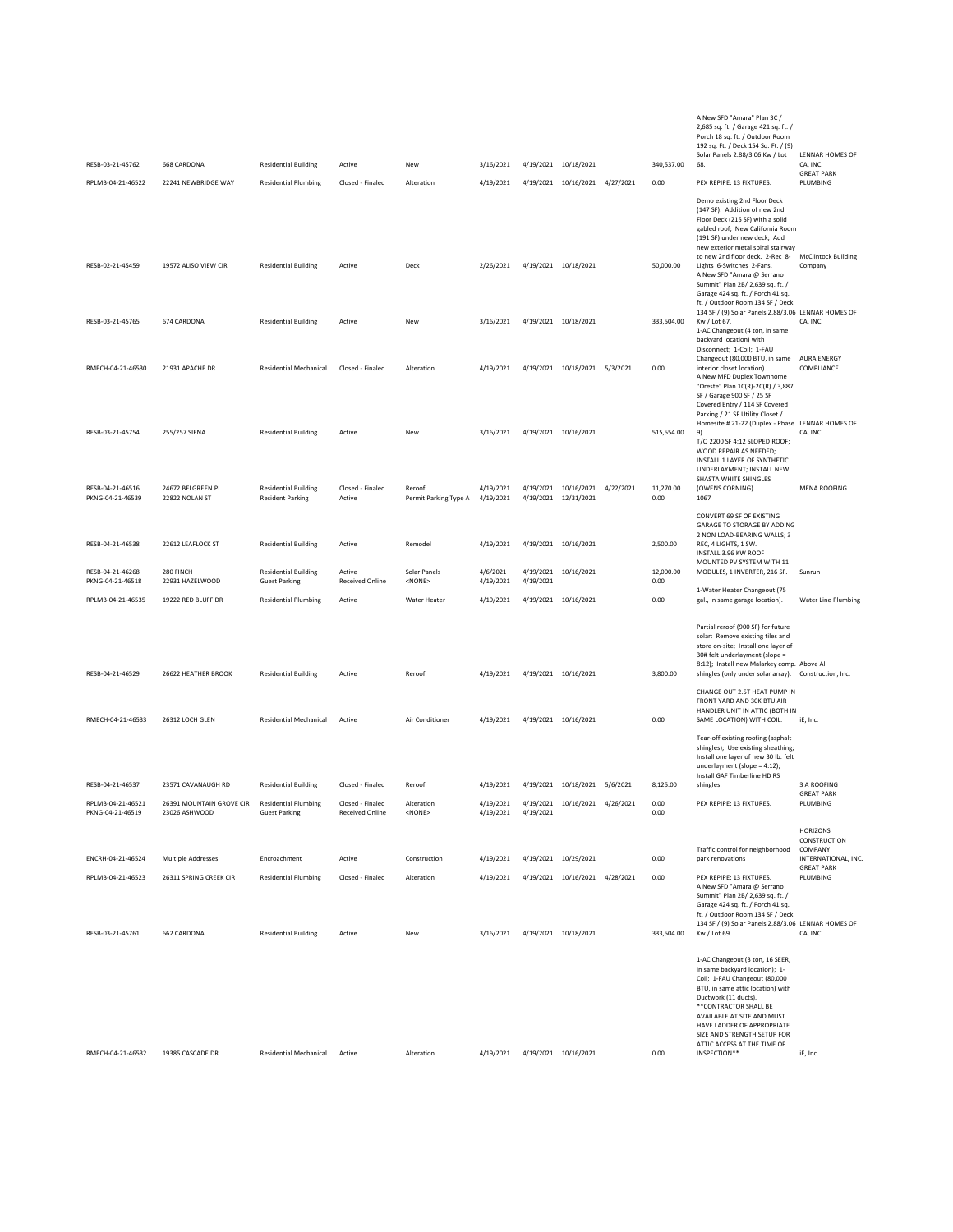| RFSB-03-21-45762<br>RPLMB-04-21-46522 | <b>668 CARDONA</b><br>22241 NEWBRIDGE WAY | <b>Residential Building</b><br><b>Residential Plumbing</b> | Active<br>Closed - Finaled                 | New<br>Alteration               | 3/16/2021<br>4/19/2021 |           | 4/19/2021 10/18/2021<br>4/19/2021 10/16/2021 4/27/2021 |           | 340,537.00<br>0.00 | A New SFD "Amara" Plan 3C /<br>2,685 sq. ft. / Garage 421 sq. ft. /<br>Porch 18 sq. ft. / Outdoor Room<br>192 sq. Ft. / Deck 154 Sq. Ft. / (9)<br>Solar Panels 2.88/3.06 Kw / Lot<br>68.<br>PEX REPIPE: 13 FIXTURES.                                                                                                                | LENNAR HOMES OF<br>CA, INC.<br><b>GREAT PARK</b><br>PLUMBING     |
|---------------------------------------|-------------------------------------------|------------------------------------------------------------|--------------------------------------------|---------------------------------|------------------------|-----------|--------------------------------------------------------|-----------|--------------------|-------------------------------------------------------------------------------------------------------------------------------------------------------------------------------------------------------------------------------------------------------------------------------------------------------------------------------------|------------------------------------------------------------------|
|                                       |                                           |                                                            |                                            |                                 |                        |           |                                                        |           |                    | Demo existing 2nd Floor Deck<br>(147 SF). Addition of new 2nd<br>Floor Deck (215 SF) with a solid<br>gabled roof; New California Room<br>(191 SF) under new deck; Add<br>new exterior metal spiral stairway                                                                                                                         |                                                                  |
| RESB-02-21-45459                      | 19572 ALISO VIEW CIR                      | <b>Residential Building</b>                                | Active                                     | Deck                            | 2/26/2021              |           | 4/19/2021 10/18/2021                                   |           | 50,000.00          | to new 2nd floor deck. 2-Rec 8-<br>Lights 6-Switches 2-Fans.<br>A New SFD "Amara @ Serrano<br>Summit" Plan 2B/ 2,639 sq. ft. /<br>Garage 424 sq. ft. / Porch 41 sq.<br>ft. / Outdoor Room 134 SF / Deck                                                                                                                             | <b>McClintock Building</b><br>Company                            |
| RESB-03-21-45765                      | 674 CARDONA                               | <b>Residential Building</b>                                | Active                                     | New                             | 3/16/2021              |           | 4/19/2021 10/18/2021                                   |           | 333,504.00         | 134 SF / (9) Solar Panels 2.88/3.06 LENNAR HOMES OF<br>Kw / Lot 67.<br>1-AC Changeout (4 ton, in same<br>backyard location) with<br>Disconnect; 1-Coil; 1-FAU                                                                                                                                                                       | CA, INC.                                                         |
| RMECH-04-21-46530                     | 21931 APACHE DR                           | <b>Residential Mechanical</b>                              | Closed - Finaled                           | Alteration                      | 4/19/2021              |           | 4/19/2021 10/18/2021 5/3/2021                          |           | 0.00               | Changeout (80,000 BTU, in same<br>interior closet location).<br>A New MFD Duplex Townhome<br>"Oreste" Plan 1C(R)-2C(R) / 3,887<br>SF / Garage 900 SF / 25 SF<br>Covered Entry / 114 SF Covered                                                                                                                                      | <b>AURA ENERGY</b><br>COMPLIANCE                                 |
| RESB-03-21-45754                      | 255/257 SIENA                             | <b>Residential Building</b>                                | Active                                     | New                             | 3/16/2021              |           | 4/19/2021 10/16/2021                                   |           | 515,554.00         | Parking / 21 SF Utility Closet /<br>Homesite # 21-22 (Duplex - Phase LENNAR HOMES OF<br>9)<br>T/O 2200 SF 4:12 SLOPED ROOF;<br>WOOD REPAIR AS NEEDED:<br>INSTALL 1 LAYER OF SYNTHETIC                                                                                                                                               | CA, INC.                                                         |
| RESB-04-21-46516<br>PKNG-04-21-46539  | 24672 BELGREEN PL<br>22822 NOLAN ST       | <b>Residential Building</b><br><b>Resident Parking</b>     | Closed - Finaled<br>Active                 | Reroof<br>Permit Parking Type A | 4/19/2021<br>4/19/2021 |           | 4/19/2021 10/16/2021 4/22/2021<br>4/19/2021 12/31/2021 |           | 11,270.00<br>0.00  | UNDERLAYMENT; INSTALL NEW<br>SHASTA WHITE SHINGLES<br>(OWENS CORNING).<br>1067                                                                                                                                                                                                                                                      | <b>MENA ROOFING</b>                                              |
| RESB-04-21-46538                      | 22612 LEAFLOCK ST                         | <b>Residential Building</b>                                | Active                                     | Remodel                         | 4/19/2021              |           | 4/19/2021 10/16/2021                                   |           | 2,500.00           | CONVERT 69 SF OF EXISTING<br>GARAGE TO STORAGE BY ADDING<br>2 NON LOAD-BEARING WALLS; 3<br>REC. 4 LIGHTS. 1 SW.<br>INSTALL 3.96 KW ROOF<br>MOUNTED PV SYSTEM WITH 11                                                                                                                                                                |                                                                  |
| RESB-04-21-46268<br>PKNG-04-21-46518  | 280 FINCH<br>22931 HAZELWOOD              | <b>Residential Building</b><br><b>Guest Parking</b>        | Active<br><b>Received Online</b>           | Solar Panels<br>$<$ NONE $>$    | 4/6/2021<br>4/19/2021  | 4/19/2021 | 4/19/2021 10/16/2021                                   |           | 12,000.00<br>0.00  | MODULES, 1 INVERTER, 216 SF.                                                                                                                                                                                                                                                                                                        | Sunrun                                                           |
| RPLMB-04-21-46535                     | 19222 RED BLUFF DR                        | <b>Residential Plumbing</b>                                | Active                                     | Water Heater                    | 4/19/2021              |           | 4/19/2021 10/16/2021                                   |           | 0.00               | 1-Water Heater Changeout (75<br>gal., in same garage location).                                                                                                                                                                                                                                                                     | <b>Water Line Plumbing</b>                                       |
| RESB-04-21-46529                      | 26622 HEATHER BROOK                       | <b>Residential Building</b>                                | Active                                     | Reroof                          | 4/19/2021              |           | 4/19/2021 10/16/2021                                   |           | 3,800.00           | Partial reroof (900 SF) for future<br>solar: Remove existing tiles and<br>store on-site; Install one layer of<br>30# felt underlayment (slope =<br>8:12); Install new Malarkey comp. Above All<br>shingles (only under solar array). Construction, Inc.                                                                             |                                                                  |
| RMECH-04-21-46533                     | 26312 LOCH GLEN                           | <b>Residential Mechanical</b>                              | Active                                     | Air Conditioner                 | 4/19/2021              |           | 4/19/2021 10/16/2021                                   |           | 0.00               | CHANGE OUT 2.5T HEAT PUMP IN<br>FRONT YARD AND 30K BTU AIR<br>HANDLER UNIT IN ATTIC (BOTH IN<br>SAME LOCATION) WITH COIL.                                                                                                                                                                                                           | iE, Inc.                                                         |
|                                       |                                           |                                                            |                                            |                                 |                        |           |                                                        |           |                    | Tear-off existing roofing (asphalt<br>shingles); Use existing sheathing;<br>Install one layer of new 30 lb. felt<br>underlayment (slope = 4:12);                                                                                                                                                                                    |                                                                  |
| RESB-04-21-46537                      | 23571 CAVANAUGH RD                        | <b>Residential Building</b>                                | Closed - Finaled                           | Reroof                          | 4/19/2021              |           | 4/19/2021 10/18/2021 5/6/2021                          |           | 8,125.00           | Install GAF Timberline HD RS<br>shingles.                                                                                                                                                                                                                                                                                           | 3 A ROOFING<br><b>GREAT PARK</b>                                 |
| RPLMB-04-21-46521<br>PKNG-04-21-46519 | 26391 MOUNTAIN GROVE CIR<br>23026 ASHWOOD | <b>Residential Plumbing</b><br><b>Guest Parking</b>        | Closed - Finaled<br><b>Received Online</b> | Alteration<br><none></none>     | 4/19/2021<br>4/19/2021 | 4/19/2021 | 4/19/2021 10/16/2021                                   | 4/26/2021 | 0.00<br>0.00       | PEX REPIPE: 13 FIXTURES.                                                                                                                                                                                                                                                                                                            | PLUMBING                                                         |
| ENCRH-04-21-46524                     | Multiple Addresses                        | Encroachment                                               | Active                                     | Construction                    | 4/19/2021              |           | 4/19/2021 10/29/2021                                   |           | 0.00               | Traffic control for neighborhood<br>park renovations                                                                                                                                                                                                                                                                                | <b>HORIZONS</b><br>CONSTRUCTION<br>COMPANY<br>INTERNATIONAL, INC |
| RPLMB-04-21-46523                     | 26311 SPRING CREEK CIR                    | <b>Residential Plumbing</b>                                | Closed - Finaled                           | Alteration                      | 4/19/2021              |           | 4/19/2021 10/16/2021 4/28/2021                         |           | 0.00               | PEX REPIPE: 13 FIXTURES.                                                                                                                                                                                                                                                                                                            | <b>GREAT PARK</b><br>PLUMBING                                    |
| RESB-03-21-45761                      | 662 CARDONA                               | <b>Residential Building</b>                                | Active                                     | New                             | 3/16/2021              |           | 4/19/2021 10/18/2021                                   |           | 333,504.00         | A New SFD "Amara @ Serrano<br>Summit" Plan 2B/ 2,639 sq. ft. /<br>Garage 424 sq. ft. / Porch 41 sq.<br>ft. / Outdoor Room 134 SF / Deck<br>134 SF / (9) Solar Panels 2.88/3.06 LENNAR HOMES OF<br>Kw / Lot 69.                                                                                                                      | CA, INC.                                                         |
| RMECH-04-21-46532                     | 19385 CASCADE DR                          | <b>Residential Mechanical</b>                              | Active                                     | Alteration                      | 4/19/2021              |           | 4/19/2021 10/16/2021                                   |           | 0.00               | 1-AC Changeout (3 ton, 16 SEER,<br>in same backyard location); 1-<br>Coil; 1-FAU Changeout (80,000<br>BTU, in same attic location) with<br>Ductwork (11 ducts).<br>** CONTRACTOR SHALL BE<br>AVAILABLE AT SITE AND MUST<br>HAVE LADDER OF APPROPRIATE<br>SIZE AND STRENGTH SETUP FOR<br>ATTIC ACCESS AT THE TIME OF<br>INSPECTION** | iE, Inc.                                                         |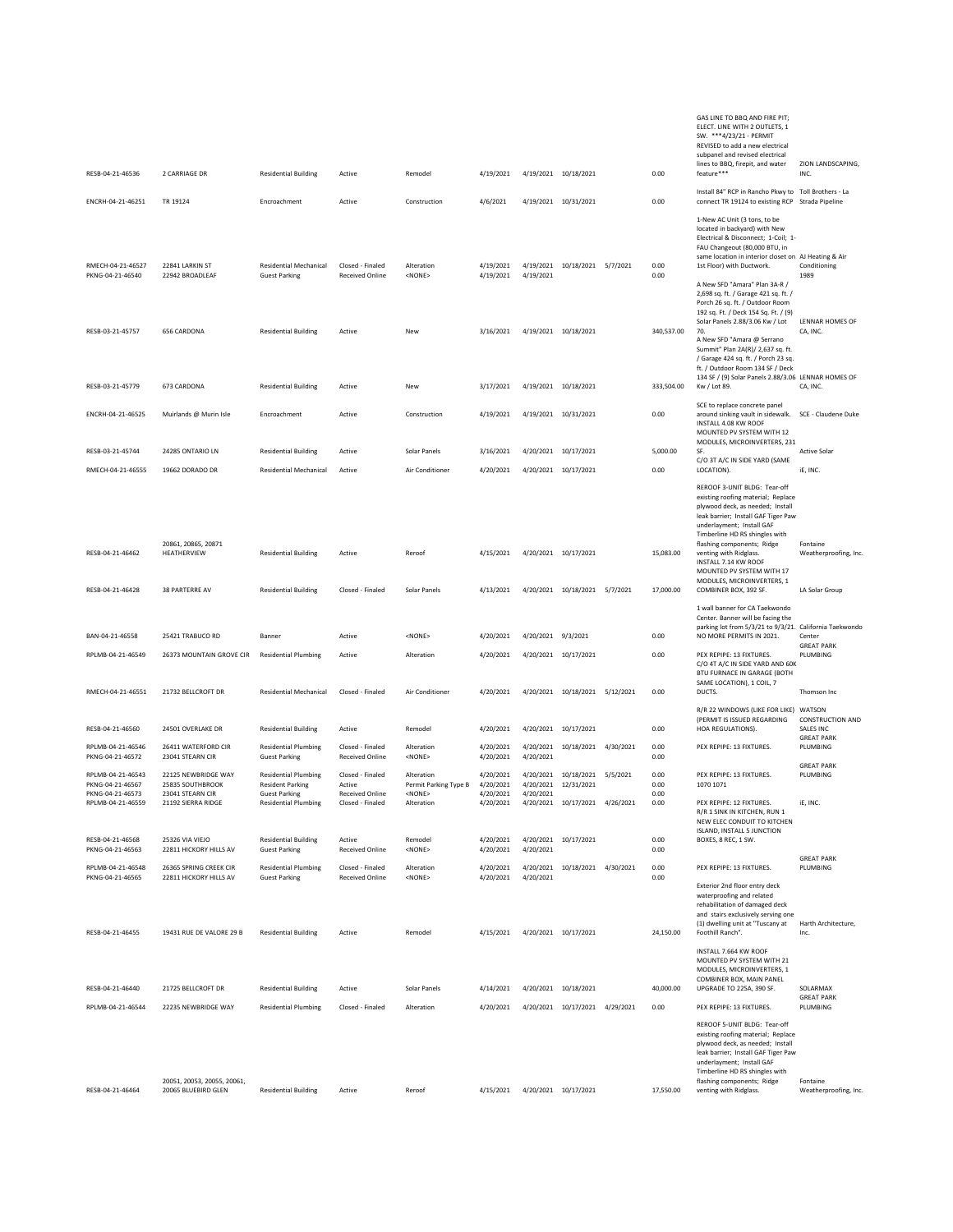| RESB-04-21-46536                      | 2 CARRIAGE DR                                      | <b>Residential Building</b>                            | Active                                     | Remodel                             | 4/19/2021              |                        | 4/19/2021 10/18/2021               |          | 0.00         | GAS LINE TO BBQ AND FIRE PIT;<br>ELECT. LINE WITH 2 OUTLETS, 1<br>SW. *** 4/23/21 - PERMIT<br>REVISED to add a new electrical<br>subpanel and revised electrical<br>lines to BBQ, firepit, and water<br>feature***                                                                                                        | ZION LANDSCAPING,<br>INC.               |
|---------------------------------------|----------------------------------------------------|--------------------------------------------------------|--------------------------------------------|-------------------------------------|------------------------|------------------------|------------------------------------|----------|--------------|---------------------------------------------------------------------------------------------------------------------------------------------------------------------------------------------------------------------------------------------------------------------------------------------------------------------------|-----------------------------------------|
| ENCRH-04-21-46251                     | TR 19124                                           | Encroachment                                           | Active                                     | Construction                        | 4/6/2021               |                        | 4/19/2021 10/31/2021               |          | 0.00         | Install 84" RCP in Rancho Pkwy to Toll Brothers - La<br>connect TR 19124 to existing RCP Strada Pipeline                                                                                                                                                                                                                  |                                         |
|                                       |                                                    |                                                        |                                            |                                     |                        |                        |                                    |          |              | 1-New AC Unit (3 tons, to be<br>located in backyard) with New<br>Electrical & Disconnect; 1-Coil; 1-<br>FAU Changeout (80,000 BTU, in<br>same location in interior closet on AJ Heating & Air                                                                                                                             |                                         |
| RMECH-04-21-46527<br>PKNG-04-21-46540 | 22841 LARKIN ST<br>22942 BROADLEAF                 | <b>Residential Mechanical</b><br><b>Guest Parking</b>  | Closed - Finaled<br><b>Received Online</b> | Alteration<br><none></none>         | 4/19/2021<br>4/19/2021 | 4/19/2021              | 4/19/2021 10/18/2021 5/7/2021      |          | 0.00<br>0.00 | 1st Floor) with Ductwork.<br>A New SFD "Amara" Plan 3A-R /<br>2,698 sq. ft. / Garage 421 sq. ft. /<br>Porch 26 sq. ft. / Outdoor Room<br>192 sq. Ft. / Deck 154 Sq. Ft. / (9)<br>Solar Panels 2.88/3.06 Kw / Lot                                                                                                          | Conditioning<br>1989<br>LENNAR HOMES OF |
| RESB-03-21-45757                      | 656 CARDONA                                        | <b>Residential Building</b>                            | Active                                     | New                                 | 3/16/2021              |                        | 4/19/2021 10/18/2021               |          | 340,537.00   | 70.<br>A New SFD "Amara @ Serrano<br>Summit" Plan 2A(R)/ 2,637 sq. ft.<br>/ Garage 424 sq. ft. / Porch 23 sq.<br>ft. / Outdoor Room 134 SF / Deck<br>134 SF / (9) Solar Panels 2.88/3.06 LENNAR HOMES OF                                                                                                                  | CA, INC.                                |
| RESB-03-21-45779                      | 673 CARDONA                                        | <b>Residential Building</b>                            | Active                                     | New                                 | 3/17/2021              |                        | 4/19/2021 10/18/2021               |          | 333,504.00   | Kw / Lot 89.                                                                                                                                                                                                                                                                                                              | CA, INC.                                |
| ENCRH-04-21-46525                     | Muirlands @ Murin Isle                             | Encroachment                                           | Active                                     | Construction                        | 4/19/2021              |                        | 4/19/2021 10/31/2021               |          | 0.00         | SCE to replace concrete panel<br>around sinking vault in sidewalk.<br>INSTALL 4.08 KW ROOF<br>MOUNTED PV SYSTEM WITH 12                                                                                                                                                                                                   | SCE - Claudene Duke                     |
| RESB-03-21-45744                      | 24285 ONTARIO LN                                   | <b>Residential Building</b>                            | Active                                     | Solar Panels                        | 3/16/2021              |                        | 4/20/2021 10/17/2021               |          | 5,000.00     | MODULES, MICROINVERTERS, 231<br>SE.                                                                                                                                                                                                                                                                                       | <b>Active Solar</b>                     |
| RMECH-04-21-46555                     | 19662 DORADO DR                                    | <b>Residential Mechanical</b>                          | Active                                     | Air Conditioner                     | 4/20/2021              |                        | 4/20/2021 10/17/2021               |          | 0.00         | C/O 3T A/C IN SIDE YARD (SAME<br>LOCATION).                                                                                                                                                                                                                                                                               | iE, INC.                                |
| RESB-04-21-46462                      | 20861, 20865, 20871<br>HEATHERVIEW                 | <b>Residential Building</b>                            | Active                                     | Reroof                              | 4/15/2021              |                        | 4/20/2021 10/17/2021               |          | 15,083.00    | REROOF 3-UNIT BLDG: Tear-off<br>existing roofing material; Replace<br>plywood deck, as needed; Install<br>leak barrier; Install GAF Tiger Paw<br>underlayment; Install GAF<br>Timberline HD RS shingles with<br>flashing components; Ridge<br>venting with Ridglass.<br>INSTALL 7.14 KW ROOF<br>MOUNTED PV SYSTEM WITH 17 | Fontaine<br>Weatherproofing, Inc.       |
| RESB-04-21-46428                      | 38 PARTERRE AV                                     | <b>Residential Building</b>                            | Closed - Finaled                           | Solar Panels                        | 4/13/2021              |                        | 4/20/2021 10/18/2021 5/7/2021      |          | 17,000.00    | MODULES, MICROINVERTERS, 1<br>COMBINER BOX, 392 SF.<br>1 wall banner for CA Taekwondo                                                                                                                                                                                                                                     | LA Solar Group                          |
| BAN-04-21-46558                       | 25421 TRABUCO RD                                   | Banner                                                 | Active                                     | <none></none>                       | 4/20/2021              | 4/20/2021 9/3/2021     |                                    |          | 0.00         | Center. Banner will be facing the<br>parking lot from 5/3/21 to 9/3/21. California Taekwondo<br>NO MORE PERMITS IN 2021.                                                                                                                                                                                                  | Center                                  |
| RPLMB-04-21-46549                     | 26373 MOUNTAIN GROVE CIR                           | <b>Residential Plumbing</b>                            | Active                                     | Alteration                          | 4/20/2021              |                        | 4/20/2021 10/17/2021               |          | 0.00         | PEX REPIPE: 13 FIXTURES.<br>C/O 4T A/C IN SIDE YARD AND 60K                                                                                                                                                                                                                                                               | <b>GREAT PARK</b><br>PLUMBING           |
| RMECH-04-21-46551                     | 21732 BELLCROFT DR                                 | <b>Residential Mechanical</b>                          | Closed - Finaled                           | Air Conditioner                     | 4/20/2021              |                        | 4/20/2021 10/18/2021 5/12/2021     |          | 0.00         | BTU FURNACE IN GARAGE (BOTH<br>SAME LOCATION), 1 COIL, 7<br>DUCTS.                                                                                                                                                                                                                                                        | Thomson Inc                             |
| RESB-04-21-46560                      | 24501 OVERLAKE DR                                  | <b>Residential Building</b>                            | Active                                     | Remodel                             | 4/20/2021              |                        | 4/20/2021 10/17/2021               |          | 0.00         | R/R 22 WINDOWS (LIKE FOR LIKE) WATSON<br>(PERMIT IS ISSUED REGARDING<br>HOA REGULATIONS).                                                                                                                                                                                                                                 | <b>CONSTRUCTION AND</b><br>SALES INC    |
| RPLMB-04-21-46546<br>PKNG-04-21-46572 | 26411 WATERFORD CIR<br>23041 STEARN CIR            | <b>Residential Plumbing</b><br><b>Guest Parking</b>    | Closed - Finaled<br><b>Received Online</b> | Alteration<br>$<$ NONE $>$          | 4/20/2021<br>4/20/2021 | 4/20/2021              | 4/20/2021 10/18/2021 4/30/2021     |          | 0.00<br>0.00 | PEX REPIPE: 13 FIXTURES.                                                                                                                                                                                                                                                                                                  | <b>GREAT PARK</b><br>PLUMBING           |
| RPLMB-04-21-46543<br>PKNG-04-21-46567 | 22125 NEWBRIDGE WAY<br>25835 SOUTHBROOK            | <b>Residential Plumbing</b><br><b>Resident Parking</b> | Closed - Finaled<br>Active                 | Alteration<br>Permit Parking Type B | 4/20/2021<br>4/20/2021 | 4/20/2021              | 4/20/2021 10/18/2021<br>12/31/2021 | 5/5/2021 | 0.00<br>0.00 | PEX REPIPE: 13 FIXTURES.<br>1070 1071                                                                                                                                                                                                                                                                                     | <b>GREAT PARK</b><br>PLUMBING           |
| PKNG-04-21-46573<br>RPLMB-04-21-46559 | 23041 STEARN CIR<br>21192 SIERRA RIDGE             | <b>Guest Parking</b><br><b>Residential Plumbing</b>    | <b>Received Online</b><br>Closed - Finaled | <none><br/>Alteration</none>        | 4/20/2021<br>4/20/2021 | 4/20/2021<br>4/20/2021 | 10/17/2021 4/26/2021               |          | 0.00<br>0.00 | PEX REPIPE: 12 FIXTURES.<br>R/R 1 SINK IN KITCHEN. RUN 1<br>NEW ELEC CONDUIT TO KITCHEN                                                                                                                                                                                                                                   | iE, INC.                                |
| RESB-04-21-46568<br>PKNG-04-21-46563  | 25326 VIA VIEJO<br>22811 HICKORY HILLS AV          | <b>Residential Building</b><br><b>Guest Parking</b>    | Active<br><b>Received Online</b>           | Remodel<br>$<$ NONE>                | 4/20/2021<br>4/20/2021 | 4/20/2021              | 4/20/2021 10/17/2021               |          | 0.00<br>0.00 | ISLAND, INSTALL 5 JUNCTION<br>BOXES, 8 REC, 1 SW.                                                                                                                                                                                                                                                                         |                                         |
| RPLMB-04-21-46548<br>PKNG-04-21-46565 | 26365 SPRING CREEK CIR<br>22811 HICKORY HILLS AV   | <b>Residential Plumbing</b><br><b>Guest Parking</b>    | Closed - Finaled<br>Received Online        | Alteration<br><none></none>         | 4/20/2021<br>4/20/2021 | 4/20/2021<br>4/20/2021 | 10/18/2021 4/30/2021               |          | 0.00<br>0.00 | PEX REPIPE: 13 FIXTURES.<br>Exterior 2nd floor entry deck<br>waterproofing and related<br>rehabilitation of damaged deck<br>and stairs exclusively serving one                                                                                                                                                            | <b>GREAT PARK</b><br>PLUMBING           |
| RESB-04-21-46455                      | 19431 RUE DE VALORE 29 B                           | <b>Residential Building</b>                            | Active                                     | Remodel                             | 4/15/2021              |                        | 4/20/2021 10/17/2021               |          | 24,150.00    | (1) dwelling unit at "Tuscany at<br>Foothill Ranch".                                                                                                                                                                                                                                                                      | Harth Architecture,<br>Inc.             |
| RESB-04-21-46440                      | 21725 BELLCROFT DR                                 | <b>Residential Building</b>                            | Active                                     | Solar Panels                        | 4/14/2021              |                        | 4/20/2021 10/18/2021               |          | 40,000.00    | INSTALL 7.664 KW ROOF<br>MOUNTED PV SYSTEM WITH 21<br>MODULES, MICROINVERTERS, 1<br>COMBINER BOX, MAIN PANEL<br>UPGRADE TO 225A, 390 SF.                                                                                                                                                                                  | SOLARMAX                                |
| RPLMB-04-21-46544                     | 22235 NEWBRIDGE WAY                                | <b>Residential Plumbing</b>                            | Closed - Finaled                           | Alteration                          | 4/20/2021              |                        | 4/20/2021 10/17/2021 4/29/2021     |          | 0.00         | PEX REPIPE: 13 FIXTURES.                                                                                                                                                                                                                                                                                                  | <b>GREAT PARK</b><br>PLUMBING           |
| RESB-04-21-46464                      | 20051, 20053, 20055, 20061,<br>20065 BLUEBIRD GLEN | <b>Residential Building</b>                            | Active                                     | Reroof                              | 4/15/2021              |                        | 4/20/2021 10/17/2021               |          | 17,550.00    | REROOF 5-UNIT BLDG: Tear-off<br>existing roofing material; Replace<br>plywood deck, as needed; Install<br>leak barrier; Install GAF Tiger Paw<br>underlayment; Install GAF<br>Timberline HD RS shingles with<br>flashing components; Ridge<br>venting with Ridglass.                                                      | Fontaine<br>Weatherproofing, Inc.       |
|                                       |                                                    |                                                        |                                            |                                     |                        |                        |                                    |          |              |                                                                                                                                                                                                                                                                                                                           |                                         |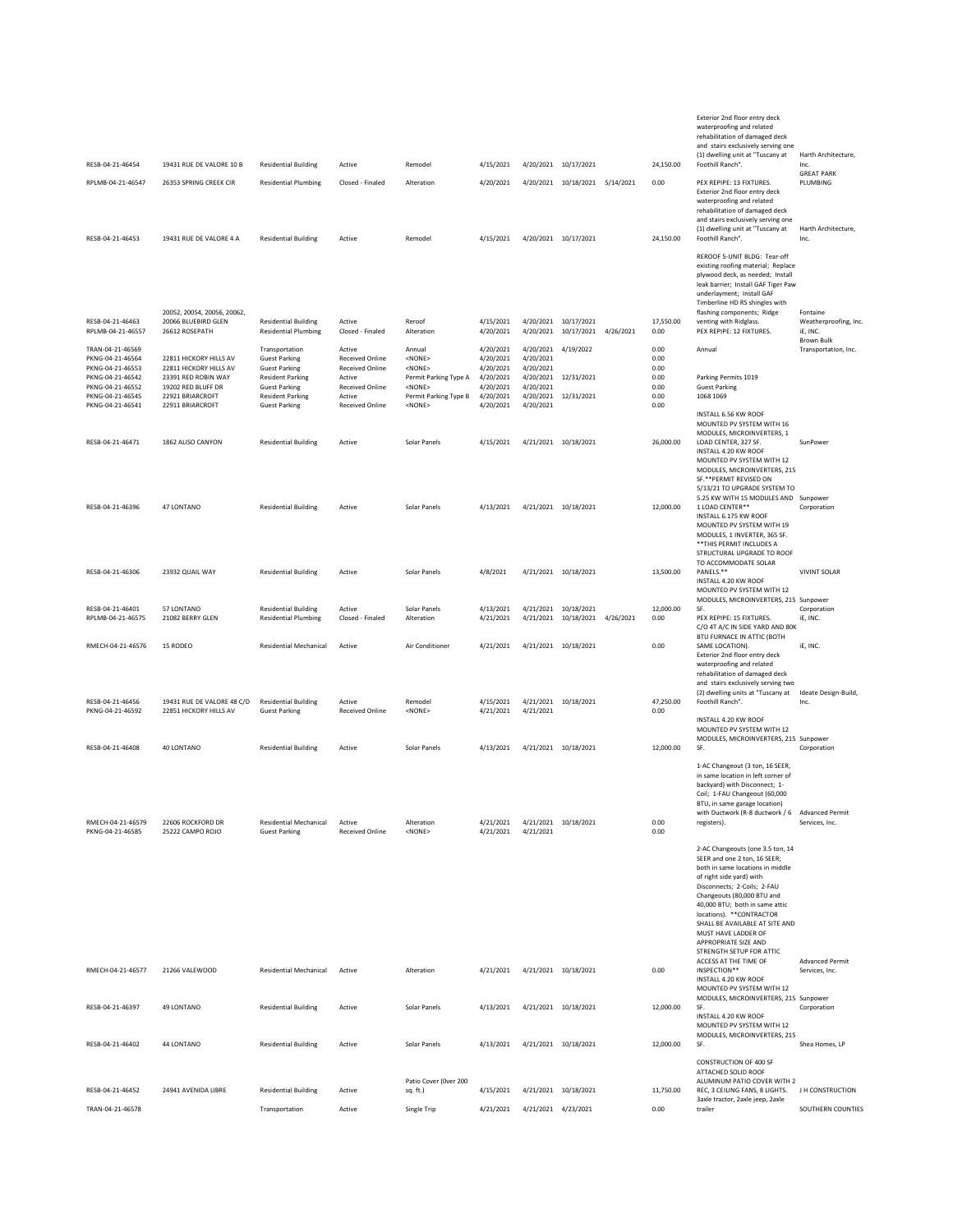|                                                                                                                                          |                                                                                                                                       |                                                                                                                                                                      |                                                                                                               |                                                                                                                                   |                                                                                         |                                                                                         |                                                        |           |                                                      | Exterior 2nd floor entry deck<br>waterproofing and related<br>rehabilitation of damaged deck<br>and stairs exclusively serving one<br>(1) dwelling unit at "Tuscany at                                                                                                                                                                                                                             | Harth Architecture,                             |
|------------------------------------------------------------------------------------------------------------------------------------------|---------------------------------------------------------------------------------------------------------------------------------------|----------------------------------------------------------------------------------------------------------------------------------------------------------------------|---------------------------------------------------------------------------------------------------------------|-----------------------------------------------------------------------------------------------------------------------------------|-----------------------------------------------------------------------------------------|-----------------------------------------------------------------------------------------|--------------------------------------------------------|-----------|------------------------------------------------------|----------------------------------------------------------------------------------------------------------------------------------------------------------------------------------------------------------------------------------------------------------------------------------------------------------------------------------------------------------------------------------------------------|-------------------------------------------------|
| RESB-04-21-46454<br>RPLMB-04-21-46547                                                                                                    | 19431 RUE DE VALORE 10 B<br>26353 SPRING CREEK CIR                                                                                    | <b>Residential Building</b><br><b>Residential Plumbing</b>                                                                                                           | Active<br>Closed - Finaled                                                                                    | Remodel<br>Alteration                                                                                                             | 4/15/2021<br>4/20/2021                                                                  |                                                                                         | 4/20/2021 10/17/2021<br>4/20/2021 10/18/2021 5/14/2021 |           | 24,150.00<br>0.00                                    | Foothill Ranch".<br>PEX REPIPE: 13 FIXTURES.                                                                                                                                                                                                                                                                                                                                                       | Inc.<br><b>GREAT PARK</b><br>PLUMBING           |
| RESB-04-21-46453                                                                                                                         | 19431 RUE DE VALORE 4 A                                                                                                               | <b>Residential Building</b>                                                                                                                                          | Active                                                                                                        | Remodel                                                                                                                           | 4/15/2021                                                                               |                                                                                         | 4/20/2021 10/17/2021                                   |           | 24,150.00                                            | Exterior 2nd floor entry deck<br>waterproofing and related<br>rehabilitation of damaged deck<br>and stairs exclusively serving one<br>(1) dwelling unit at "Tuscany at<br>Foothill Ranch".                                                                                                                                                                                                         | Harth Architecture,<br><b>Inc</b>               |
|                                                                                                                                          | 20052, 20054, 20056, 20062,                                                                                                           |                                                                                                                                                                      |                                                                                                               |                                                                                                                                   |                                                                                         |                                                                                         |                                                        |           |                                                      | REROOF 5-UNIT BLDG: Tear-off<br>existing roofing material; Replace<br>plywood deck, as needed; Install<br>leak barrier; Install GAF Tiger Paw<br>underlayment; Install GAF<br>Timberline HD RS shingles with<br>flashing components; Ridge                                                                                                                                                         | Fontaine                                        |
| RESB-04-21-46463<br>RPLMB-04-21-46557                                                                                                    | 20066 BLUEBIRD GLEN<br>26612 ROSEPATH                                                                                                 | <b>Residential Building</b><br><b>Residential Plumbing</b>                                                                                                           | Active<br>Closed - Finaled                                                                                    | Reroof<br>Alteration                                                                                                              | 4/15/2021<br>4/20/2021                                                                  |                                                                                         | 4/20/2021 10/17/2021<br>4/20/2021 10/17/2021           | 4/26/2021 | 17,550.00<br>0.00                                    | venting with Ridglass.<br>PEX REPIPE: 12 FIXTURES.                                                                                                                                                                                                                                                                                                                                                 | Weatherproofing, Inc.<br>iE, INC.<br>Brown Bulk |
| TRAN-04-21-46569<br>PKNG-04-21-46564<br>PKNG-04-21-46553<br>PKNG-04-21-46542<br>PKNG-04-21-46552<br>PKNG-04-21-46545<br>PKNG-04-21-46541 | 22811 HICKORY HILLS AV<br>22811 HICKORY HILLS AV<br>23391 RED ROBIN WAY<br>19202 RED BLUFF DR<br>22921 BRIARCROFT<br>22911 BRIARCROFT | Transportation<br><b>Guest Parking</b><br><b>Guest Parking</b><br><b>Resident Parking</b><br><b>Guest Parking</b><br><b>Resident Parking</b><br><b>Guest Parking</b> | Active<br>Received Online<br><b>Received Online</b><br>Active<br>Received Online<br>Active<br>Received Online | Annual<br><none><br/><none><br/>Permit Parking Type A<br/><none><br/>Permit Parking Type B<br/><none></none></none></none></none> | 4/20/2021<br>4/20/2021<br>4/20/2021<br>4/20/2021<br>4/20/2021<br>4/20/2021<br>4/20/2021 | 4/20/2021<br>4/20/2021<br>4/20/2021<br>4/20/2021<br>4/20/2021<br>4/20/2021<br>4/20/2021 | 4/19/2022<br>12/31/2021<br>12/31/2021                  |           | 0.00<br>0.00<br>0.00<br>0.00<br>0.00<br>0.00<br>0.00 | Annual<br>Parking Permits 1019<br><b>Guest Parking</b><br>1068 1069                                                                                                                                                                                                                                                                                                                                | Transportation, Inc.                            |
| RESB-04-21-46471                                                                                                                         | 1862 ALISO CANYON                                                                                                                     | <b>Residential Building</b>                                                                                                                                          | Active                                                                                                        | Solar Panels                                                                                                                      | 4/15/2021                                                                               |                                                                                         | 4/21/2021 10/18/2021                                   |           | 26,000.00                                            | INSTALL 6.56 KW ROOF<br>MOUNTED PV SYSTEM WITH 16<br>MODULES, MICROINVERTERS, 1<br>LOAD CENTER, 327 SF.<br>INSTALL 4.20 KW ROOF<br>MOUNTED PV SYSTEM WITH 12<br>MODULES, MICROINVERTERS, 215<br>SF.** PERMIT REVISED ON                                                                                                                                                                            | SunPower                                        |
| RESB-04-21-46396                                                                                                                         | 47 LONTANO                                                                                                                            | <b>Residential Building</b>                                                                                                                                          | Active                                                                                                        | Solar Panels                                                                                                                      | 4/13/2021                                                                               |                                                                                         | 4/21/2021 10/18/2021                                   |           | 12,000.00                                            | 5/13/21 TO UPGRADE SYSTEM TO<br>5.25 KW WITH 15 MODULES AND Sunpower<br>1 LOAD CENTER**<br>INSTALL 6.175 KW ROOF<br>MOUNTED PV SYSTEM WITH 19<br>MODULES, 1 INVERTER, 365 SF.<br>** THIS PERMIT INCLUDES A<br>STRUCTURAL UPGRADE TO ROOF                                                                                                                                                           | Corporation                                     |
| RESB-04-21-46306                                                                                                                         | 23932 QUAIL WAY                                                                                                                       | <b>Residential Building</b>                                                                                                                                          | Active                                                                                                        | Solar Panels                                                                                                                      | 4/8/2021                                                                                |                                                                                         | 4/21/2021 10/18/2021                                   |           | 13,500.00                                            | TO ACCOMMODATE SOLAR<br>PANELS.**<br>INSTALL 4.20 KW ROOF<br>MOUNTED PV SYSTEM WITH 12                                                                                                                                                                                                                                                                                                             | <b>VIVINT SOLAR</b>                             |
| RESB-04-21-46401<br>RPLMB-04-21-46575                                                                                                    | 57 LONTANO<br>21082 BERRY GLEN                                                                                                        | <b>Residential Building</b><br><b>Residential Plumbing</b>                                                                                                           | Active<br>Closed - Finaled                                                                                    | Solar Panels<br>Alteration                                                                                                        | 4/13/2021<br>4/21/2021                                                                  | 4/21/2021                                                                               | 4/21/2021 10/18/2021<br>10/18/2021                     | 4/26/2021 | 12,000.00<br>0.00                                    | MODULES, MICROINVERTERS, 215 Sunpower<br>SF.<br>PEX REPIPE: 15 FIXTURES.                                                                                                                                                                                                                                                                                                                           | Corporation<br>iE, INC.                         |
| RMECH-04-21-46576                                                                                                                        | 15 RODEO                                                                                                                              | <b>Residential Mechanical</b>                                                                                                                                        | Active                                                                                                        | Air Conditioner                                                                                                                   | 4/21/2021                                                                               |                                                                                         | 4/21/2021 10/18/2021                                   |           | 0.00                                                 | C/O 4T A/C IN SIDE YARD AND 80K<br>BTU FURNACE IN ATTIC (BOTH<br>SAME LOCATION).<br>Exterior 2nd floor entry deck<br>waterproofing and related<br>rehabilitation of damaged deck<br>and stairs exclusively serving two                                                                                                                                                                             | iE, INC.                                        |
| RESB-04-21-46456<br>PKNG-04-21-46592                                                                                                     | 19431 RUE DE VALORE 48 C/D<br>22851 HICKORY HILLS AV                                                                                  | <b>Residential Building</b><br><b>Guest Parking</b>                                                                                                                  | Active<br>Received Online                                                                                     | Remodel<br><none></none>                                                                                                          | 4/15/2021<br>4/21/2021                                                                  | 4/21/2021<br>4/21/2021                                                                  | 10/18/2021                                             |           | 47,250.00<br>0.00                                    | (2) dwelling units at "Tuscany at<br>Foothill Ranch".<br>INSTALL 4.20 KW ROOF                                                                                                                                                                                                                                                                                                                      | Ideate Design-Build,<br>Inc.                    |
| RESB-04-21-46408                                                                                                                         | 40 LONTANO                                                                                                                            | <b>Residential Building</b>                                                                                                                                          | Active                                                                                                        | Solar Panels                                                                                                                      | 4/13/2021                                                                               |                                                                                         | 4/21/2021 10/18/2021                                   |           | 12,000.00                                            | MOUNTED PV SYSTEM WITH 12<br>MODULES, MICROINVERTERS, 215 Sunpower<br>SF.                                                                                                                                                                                                                                                                                                                          | Corporation                                     |
| RMECH-04-21-46579<br>PKNG-04-21-46585                                                                                                    | 22606 ROCKFORD DR<br>25222 CAMPO ROJO                                                                                                 | <b>Residential Mechanical</b><br><b>Guest Parking</b>                                                                                                                | Active<br><b>Received Online</b>                                                                              | Alteration<br><none></none>                                                                                                       | 4/21/2021<br>4/21/2021                                                                  | 4/21/2021                                                                               | 4/21/2021 10/18/2021                                   |           | 0.00<br>0.00                                         | 1-AC Changeout (3 ton, 16 SEER,<br>in same location in left corner of<br>backyard) with Disconnect; 1-<br>Coil; 1-FAU Changeout (60,000<br>BTU, in same garage location)<br>with Ductwork (R-8 ductwork / 6<br>registers).                                                                                                                                                                         | <b>Advanced Permit</b><br>Services, Inc.        |
|                                                                                                                                          |                                                                                                                                       |                                                                                                                                                                      |                                                                                                               |                                                                                                                                   |                                                                                         |                                                                                         |                                                        |           |                                                      | 2-AC Changeouts (one 3.5 ton, 14<br>SEER and one 2 ton, 16 SEER;<br>both in same locations in middle<br>of right side yard) with<br>Disconnects; 2-Coils; 2-FAU<br>Changeouts (80,000 BTU and<br>40,000 BTU; both in same attic<br>locations). ** CONTRACTOR<br>SHALL BE AVAILABLE AT SITE AND<br>MUST HAVE LADDER OF<br>APPROPRIATE SIZE AND<br>STRENGTH SETUP FOR ATTIC<br>ACCESS AT THE TIME OF | <b>Advanced Permit</b>                          |
| RMECH-04-21-46577                                                                                                                        | 21266 VALEWOOD                                                                                                                        | <b>Residential Mechanical</b>                                                                                                                                        | Active                                                                                                        | Alteration                                                                                                                        | 4/21/2021                                                                               |                                                                                         | 4/21/2021 10/18/2021                                   |           | 0.00                                                 | INSPECTION**<br>INSTALL 4.20 KW ROOF<br>MOUNTED PV SYSTEM WITH 12<br>MODULES, MICROINVERTERS, 215 Sunpower                                                                                                                                                                                                                                                                                         | Services, Inc.                                  |
| RESB-04-21-46397                                                                                                                         | 49 LONTANO                                                                                                                            | <b>Residential Building</b>                                                                                                                                          | Active                                                                                                        | Solar Panels                                                                                                                      | 4/13/2021                                                                               |                                                                                         | 4/21/2021 10/18/2021                                   |           | 12,000.00                                            | SF.<br>INSTALL 4.20 KW ROOF<br>MOUNTED PV SYSTEM WITH 12<br>MODULES, MICROINVERTERS, 215                                                                                                                                                                                                                                                                                                           | Corporation                                     |
| RESB-04-21-46402                                                                                                                         | 44 LONTANO                                                                                                                            | <b>Residential Building</b>                                                                                                                                          | Active                                                                                                        | Solar Panels                                                                                                                      | 4/13/2021                                                                               |                                                                                         | 4/21/2021 10/18/2021                                   |           | 12,000.00                                            | SF.<br><b>CONSTRUCTION OF 400 SF</b>                                                                                                                                                                                                                                                                                                                                                               | Shea Homes, LP                                  |
| RESB-04-21-46452                                                                                                                         | 24941 AVENIDA LIBRE                                                                                                                   | <b>Residential Building</b>                                                                                                                                          | Active                                                                                                        | Patio Cover (Over 200<br>sq. ft.)                                                                                                 | 4/15/2021                                                                               |                                                                                         | 4/21/2021 10/18/2021                                   |           | 11,750.00                                            | ATTACHED SOLID ROOF<br>ALUMINUM PATIO COVER WITH 2<br>REC, 3 CEILING FANS, 8 LIGHTS.                                                                                                                                                                                                                                                                                                               | J H CONSTRUCTION                                |
| TRAN-04-21-46578                                                                                                                         |                                                                                                                                       | Transportation                                                                                                                                                       | Active                                                                                                        | Single Trip                                                                                                                       | 4/21/2021                                                                               | 4/21/2021 4/23/2021                                                                     |                                                        |           | 0.00                                                 | 3axle tractor, 2axle jeep, 2axle<br>trailer                                                                                                                                                                                                                                                                                                                                                        | SOUTHERN COUNTIES                               |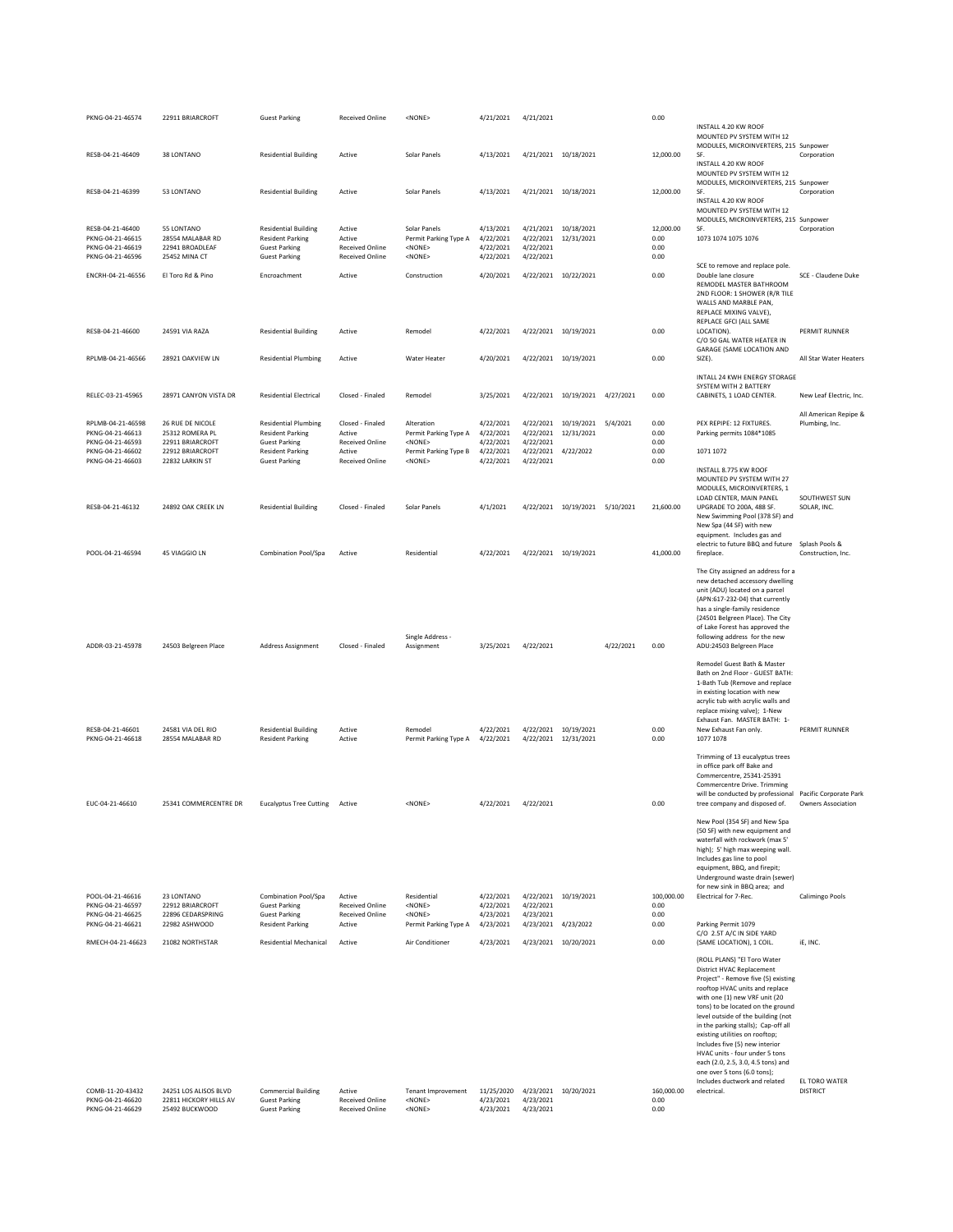| PKNG-04-21-46574                                                             | 22911 BRIARCROFT                                                   | <b>Guest Parking</b>                                                                                   | Received Online                                                      | <none></none>                                                            | 4/21/2021                                        | 4/21/2021                                                   |                                              |           | 0.00                              |                                                                                                                                                                                                                                                                                                                                                                                                                                                                                                  |                                         |
|------------------------------------------------------------------------------|--------------------------------------------------------------------|--------------------------------------------------------------------------------------------------------|----------------------------------------------------------------------|--------------------------------------------------------------------------|--------------------------------------------------|-------------------------------------------------------------|----------------------------------------------|-----------|-----------------------------------|--------------------------------------------------------------------------------------------------------------------------------------------------------------------------------------------------------------------------------------------------------------------------------------------------------------------------------------------------------------------------------------------------------------------------------------------------------------------------------------------------|-----------------------------------------|
|                                                                              | 38 LONTANO                                                         |                                                                                                        |                                                                      |                                                                          |                                                  |                                                             |                                              |           | 12,000.00                         | INSTALL 4.20 KW ROOF<br>MOUNTED PV SYSTEM WITH 12<br>MODULES, MICROINVERTERS, 215 Sunpower<br>SF.                                                                                                                                                                                                                                                                                                                                                                                                |                                         |
| RESB-04-21-46409                                                             |                                                                    | <b>Residential Building</b>                                                                            | Active                                                               | Solar Panels                                                             | 4/13/2021                                        | 4/21/2021 10/18/2021                                        |                                              |           |                                   | INSTALL 4.20 KW ROOF<br>MOUNTED PV SYSTEM WITH 12<br>MODULES, MICROINVERTERS, 215 Sunpower                                                                                                                                                                                                                                                                                                                                                                                                       | Corporation                             |
| RESB-04-21-46399                                                             | 53 LONTANO                                                         | <b>Residential Building</b>                                                                            | Active                                                               | Solar Panels                                                             | 4/13/2021                                        | 4/21/2021 10/18/2021                                        |                                              |           | 12,000.00                         | SF.<br>INSTALL 4.20 KW ROOF<br>MOUNTED PV SYSTEM WITH 12                                                                                                                                                                                                                                                                                                                                                                                                                                         | Corporation                             |
| RESB-04-21-46400<br>PKNG-04-21-46615<br>PKNG-04-21-46619<br>PKNG-04-21-46596 | 55 LONTANO<br>28554 MALABAR RD<br>22941 BROADLEAF<br>25452 MINA CT | <b>Residential Building</b><br><b>Resident Parking</b><br><b>Guest Parking</b><br><b>Guest Parking</b> | Active<br>Active<br><b>Received Online</b><br><b>Received Online</b> | Solar Panels<br>Permit Parking Type A<br><none><br/><none></none></none> | 4/13/2021<br>4/22/2021<br>4/22/2021<br>4/22/2021 | 4/21/2021 10/18/2021<br>4/22/2021<br>4/22/2021<br>4/22/2021 | 12/31/2021                                   |           | 12,000.00<br>0.00<br>0.00<br>0.00 | MODULES, MICROINVERTERS, 215 Sunpower<br>SF.<br>1073 1074 1075 1076                                                                                                                                                                                                                                                                                                                                                                                                                              | Corporation                             |
| ENCRH-04-21-46556                                                            | El Toro Rd & Pino                                                  | Encroachment                                                                                           | Active                                                               | Construction                                                             | 4/20/2021                                        |                                                             | 4/22/2021 10/22/2021                         |           | 0.00                              | SCE to remove and replace pole.<br>Double lane closure<br>REMODEL MASTER BATHROOM<br>2ND FLOOR: 1 SHOWER (R/R TILE<br>WALLS AND MARBLE PAN,<br>REPLACE MIXING VALVE),                                                                                                                                                                                                                                                                                                                            | SCE - Claudene Duke                     |
| RESB-04-21-46600                                                             | 24591 VIA RAZA                                                     | <b>Residential Building</b>                                                                            | Active                                                               | Remodel                                                                  | 4/22/2021                                        |                                                             | 4/22/2021 10/19/2021                         |           | 0.00                              | REPLACE GFCI (ALL SAME<br>LOCATION).<br>C/O 50 GAL WATER HEATER IN<br>GARAGE (SAME LOCATION AND                                                                                                                                                                                                                                                                                                                                                                                                  | PERMIT RUNNER                           |
| RPLMB-04-21-46566                                                            | 28921 OAKVIEW LN                                                   | <b>Residential Plumbing</b>                                                                            | Active                                                               | <b>Water Heater</b>                                                      | 4/20/2021                                        |                                                             | 4/22/2021 10/19/2021                         |           | 0.00                              | SIZE).<br>INTALL 24 KWH ENERGY STORAGE                                                                                                                                                                                                                                                                                                                                                                                                                                                           | All Star Water Heaters                  |
| RELEC-03-21-45965                                                            | 28971 CANYON VISTA DR                                              | <b>Residential Electrical</b>                                                                          | Closed - Finaled                                                     | Remodel                                                                  | 3/25/2021                                        |                                                             | 4/22/2021 10/19/2021                         | 4/27/2021 | 0.00                              | SYSTEM WITH 2 BATTERY<br>CABINETS, 1 LOAD CENTER.                                                                                                                                                                                                                                                                                                                                                                                                                                                | New Leaf Electric, Inc.                 |
| RPLMB-04-21-46598<br>PKNG-04-21-46613<br>PKNG-04-21-46593                    | 26 RUE DE NICOLE<br>25312 ROMERA PL<br>22911 BRIARCROFT            | <b>Residential Plumbing</b><br><b>Resident Parking</b><br><b>Guest Parking</b>                         | Closed - Finaled<br>Active<br>Received Online                        | Alteration<br>Permit Parking Type A<br><none></none>                     | 4/22/2021<br>4/22/2021<br>4/22/2021              | 4/22/2021                                                   | 4/22/2021 10/19/2021<br>4/22/2021 12/31/2021 | 5/4/2021  | 0.00<br>0.00<br>0.00              | PEX REPIPE: 12 FIXTURES.<br>Parking permits 1084*1085                                                                                                                                                                                                                                                                                                                                                                                                                                            | All American Repipe &<br>Plumbing, Inc. |
| PKNG-04-21-46602<br>PKNG-04-21-46603                                         | 22912 BRIARCROFT<br>22832 LARKIN ST                                | <b>Resident Parking</b><br><b>Guest Parking</b>                                                        | Active<br>Received Online                                            | Permit Parking Type B<br><none></none>                                   | 4/22/2021<br>4/22/2021                           | 4/22/2021<br>4/22/2021                                      | 4/22/2022                                    |           | 0.00<br>0.00                      | 1071 1072                                                                                                                                                                                                                                                                                                                                                                                                                                                                                        |                                         |
|                                                                              |                                                                    |                                                                                                        |                                                                      |                                                                          |                                                  |                                                             |                                              |           |                                   | INSTALL 8.775 KW ROOF<br>MOUNTED PV SYSTEM WITH 27<br>MODULES, MICROINVERTERS, 1                                                                                                                                                                                                                                                                                                                                                                                                                 |                                         |
| RESB-04-21-46132                                                             | 24892 OAK CREEK LN                                                 | <b>Residential Building</b>                                                                            | Closed - Finaled                                                     | Solar Panels                                                             | 4/1/2021                                         |                                                             | 4/22/2021 10/19/2021 5/10/2021               |           | 21,600.00                         | LOAD CENTER, MAIN PANEL<br>UPGRADE TO 200A, 488 SF.<br>New Swimming Pool (378 SF) and<br>New Spa (44 SF) with new<br>equipment. Includes gas and                                                                                                                                                                                                                                                                                                                                                 | SOUTHWEST SUN<br>SOLAR, INC.            |
| POOL-04-21-46594                                                             | 45 VIAGGIO LN                                                      | Combination Pool/Spa                                                                                   | Active                                                               | Residential                                                              | 4/22/2021                                        | 4/22/2021 10/19/2021                                        |                                              |           | 41,000.00                         | electric to future BBQ and future<br>fireplace.                                                                                                                                                                                                                                                                                                                                                                                                                                                  | Splash Pools &<br>Construction, Inc.    |
| ADDR-03-21-45978                                                             | 24503 Belgreen Place                                               | <b>Address Assignment</b>                                                                              | Closed - Finaled                                                     | Single Address -<br>Assignment                                           | 3/25/2021                                        | 4/22/2021                                                   |                                              | 4/22/2021 | 0.00                              | The City assigned an address for a<br>new detached accessory dwelling<br>unit (ADU) located on a parcel<br>(APN:617-232-04) that currently<br>has a single-family residence<br>(24501 Belgreen Place). The City<br>of Lake Forest has approved the<br>following address for the new<br>ADU:24503 Belgreen Place                                                                                                                                                                                  |                                         |
|                                                                              |                                                                    |                                                                                                        |                                                                      |                                                                          |                                                  |                                                             |                                              |           |                                   | Remodel Guest Bath & Master<br>Bath on 2nd Floor - GUEST BATH:<br>1-Bath Tub (Remove and replace<br>in existing location with new<br>acrylic tub with acrylic walls and<br>replace mixing valve); 1-New<br>Exhaust Fan. MASTER BATH: 1-                                                                                                                                                                                                                                                          |                                         |
| RESB-04-21-46601<br>PKNG-04-21-46618                                         | 24581 VIA DEL RIO<br>28554 MALABAR RD                              | <b>Residential Building</b><br><b>Resident Parking</b>                                                 | Active<br>Active                                                     | Remodel<br>Permit Parking Type A                                         | 4/22/2021<br>4/22/2021                           | 4/22/2021 12/31/2021                                        | 4/22/2021 10/19/2021                         |           | 0.00<br>0.00                      | New Exhaust Fan only.<br>1077 1078                                                                                                                                                                                                                                                                                                                                                                                                                                                               | PERMIT RUNNER                           |
| EUC-04-21-46610                                                              | 25341 COMMERCENTRE DR                                              | <b>Eucalyptus Tree Cutting</b>                                                                         | Active                                                               | <none></none>                                                            | 4/22/2021                                        | 4/22/2021                                                   |                                              |           | 0.00                              | Trimming of 13 eucalyptus trees<br>in office park off Bake and<br>Commercentre, 25341-25391<br>Commercentre Drive. Trimming<br>will be conducted by professional Pacific Corporate Park<br>tree company and disposed of.                                                                                                                                                                                                                                                                         | <b>Owners Association</b>               |
|                                                                              |                                                                    |                                                                                                        |                                                                      |                                                                          |                                                  |                                                             |                                              |           |                                   | New Pool (354 SF) and New Spa<br>(50 SF) with new equipment and<br>waterfall with rockwork (max 5'<br>high); 5' high max weeping wall.                                                                                                                                                                                                                                                                                                                                                           |                                         |
| POOL-04-21-46616                                                             |                                                                    |                                                                                                        |                                                                      |                                                                          |                                                  |                                                             |                                              |           |                                   | Includes gas line to pool<br>equipment, BBQ, and firepit;<br>Underground waste drain (sewer)<br>for new sink in BBQ area; and                                                                                                                                                                                                                                                                                                                                                                    |                                         |
| PKNG-04-21-46597<br>PKNG-04-21-46625                                         | 23 LONTANO<br>22912 BRIARCROFT<br>22896 CEDARSPRING                | Combination Pool/Spa<br><b>Guest Parking</b><br><b>Guest Parking</b>                                   | Active<br><b>Received Online</b><br><b>Received Online</b>           | Residential<br>$<$ NONE $>$<br>$<$ NONE $>$                              | 4/22/2021<br>4/22/2021<br>4/23/2021              | 4/22/2021<br>4/23/2021                                      | 4/22/2021 10/19/2021                         |           | 100,000.00<br>0.00<br>0.00        | Electrical for 7-Rec.                                                                                                                                                                                                                                                                                                                                                                                                                                                                            | Calimingo Pools                         |
| PKNG-04-21-46621<br>RMECH-04-21-46623                                        | 22982 ASHWOOD<br>21082 NORTHSTAR                                   | <b>Resident Parking</b><br><b>Residential Mechanical</b>                                               | Active<br>Active                                                     | Permit Parking Type A<br>Air Conditioner                                 | 4/23/2021<br>4/23/2021                           | 4/23/2021 4/23/2022                                         | 4/23/2021 10/20/2021                         |           | 0.00<br>0.00                      | Parking Permit 1079<br>C/O 2.5T A/C IN SIDE YARD<br>(SAME LOCATION), 1 COIL.                                                                                                                                                                                                                                                                                                                                                                                                                     | iE, INC.                                |
|                                                                              |                                                                    |                                                                                                        |                                                                      |                                                                          |                                                  |                                                             |                                              |           |                                   | (ROLL PLANS) "El Toro Water<br>District HVAC Replacement<br>Project" - Remove five (5) existing<br>rooftop HVAC units and replace<br>with one (1) new VRF unit (20<br>tons) to be located on the ground<br>level outside of the building (not<br>in the parking stalls); Cap-off all<br>existing utilities on rooftop;<br>Includes five (5) new interior<br>HVAC units - four under 5 tons<br>each (2.0, 2.5, 3.0, 4.5 tons) and<br>one over 5 tons (6.0 tons);<br>Includes ductwork and related | EL TORO WATER                           |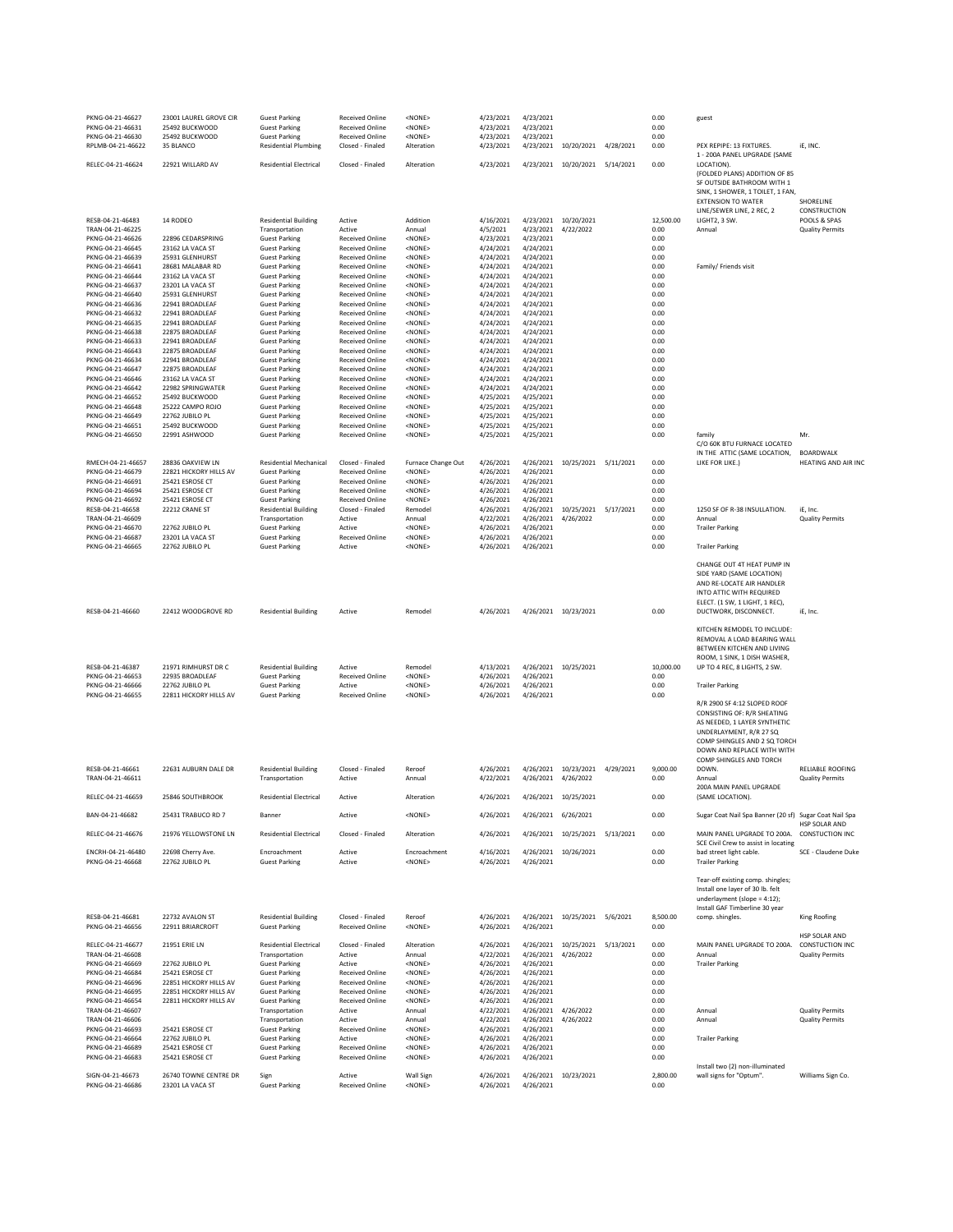| PKNG-04-21-46627<br>PKNG-04-21-46631<br>PKNG-04-21-46630<br>RPLMB-04-21-46622 | 23001 LAUREL GROVE CIR<br>25492 BUCKWOOD<br>25492 BUCKWOOD<br>35 BLANCO | <b>Guest Parking</b><br><b>Guest Parking</b><br><b>Guest Parking</b><br><b>Residential Plumbing</b> | <b>Received Online</b><br><b>Received Online</b><br><b>Received Online</b><br>Closed - Finaled | <none><br/><none><br/><none><br/>Alteration</none></none></none> | 4/23/2021<br>4/23/2021<br>4/23/2021<br>4/23/2021 | 4/23/2021<br>4/23/2021<br>4/23/2021<br>4/23/2021 | 10/20/2021 4/28/2021              |           | 0.00<br>0.00<br>0.00<br>0.00 | guest<br>PEX REPIPE: 13 FIXTURES.                                                                                                                                                                                        | iE, INC.                                  |
|-------------------------------------------------------------------------------|-------------------------------------------------------------------------|-----------------------------------------------------------------------------------------------------|------------------------------------------------------------------------------------------------|------------------------------------------------------------------|--------------------------------------------------|--------------------------------------------------|-----------------------------------|-----------|------------------------------|--------------------------------------------------------------------------------------------------------------------------------------------------------------------------------------------------------------------------|-------------------------------------------|
| RELEC-04-21-46624                                                             | 22921 WILLARD AV                                                        | <b>Residential Electrical</b>                                                                       | Closed - Finaled                                                                               | Alteration                                                       | 4/23/2021                                        |                                                  | 4/23/2021 10/20/2021 5/14/2021    |           | 0.00                         | 1 - 200A PANEL UPGRADE (SAME<br>LOCATION).<br>(FOLDED PLANS) ADDITION OF 85                                                                                                                                              |                                           |
|                                                                               |                                                                         |                                                                                                     |                                                                                                |                                                                  |                                                  |                                                  |                                   |           |                              | SF OUTSIDE BATHROOM WITH 1<br>SINK, 1 SHOWER, 1 TOILET, 1 FAN,<br><b>EXTENSION TO WATER</b><br>LINE/SEWER LINE, 2 REC, 2                                                                                                 | SHORELINE<br>CONSTRUCTION                 |
| RESB-04-21-46483<br>TRAN-04-21-46225                                          | 14 RODEO                                                                | <b>Residential Building</b><br>Transportation                                                       | Active<br>Active                                                                               | Addition<br>Annual                                               | 4/16/2021<br>4/5/2021                            | 4/23/2021                                        | 4/23/2021 10/20/2021<br>4/22/2022 |           | 12,500.00<br>0.00            | LIGHT2, 3 SW.<br>Annual                                                                                                                                                                                                  | POOLS & SPAS<br><b>Quality Permits</b>    |
| PKNG-04-21-46626                                                              | 22896 CEDARSPRING                                                       | <b>Guest Parking</b>                                                                                | <b>Received Online</b>                                                                         | <none></none>                                                    | 4/23/2021                                        | 4/23/2021                                        |                                   |           | 0.00                         |                                                                                                                                                                                                                          |                                           |
| PKNG-04-21-46645                                                              | 23162 LA VACA ST                                                        | <b>Guest Parking</b>                                                                                | <b>Received Online</b>                                                                         | <none></none>                                                    | 4/24/2021                                        | 4/24/2021                                        |                                   |           | 0.00                         |                                                                                                                                                                                                                          |                                           |
| PKNG-04-21-46639                                                              | 25931 GLENHURST                                                         | <b>Guest Parking</b>                                                                                | <b>Received Online</b>                                                                         | <none></none>                                                    | 4/24/2021                                        | 4/24/2021                                        |                                   |           | 0.00                         |                                                                                                                                                                                                                          |                                           |
| PKNG-04-21-46641                                                              | 28681 MALABAR RD                                                        | <b>Guest Parking</b>                                                                                | <b>Received Online</b><br><b>Received Online</b>                                               | <none></none>                                                    | 4/24/2021                                        | 4/24/2021                                        |                                   |           | 0.00                         | Family/ Friends visit                                                                                                                                                                                                    |                                           |
| PKNG-04-21-46644<br>PKNG-04-21-46637                                          | 23162 LA VACA ST<br>23201 LA VACA ST                                    | <b>Guest Parking</b><br><b>Guest Parking</b>                                                        | <b>Received Online</b>                                                                         | <none><br/><none></none></none>                                  | 4/24/2021<br>4/24/2021                           | 4/24/2021<br>4/24/2021                           |                                   |           | 0.00<br>0.00                 |                                                                                                                                                                                                                          |                                           |
| PKNG-04-21-46640                                                              | 25931 GLENHURST                                                         | <b>Guest Parking</b>                                                                                | <b>Received Online</b>                                                                         | <none></none>                                                    | 4/24/2021                                        | 4/24/2021                                        |                                   |           | 0.00                         |                                                                                                                                                                                                                          |                                           |
| PKNG-04-21-46636                                                              | 22941 BROADLEAF                                                         | <b>Guest Parking</b>                                                                                | <b>Received Online</b>                                                                         | <none></none>                                                    | 4/24/2021                                        | 4/24/2021                                        |                                   |           | 0.00                         |                                                                                                                                                                                                                          |                                           |
| PKNG-04-21-46632                                                              | 22941 BROADLEAF                                                         | <b>Guest Parking</b>                                                                                | <b>Received Online</b>                                                                         | <none></none>                                                    | 4/24/2021                                        | 4/24/2021                                        |                                   |           | 0.00                         |                                                                                                                                                                                                                          |                                           |
| PKNG-04-21-46635<br>PKNG-04-21-46638                                          | 22941 BROADLEAF<br>22875 BROADLEAF                                      | <b>Guest Parking</b>                                                                                | <b>Received Online</b><br><b>Received Online</b>                                               | <none><br/><none></none></none>                                  | 4/24/2021                                        | 4/24/2021<br>4/24/2021                           |                                   |           | 0.00<br>0.00                 |                                                                                                                                                                                                                          |                                           |
| PKNG-04-21-46633                                                              | 22941 BROADLEAF                                                         | <b>Guest Parking</b><br><b>Guest Parking</b>                                                        | <b>Received Online</b>                                                                         | <none></none>                                                    | 4/24/2021<br>4/24/2021                           | 4/24/2021                                        |                                   |           | 0.00                         |                                                                                                                                                                                                                          |                                           |
| PKNG-04-21-46643                                                              | 22875 BROADLEAF                                                         | <b>Guest Parking</b>                                                                                | <b>Received Online</b>                                                                         | <none></none>                                                    | 4/24/2021                                        | 4/24/2021                                        |                                   |           | 0.00                         |                                                                                                                                                                                                                          |                                           |
| PKNG-04-21-46634                                                              | 22941 BROADLEAF                                                         | <b>Guest Parking</b>                                                                                | <b>Received Online</b>                                                                         | <none></none>                                                    | 4/24/2021                                        | 4/24/2021                                        |                                   |           | 0.00                         |                                                                                                                                                                                                                          |                                           |
| PKNG-04-21-46647                                                              | 22875 BROADLEAF                                                         | <b>Guest Parking</b>                                                                                | <b>Received Online</b>                                                                         | <none></none>                                                    | 4/24/2021                                        | 4/24/2021                                        |                                   |           | 0.00                         |                                                                                                                                                                                                                          |                                           |
| PKNG-04-21-46646                                                              | 23162 LA VACA ST                                                        | <b>Guest Parking</b>                                                                                | <b>Received Online</b>                                                                         | <none></none>                                                    | 4/24/2021                                        | 4/24/2021                                        |                                   |           | 0.00                         |                                                                                                                                                                                                                          |                                           |
| PKNG-04-21-46642<br>PKNG-04-21-46652                                          | 22982 SPRINGWATER<br>25492 BUCKWOOD                                     | <b>Guest Parking</b><br><b>Guest Parking</b>                                                        | <b>Received Online</b><br><b>Received Online</b>                                               | <none><br/><none></none></none>                                  | 4/24/2021<br>4/25/2021                           | 4/24/2021<br>4/25/2021                           |                                   |           | 0.00<br>0.00                 |                                                                                                                                                                                                                          |                                           |
| PKNG-04-21-46648                                                              | 25222 CAMPO ROJO                                                        | <b>Guest Parking</b>                                                                                | <b>Received Online</b>                                                                         | <none></none>                                                    | 4/25/2021                                        | 4/25/2021                                        |                                   |           | 0.00                         |                                                                                                                                                                                                                          |                                           |
| PKNG-04-21-46649                                                              | 22762 JUBILO PL                                                         | <b>Guest Parking</b>                                                                                | <b>Received Online</b>                                                                         | <none></none>                                                    | 4/25/2021                                        | 4/25/2021                                        |                                   |           | 0.00                         |                                                                                                                                                                                                                          |                                           |
| PKNG-04-21-46651                                                              | 25492 BUCKWOOD                                                          | <b>Guest Parking</b>                                                                                | <b>Received Online</b>                                                                         | <none></none>                                                    | 4/25/2021                                        | 4/25/2021                                        |                                   |           | 0.00                         |                                                                                                                                                                                                                          |                                           |
| PKNG-04-21-46650                                                              | 22991 ASHWOOD                                                           | <b>Guest Parking</b>                                                                                | <b>Received Online</b>                                                                         | <none></none>                                                    | 4/25/2021                                        | 4/25/2021                                        |                                   |           | 0.00                         | family<br>C/O 60K BTU FURNACE LOCATED                                                                                                                                                                                    | Mr.                                       |
|                                                                               |                                                                         |                                                                                                     |                                                                                                |                                                                  |                                                  |                                                  |                                   |           |                              | IN THE ATTIC (SAME LOCATION,                                                                                                                                                                                             | <b>BOARDWALK</b>                          |
| RMECH-04-21-46657                                                             | 28836 OAKVIEW LN                                                        | <b>Residential Mechanical</b>                                                                       | Closed - Finaled                                                                               | Furnace Change Out                                               | 4/26/2021                                        | 4/26/2021                                        | 10/25/2021 5/11/2021              |           | 0.00                         | LIKE FOR LIKE.)                                                                                                                                                                                                          | <b>HEATING AND AIR IN</b>                 |
| PKNG-04-21-46679                                                              | 22821 HICKORY HILLS AV                                                  | <b>Guest Parking</b>                                                                                | <b>Received Online</b>                                                                         | <none></none>                                                    | 4/26/2021                                        | 4/26/2021                                        |                                   |           | 0.00                         |                                                                                                                                                                                                                          |                                           |
| PKNG-04-21-46691<br>PKNG-04-21-46694                                          | 25421 ESROSE CT<br>25421 ESROSE CT                                      | <b>Guest Parking</b><br><b>Guest Parking</b>                                                        | Received Online<br><b>Received Online</b>                                                      | <none><br/><none></none></none>                                  | 4/26/2021<br>4/26/2021                           | 4/26/2021<br>4/26/2021                           |                                   |           | 0.00<br>0.00                 |                                                                                                                                                                                                                          |                                           |
| PKNG-04-21-46692                                                              | 25421 ESROSE CT                                                         | <b>Guest Parking</b>                                                                                | <b>Received Online</b>                                                                         | <none></none>                                                    | 4/26/2021                                        | 4/26/2021                                        |                                   |           | 0.00                         |                                                                                                                                                                                                                          |                                           |
| RESB-04-21-46658                                                              | 22212 CRANE ST                                                          | <b>Residential Building</b>                                                                         | Closed - Finaled                                                                               | Remodel                                                          | 4/26/2021                                        | 4/26/2021                                        | 10/25/2021                        | 5/17/2021 | 0.00                         | 1250 SF OF R-38 INSULLATION.                                                                                                                                                                                             | iE, Inc.                                  |
| TRAN-04-21-46609                                                              |                                                                         | Transportation                                                                                      | Active                                                                                         | Annual                                                           | 4/22/2021                                        | 4/26/2021                                        | 4/26/2022                         |           | 0.00                         | Annual                                                                                                                                                                                                                   | <b>Quality Permits</b>                    |
| PKNG-04-21-46670<br>PKNG-04-21-46687                                          | 22762 JUBILO PL<br>23201 LA VACA ST                                     | <b>Guest Parking</b><br><b>Guest Parking</b>                                                        | Active<br><b>Received Online</b>                                                               | <none><br/><none></none></none>                                  | 4/26/2021<br>4/26/2021                           | 4/26/2021<br>4/26/2021                           |                                   |           | 0.00<br>0.00                 | <b>Trailer Parking</b>                                                                                                                                                                                                   |                                           |
| PKNG-04-21-46665                                                              | 22762 JUBILO PL                                                         | <b>Guest Parking</b>                                                                                | Active                                                                                         | <none></none>                                                    | 4/26/2021                                        | 4/26/2021                                        |                                   |           | 0.00                         | <b>Trailer Parking</b>                                                                                                                                                                                                   |                                           |
| RESB-04-21-46660                                                              | 22412 WOODGROVE RD                                                      | <b>Residential Building</b>                                                                         | Active                                                                                         | Remodel                                                          | 4/26/2021                                        |                                                  | 4/26/2021 10/23/2021              |           | 0.00                         | CHANGE OUT 4T HEAT PUMP IN<br>SIDE YARD (SAME LOCATION)<br>AND RE-LOCATE AIR HANDLER<br>INTO ATTIC WITH REQUIRED<br>ELECT. (1 SW, 1 LIGHT, 1 REC),<br>DUCTWORK, DISCONNECT.                                              | iE, Inc.                                  |
|                                                                               |                                                                         |                                                                                                     |                                                                                                |                                                                  |                                                  |                                                  |                                   |           |                              |                                                                                                                                                                                                                          |                                           |
| RESB-04-21-46387<br>PKNG-04-21-46653                                          | 21971 RIMHURST DR C<br>22935 BROADLEAF                                  | <b>Residential Building</b><br><b>Guest Parking</b>                                                 | Active<br><b>Received Online</b>                                                               | Remodel<br><none></none>                                         | 4/13/2021<br>4/26/2021                           | 4/26/2021<br>4/26/2021                           | 10/25/2021                        |           | 10,000.00<br>0.00            | KITCHEN REMODEL TO INCLUDE:<br>REMOVAL A LOAD BEARING WALL<br>BETWEEN KITCHEN AND LIVING<br>ROOM, 1 SINK, 1 DISH WASHER,<br>UP TO 4 REC, 8 LIGHTS, 2 SW.                                                                 |                                           |
| PKNG-04-21-46666                                                              | 22762 JUBILO PL                                                         | <b>Guest Parking</b>                                                                                | Active                                                                                         | <none></none>                                                    | 4/26/2021                                        | 4/26/2021                                        |                                   |           | 0.00                         | <b>Trailer Parking</b>                                                                                                                                                                                                   |                                           |
| PKNG-04-21-46655<br>RESB-04-21-46661                                          | 22811 HICKORY HILLS AV<br>22631 AUBURN DALE DR                          | <b>Guest Parking</b><br><b>Residential Building</b>                                                 | <b>Received Online</b><br>Closed - Finaled                                                     | <none><br/>Reroof</none>                                         | 4/26/2021<br>4/26/2021                           | 4/26/2021<br>4/26/2021                           | 10/23/2021                        | 4/29/2021 | 0.00<br>9,000.00             | R/R 2900 SF 4:12 SLOPED ROOF<br>CONSISTING OF: R/R SHEATING<br>AS NEEDED. 1 LAYER SYNTHETIC<br>UNDERLAYMENT, R/R 27 SQ<br>COMP SHINGLES AND 2 SQ TORCH<br>DOWN AND REPLACE WITH WITH<br>COMP SHINGLES AND TORCH<br>DOWN. | RELIABLE ROOFING                          |
| TRAN-04-21-46611                                                              |                                                                         | Transportation                                                                                      | Active                                                                                         | Annual<br>Alteration                                             | 4/22/2021                                        | 4/26/2021                                        | 4/26/2022                         |           | 0.00                         | Annual<br>200A MAIN PANEL UPGRADE                                                                                                                                                                                        | <b>Quality Permits</b>                    |
| RELEC-04-21-46659<br>BAN-04-21-46682                                          | 25846 SOUTHBROOK<br>25431 TRABUCO RD 7                                  | <b>Residential Electrical</b><br>Banner                                                             | Active<br>Active                                                                               | <none></none>                                                    | 4/26/2021<br>4/26/2021                           | 4/26/2021 6/26/2021                              | 4/26/2021 10/25/2021              |           | 0.00<br>0.00                 | (SAME LOCATION).<br>Sugar Coat Nail Spa Banner (20 sf) Sugar Coat Nail Spa                                                                                                                                               |                                           |
| RELEC-04-21-46676                                                             | 21976 YELLOWSTONE LN                                                    | <b>Residential Electrical</b>                                                                       | Closed - Finaled                                                                               | Alteration                                                       | 4/26/2021                                        | 4/26/2021                                        | 10/25/2021 5/13/2021              |           | 0.00                         | MAIN PANEL UPGRADE TO 200A.                                                                                                                                                                                              | HSP SOLAR AND<br><b>CONSTUCTION INC</b>   |
|                                                                               |                                                                         |                                                                                                     |                                                                                                | Encroachment                                                     | 4/16/2021                                        |                                                  |                                   |           | 0.00                         | SCE Civil Crew to assist in locating<br>had street light cable.                                                                                                                                                          |                                           |
| ENCRH-04-21-46480<br>PKNG-04-21-46668                                         | 22698 Cherry Ave.<br>22762 JUBILO PL                                    | Encroachment<br><b>Guest Parking</b>                                                                | Active<br>Active                                                                               | <none></none>                                                    | 4/26/2021                                        | 4/26/2021<br>4/26/2021                           | 10/26/2021                        |           | 0.00                         | <b>Trailer Parking</b>                                                                                                                                                                                                   | SCE - Claudene Duke                       |
|                                                                               |                                                                         | <b>Residential Building</b>                                                                         | Closed - Finaled                                                                               | Reroof                                                           | 4/26/2021                                        | 4/26/2021                                        | 10/25/2021 5/6/2021               |           | 8,500.00                     | Tear-off existing comp. shingles;<br>Install one layer of 30 lb. felt<br>underlayment (slope = 4:12);<br>Install GAF Timberline 30 year<br>comp. shingles.                                                               |                                           |
| RESB-04-21-46681<br>PKNG-04-21-46656                                          | 22732 AVALON ST<br>22911 BRIARCROFT                                     | <b>Guest Parking</b>                                                                                | <b>Received Online</b>                                                                         | <none></none>                                                    | 4/26/2021                                        | 4/26/2021                                        |                                   |           | 0.00                         |                                                                                                                                                                                                                          | King Roofing<br>HSP SOLAR AND             |
| RELEC-04-21-46677<br>TRAN-04-21-46608                                         | 21951 ERIE LN                                                           | <b>Residential Electrical</b><br>Transportation                                                     | Closed - Finaled<br>Active                                                                     | Alteration<br>Annual                                             | 4/26/2021<br>4/22/2021                           | 4/26/2021<br>4/26/2021                           | 10/25/2021<br>4/26/2022           | 5/13/2021 | 0.00<br>0.00                 | MAIN PANEL UPGRADE TO 200A.<br>Annual                                                                                                                                                                                    | CONSTUCTION INC<br><b>Quality Permits</b> |
| PKNG-04-21-46669                                                              | 22762 JUBILO PL                                                         | <b>Guest Parking</b>                                                                                | Active                                                                                         | <none></none>                                                    | 4/26/2021                                        | 4/26/2021                                        |                                   |           | 0.00                         | <b>Trailer Parking</b>                                                                                                                                                                                                   |                                           |
| PKNG-04-21-46684                                                              | 25421 ESROSE CT                                                         | <b>Guest Parking</b>                                                                                | <b>Received Online</b>                                                                         | <none></none>                                                    | 4/26/2021                                        | 4/26/2021                                        |                                   |           | 0.00                         |                                                                                                                                                                                                                          |                                           |
| PKNG-04-21-46696                                                              | 22851 HICKORY HILLS AV<br>22851 HICKORY HILLS AV                        | <b>Guest Parking</b>                                                                                | <b>Received Online</b>                                                                         | <none></none>                                                    | 4/26/2021<br>4/26/2021                           | 4/26/2021<br>4/26/2021                           |                                   |           | 0.00<br>0.00                 |                                                                                                                                                                                                                          |                                           |
| PKNG-04-21-46695<br>PKNG-04-21-46654                                          | 22811 HICKORY HILLS AV                                                  | <b>Guest Parking</b><br><b>Guest Parking</b>                                                        | <b>Received Online</b><br><b>Received Online</b>                                               | <none><br/><none></none></none>                                  | 4/26/2021                                        | 4/26/2021                                        |                                   |           | 0.00                         |                                                                                                                                                                                                                          |                                           |
| TRAN-04-21-46607                                                              |                                                                         | Transportation                                                                                      | Active                                                                                         | Annual                                                           | 4/22/2021                                        | 4/26/2021                                        | 4/26/2022                         |           | 0.00                         | Annual                                                                                                                                                                                                                   | <b>Quality Permits</b>                    |
| TRAN-04-21-46606                                                              |                                                                         | Transportation                                                                                      | Active                                                                                         | Annual                                                           | 4/22/2021                                        | 4/26/2021                                        | 4/26/2022                         |           | 0.00                         | Annual                                                                                                                                                                                                                   | <b>Quality Permits</b>                    |
| PKNG-04-21-46693<br>PKNG-04-21-46664                                          | 25421 ESROSE CT                                                         | <b>Guest Parking</b>                                                                                | <b>Received Online</b><br>Active                                                               | <none><br/><none></none></none>                                  | 4/26/2021<br>4/26/2021                           | 4/26/2021<br>4/26/2021                           |                                   |           | 0.00                         |                                                                                                                                                                                                                          |                                           |
| PKNG-04-21-46689                                                              |                                                                         |                                                                                                     |                                                                                                |                                                                  |                                                  |                                                  |                                   |           |                              |                                                                                                                                                                                                                          |                                           |
|                                                                               | 22762 JUBILO PL<br>25421 ESROSE CT                                      | <b>Guest Parking</b><br><b>Guest Parking</b>                                                        | <b>Received Online</b>                                                                         | <none></none>                                                    | 4/26/2021                                        | 4/26/2021                                        |                                   |           | 0.00<br>0.00                 | <b>Trailer Parking</b>                                                                                                                                                                                                   |                                           |
| PKNG-04-21-46683                                                              | 25421 ESROSE CT                                                         | <b>Guest Parking</b>                                                                                | <b>Received Online</b>                                                                         | <none></none>                                                    | 4/26/2021                                        | 4/26/2021                                        |                                   |           | 0.00                         |                                                                                                                                                                                                                          |                                           |
| SIGN-04-21-46673                                                              | 26740 TOWNE CENTRE DR                                                   | Sign                                                                                                | Active                                                                                         | Wall Sign                                                        | 4/26/2021                                        | 4/26/2021                                        | 10/23/2021                        |           | 2,800.00                     | Install two (2) non-illuminated<br>wall signs for "Optum".                                                                                                                                                               | Williams Sign Co.                         |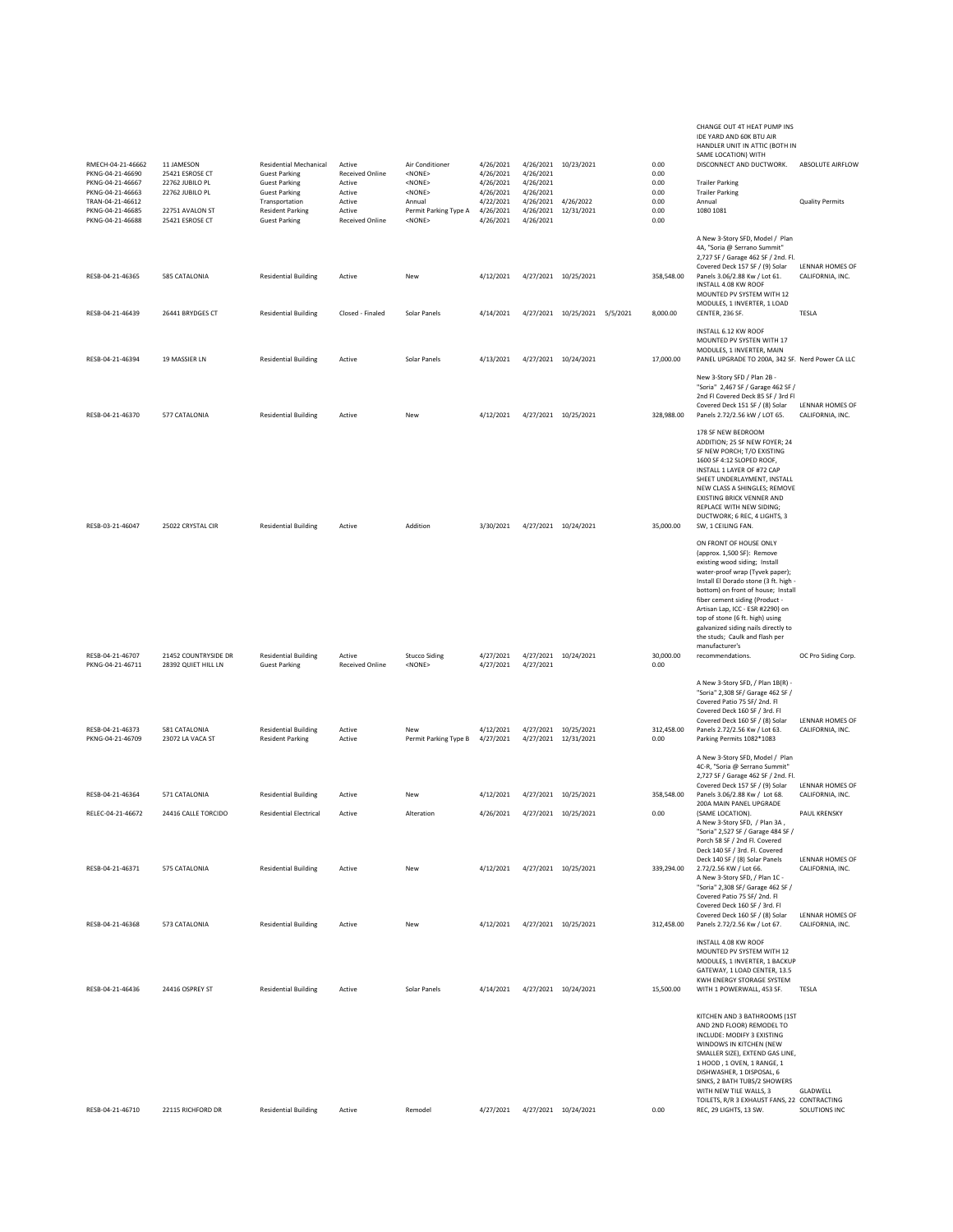| RMECH-04-21-46662<br>PKNG-04-21-46690 | 11 JAMESON<br>25421 ESROSE CT      | Residential Mechanical<br><b>Guest Parking</b>         | Active<br><b>Received Online</b> | Air Conditioner<br><none></none>      | 4/26/2021<br>4/26/2021 | 4/26/2021              | 4/26/2021 10/23/2021                         | 0.00<br>0.00       | CHANGE OUT 4T HEAT PUMP INS<br>IDE YARD AND 60K BTU AIR<br>HANDLER UNIT IN ATTIC (BOTH IN<br>SAME LOCATION) WITH<br>DISCONNECT AND DUCTWORK.                                                                                                                                                                                                                                                                                    | ABSOLUTE AIRFLOW                    |
|---------------------------------------|------------------------------------|--------------------------------------------------------|----------------------------------|---------------------------------------|------------------------|------------------------|----------------------------------------------|--------------------|---------------------------------------------------------------------------------------------------------------------------------------------------------------------------------------------------------------------------------------------------------------------------------------------------------------------------------------------------------------------------------------------------------------------------------|-------------------------------------|
| PKNG-04-21-46667<br>PKNG-04-21-46663  | 22762 JUBILO PL<br>22762 JUBILO PL | <b>Guest Parking</b><br><b>Guest Parking</b>           | Active<br>Active                 | $<$ NONE $>$<br>$<$ NONE $>$          | 4/26/2021<br>4/26/2021 | 4/26/2021<br>4/26/2021 |                                              | 0.00<br>0.00       | <b>Trailer Parking</b><br><b>Trailer Parking</b>                                                                                                                                                                                                                                                                                                                                                                                |                                     |
| TRAN-04-21-46612<br>PKNG-04-21-46685  | 22751 AVALON ST                    | Transportation<br><b>Resident Parking</b>              | Active<br>Active                 | Annual<br>Permit Parking Type A       | 4/22/2021<br>4/26/2021 | 4/26/2021<br>4/26/2021 | 4/26/2022<br>12/31/2021                      | 0.00<br>0.00       | Annual<br>1080 1081                                                                                                                                                                                                                                                                                                                                                                                                             | <b>Quality Permits</b>              |
| PKNG-04-21-46688<br>RESB-04-21-46365  | 25421 ESROSE CT<br>585 CATALONIA   | <b>Guest Parking</b><br><b>Residential Building</b>    | <b>Received Online</b><br>Active | <none><br/>New</none>                 | 4/26/2021<br>4/12/2021 | 4/26/2021              | 4/27/2021 10/25/2021                         | 0.00<br>358,548.00 | A New 3-Story SFD, Model / Plan<br>4A, "Soria @ Serrano Summit"<br>2,727 SF / Garage 462 SF / 2nd. Fl.<br>Covered Deck 157 SF / (9) Solar<br>Panels 3.06/2.88 Kw / Lot 61.                                                                                                                                                                                                                                                      | LENNAR HOMES OF<br>CALIFORNIA, INC. |
|                                       |                                    |                                                        |                                  |                                       |                        |                        |                                              |                    | INSTALL 4.08 KW ROOF<br>MOUNTED PV SYSTEM WITH 12                                                                                                                                                                                                                                                                                                                                                                               |                                     |
| RESB-04-21-46439                      | 26441 BRYDGES CT                   | <b>Residential Building</b>                            | Closed - Finaled                 | Solar Panels                          | 4/14/2021              |                        | 4/27/2021 10/25/2021 5/5/2021                | 8,000.00           | MODULES, 1 INVERTER, 1 LOAD<br>CENTER, 236 SF.                                                                                                                                                                                                                                                                                                                                                                                  | TESLA                               |
| RESB-04-21-46394                      | 19 MASSIER LN                      | <b>Residential Building</b>                            | Active                           | Solar Panels                          | 4/13/2021              |                        | 4/27/2021 10/24/2021                         | 17,000.00          | INSTALL 6.12 KW ROOF<br>MOUNTED PV SYSTEN WITH 17<br>MODULES, 1 INVERTER, MAIN<br>PANEL UPGRADE TO 200A, 342 SF. Nerd Power CA LLC                                                                                                                                                                                                                                                                                              |                                     |
|                                       |                                    |                                                        |                                  |                                       |                        |                        |                                              |                    | New 3-Story SFD / Plan 2B -<br>"Soria" 2,467 SF / Garage 462 SF /<br>2nd FI Covered Deck 85 SF / 3rd FI<br>Covered Deck 151 SF / (8) Solar                                                                                                                                                                                                                                                                                      | LENNAR HOMES OF                     |
| RESB-04-21-46370                      | 577 CATALONIA                      | <b>Residential Building</b>                            | Active                           | New                                   | 4/12/2021              |                        | 4/27/2021 10/25/2021                         | 328,988.00         | Panels 2.72/2.56 kW / LOT 65.                                                                                                                                                                                                                                                                                                                                                                                                   | CALIFORNIA, INC.                    |
| RESB-03-21-46047                      | 25022 CRYSTAL CIR                  | <b>Residential Building</b>                            | Active                           | Addition                              | 3/30/2021              |                        | 4/27/2021 10/24/2021                         | 35,000.00          | 178 SF NEW BEDROOM<br>ADDITION; 25 SF NEW FOYER; 24<br>SF NEW PORCH; T/O EXISTING<br>1600 SF 4:12 SLOPED ROOF,<br>INSTALL 1 LAYER OF #72 CAP<br>SHEET UNDERLAYMENT, INSTALL<br>NEW CLASS A SHINGLES; REMOVE<br>EXISTING BRICK VENNER AND<br>REPLACE WITH NEW SIDING;<br>DUCTWORK; 6 REC, 4 LIGHTS, 3<br>SW, 1 CEILING FAN.                                                                                                      |                                     |
| RESB-04-21-46707                      | 21452 COUNTRYSIDE DR               | <b>Residential Building</b>                            | Active                           |                                       | 4/27/2021              |                        | 4/27/2021 10/24/2021                         | 30,000.00          | ON FRONT OF HOUSE ONLY<br>(approx. 1,500 SF): Remove<br>existing wood siding; Install<br>water-proof wrap (Tyvek paper);<br>Install El Dorado stone (3 ft. high -<br>bottom) on front of house; Install<br>fiber cement siding (Product -<br>Artisan Lap, ICC - ESR #2290) on<br>top of stone (6 ft. high) using<br>galvanized siding nails directly to<br>the studs; Caulk and flash per<br>manufacturer's<br>recommendations. |                                     |
| PKNG-04-21-46711                      | 28392 QUIET HILL LN                | <b>Guest Parking</b>                                   | <b>Received Online</b>           | <b>Stucco Siding</b><br><none></none> | 4/27/2021              | 4/27/2021              |                                              | 0.00               |                                                                                                                                                                                                                                                                                                                                                                                                                                 | OC Pro Siding Corp.                 |
| RESB-04-21-46373<br>PKNG-04-21-46709  | 581 CATALONIA<br>23072 LA VACA ST  | <b>Residential Building</b><br><b>Resident Parking</b> | Active<br>Active                 | New<br>Permit Parking Type B          | 4/12/2021<br>4/27/2021 |                        | 4/27/2021 10/25/2021<br>4/27/2021 12/31/2021 | 312,458.00<br>0.00 | A New 3-Story SFD, / Plan 1B(R) -<br>"Soria" 2,308 SF/ Garage 462 SF /<br>Covered Patio 75 SF/2nd. Fl<br>Covered Deck 160 SF / 3rd. Fl<br>Covered Deck 160 SF / (8) Solar<br>Panels 2.72/2.56 Kw / Lot 63.<br>Parking Permits 1082*1083                                                                                                                                                                                         | LENNAR HOMES OF<br>CALIFORNIA, INC. |
|                                       |                                    |                                                        |                                  |                                       |                        |                        |                                              |                    | A New 3-Story SFD, Model / Plan<br>4C-R, "Soria @ Serrano Summit"                                                                                                                                                                                                                                                                                                                                                               |                                     |
|                                       |                                    |                                                        |                                  |                                       |                        |                        |                                              |                    | 2,727 SF / Garage 462 SF / 2nd. Fl.<br>Covered Deck 157 SF / (9) Solar                                                                                                                                                                                                                                                                                                                                                          | LENNAR HOMES OF                     |
| RESB-04-21-46364                      | 571 CATALONIA                      | <b>Residential Building</b>                            | Active                           | New                                   | 4/12/2021              |                        | 4/27/2021 10/25/2021                         | 358,548.00         | Panels 3.06/2.88 Kw / Lot 68.<br>200A MAIN PANEL UPGRADE                                                                                                                                                                                                                                                                                                                                                                        | CALIFORNIA, INC.                    |
| RELEC-04-21-46672                     | 24416 CALLE TORCIDO                | <b>Residential Electrical</b>                          | Active                           | Alteration                            | 4/26/2021              |                        | 4/27/2021 10/25/2021                         | 0.00               | (SAME LOCATION).<br>A New 3-Story SFD, / Plan 3A,<br>"Soria" 2,527 SF / Garage 484 SF /<br>Porch 58 SF / 2nd Fl. Covered                                                                                                                                                                                                                                                                                                        | PAUL KRENSKY                        |
| RESB-04-21-46371                      | 575 CATALONIA                      | <b>Residential Building</b>                            | Active                           | New                                   | 4/12/2021              |                        | 4/27/2021 10/25/2021                         | 339,294.00         | Deck 140 SF / 3rd. Fl. Covered<br>Deck 140 SF / (8) Solar Panels<br>2.72/2.56 KW / Lot 66.<br>A New 3-Story SFD, / Plan 1C -<br>"Soria" 2,308 SF/ Garage 462 SF /<br>Covered Patio 75 SF/ 2nd. Fl<br>Covered Deck 160 SF / 3rd. Fl                                                                                                                                                                                              | LENNAR HOMES OF<br>CALIFORNIA, INC. |
| RESB-04-21-46368                      | 573 CATALONIA                      | <b>Residential Building</b>                            | Active                           | New                                   | 4/12/2021              |                        | 4/27/2021 10/25/2021                         | 312,458.00         | Covered Deck 160 SF / (8) Solar<br>Panels 2.72/2.56 Kw / Lot 67.                                                                                                                                                                                                                                                                                                                                                                | LENNAR HOMES OF<br>CALIFORNIA, INC. |
| RESB-04-21-46436                      | 24416 OSPREY ST                    | <b>Residential Building</b>                            | Active                           | Solar Panels                          |                        |                        | 4/14/2021  4/27/2021  10/24/2021             | 15,500.00          | INSTALL 4.08 KW ROOF<br>MOUNTED PV SYSTEM WITH 12<br>MODULES, 1 INVERTER, 1 BACKUP<br>GATEWAY, 1 LOAD CENTER, 13.5<br>KWH ENERGY STORAGE SYSTEM<br>WITH 1 POWERWALL, 453 SF.                                                                                                                                                                                                                                                    | TESLA                               |
|                                       |                                    |                                                        |                                  |                                       |                        |                        |                                              |                    | KITCHEN AND 3 BATHROOMS (1ST<br>AND 2ND FLOOR) REMODEL TO<br>INCLUDE: MODIFY 3 EXISTING<br>WINDOWS IN KITCHEN (NEW<br>SMALLER SIZE), EXTEND GAS LINE,<br>1 HOOD, 1 OVEN, 1 RANGE, 1<br>DISHWASHER, 1 DISPOSAL, 6<br>SINKS, 2 BATH TUBS/2 SHOWERS<br>WITH NEW TILE WALLS, 3<br>TOILETS, R/R 3 EXHAUST FANS, 22 CONTRACTING                                                                                                       | GLADWELL                            |
| RESB-04-21-46710                      | 22115 RICHFORD DR                  | <b>Residential Building</b>                            | Active                           | Remodel                               | 4/27/2021              |                        | 4/27/2021 10/24/2021                         | 0.00               | REC, 29 LIGHTS, 13 SW.                                                                                                                                                                                                                                                                                                                                                                                                          | SOLUTIONS INC                       |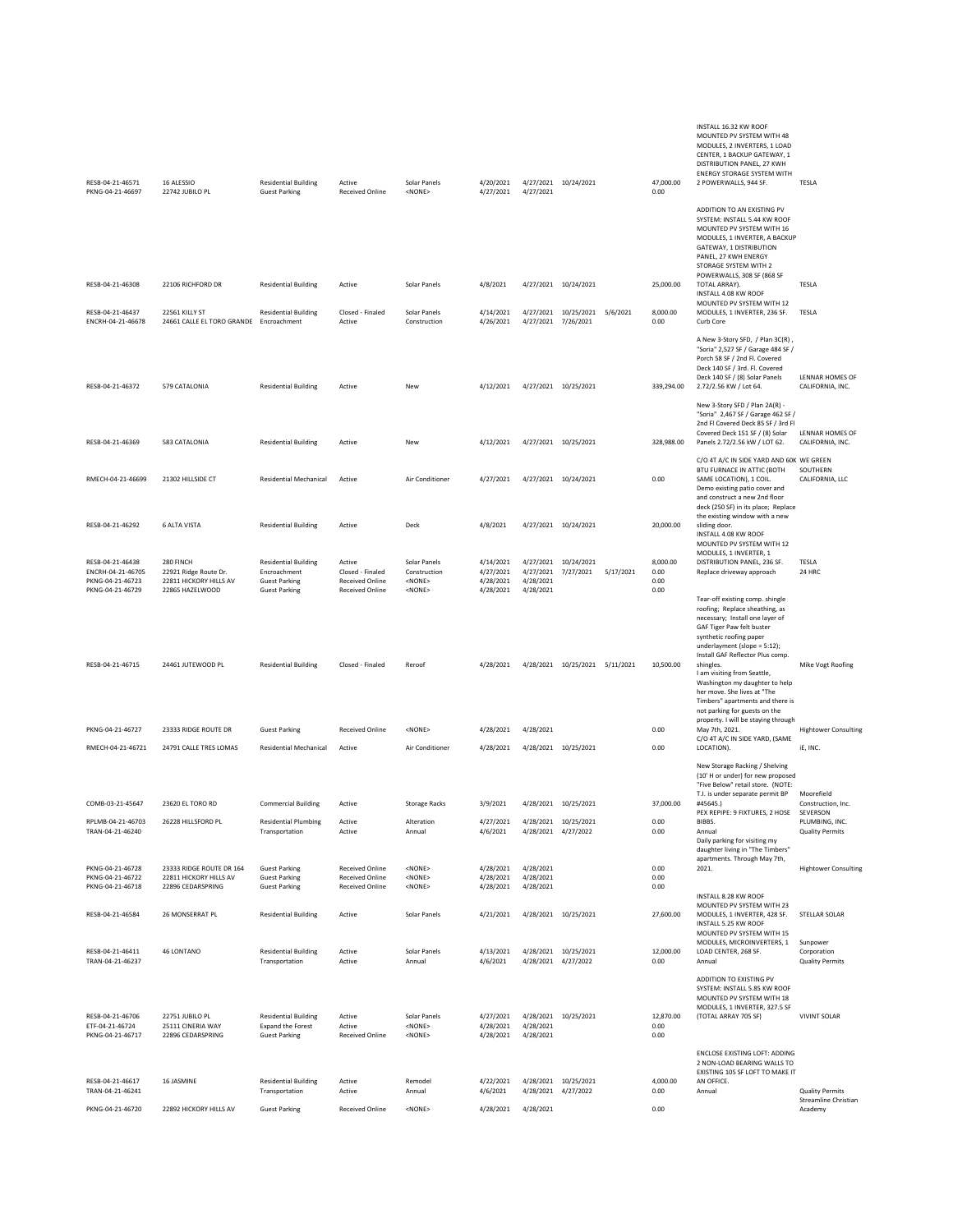| RESB-04-21-46571<br>PKNG-04-21-46697                                          | 16 ALESSIO<br>22742 JUBILO PL                                                   | <b>Residential Building</b><br><b>Guest Parking</b>                                         | Active<br><b>Received Online</b>                                               | Solar Panels<br>$<$ NONE>                                       | 4/20/2021<br>4/27/2021                           | 4/27/2021                           | 4/27/2021 10/24/2021              |           | 47,000.00<br>0.00                | INSTALL 16.32 KW ROOF<br>MOUNTED PV SYSTEM WITH 48<br>MODULES, 2 INVERTERS, 1 LOAD<br>CENTER, 1 BACKUP GATEWAY, 1<br>DISTRIBUTION PANEL, 27 KWH<br><b>ENERGY STORAGE SYSTEM WITH</b><br>2 POWERWALLS, 944 SF.                      | TESLA                                                            |
|-------------------------------------------------------------------------------|---------------------------------------------------------------------------------|---------------------------------------------------------------------------------------------|--------------------------------------------------------------------------------|-----------------------------------------------------------------|--------------------------------------------------|-------------------------------------|-----------------------------------|-----------|----------------------------------|------------------------------------------------------------------------------------------------------------------------------------------------------------------------------------------------------------------------------------|------------------------------------------------------------------|
|                                                                               |                                                                                 |                                                                                             |                                                                                |                                                                 |                                                  |                                     |                                   |           |                                  | ADDITION TO AN EXISTING PV<br>SYSTEM: INSTALL 5.44 KW ROOF<br>MOUNTED PV SYSTEM WITH 16<br>MODULES, 1 INVERTER, A BACKUP<br>GATEWAY, 1 DISTRIBUTION<br>PANEL, 27 KWH ENERGY<br>STORAGE SYSTEM WITH 2<br>POWERWALLS, 308 SF (868 SF |                                                                  |
| RESB-04-21-46308                                                              | 22106 RICHFORD DR                                                               | <b>Residential Building</b>                                                                 | Active                                                                         | Solar Panels                                                    | 4/8/2021                                         |                                     | 4/27/2021 10/24/2021              |           | 25,000.00                        | TOTAL ARRAY).<br>INSTALL 4.08 KW ROOF<br>MOUNTED PV SYSTEM WITH 12                                                                                                                                                                 | TESLA                                                            |
| RESB-04-21-46437<br>ENCRH-04-21-46678                                         | 22561 KILLY ST<br>24661 CALLE EL TORO GRANDE Encroachment                       | <b>Residential Building</b>                                                                 | Closed - Finaled<br>Active                                                     | Solar Panels<br>Construction                                    | 4/14/2021<br>4/26/2021                           | 4/27/2021 7/26/2021                 | 4/27/2021 10/25/2021 5/6/2021     |           | 8,000.00<br>0.00                 | MODULES, 1 INVERTER, 236 SF.<br>Curb Core                                                                                                                                                                                          | TESLA                                                            |
| RESB-04-21-46372                                                              | 579 CATALONIA                                                                   | <b>Residential Building</b>                                                                 | Active                                                                         | New                                                             | 4/12/2021                                        |                                     | 4/27/2021 10/25/2021              |           | 339,294.00                       | A New 3-Story SFD, / Plan 3C(R),<br>"Soria" 2,527 SF / Garage 484 SF /<br>Porch 58 SF / 2nd Fl. Covered<br>Deck 140 SF / 3rd. Fl. Covered<br>Deck 140 SF / (8) Solar Panels<br>2.72/2.56 KW / Lot 64.                              | LENNAR HOMES OF<br>CALIFORNIA, INC.                              |
|                                                                               |                                                                                 |                                                                                             |                                                                                |                                                                 |                                                  |                                     |                                   |           |                                  | New 3-Story SFD / Plan 2A(R) -<br>"Soria" 2,467 SF / Garage 462 SF /<br>2nd FI Covered Deck 85 SF / 3rd FI<br>Covered Deck 151 SF / (8) Solar                                                                                      | LENNAR HOMES OF                                                  |
| RESB-04-21-46369                                                              | 583 CATALONIA                                                                   | <b>Residential Building</b>                                                                 | Active                                                                         | New                                                             | 4/12/2021                                        |                                     | 4/27/2021 10/25/2021              |           | 328,988.00                       | Panels 2.72/2.56 kW / LOT 62.<br>C/O 4T A/C IN SIDE YARD AND 60K WE GREEN                                                                                                                                                          | CALIFORNIA, INC.                                                 |
| RMECH-04-21-46699                                                             | 21302 HILLSIDE CT                                                               | <b>Residential Mechanical</b>                                                               | Active                                                                         | Air Conditioner                                                 | 4/27/2021                                        |                                     | 4/27/2021 10/24/2021              |           | 0.00                             | BTU FURNACE IN ATTIC (BOTH<br>SAME LOCATION), 1 COIL.<br>Demo existing patio cover and<br>and construct a new 2nd floor<br>deck (250 SF) in its place; Replace<br>the existing window with a new                                   | SOUTHERN<br>CALIFORNIA, LLC                                      |
| RESB-04-21-46292                                                              | <b>6 ALTA VISTA</b>                                                             | <b>Residential Building</b>                                                                 | Active                                                                         | Deck                                                            | 4/8/2021                                         |                                     | 4/27/2021 10/24/2021              |           | 20,000.00                        | sliding door.<br>INSTALL 4.08 KW ROOF<br>MOUNTED PV SYSTEM WITH 12<br>MODULES, 1 INVERTER, 1                                                                                                                                       |                                                                  |
| RESB-04-21-46438<br>ENCRH-04-21-46705<br>PKNG-04-21-46723<br>PKNG-04-21-46729 | 280 FINCH<br>22921 Ridge Route Dr.<br>22811 HICKORY HILLS AV<br>22865 HAZELWOOD | <b>Residential Building</b><br>Encroachment<br><b>Guest Parking</b><br><b>Guest Parking</b> | Active<br>Closed - Finaled<br><b>Received Online</b><br><b>Received Online</b> | Solar Panels<br>Construction<br><none><br/><none></none></none> | 4/14/2021<br>4/27/2021<br>4/28/2021<br>4/28/2021 | 4/27/2021<br>4/28/2021<br>4/28/2021 | 4/27/2021 10/24/2021<br>7/27/2021 | 5/17/2021 | 8,000.00<br>0.00<br>0.00<br>0.00 | DISTRIBUTION PANEL, 236 SF.<br>Replace driveway approach                                                                                                                                                                           | TESLA<br>24 HRC                                                  |
|                                                                               |                                                                                 |                                                                                             |                                                                                |                                                                 |                                                  |                                     |                                   |           |                                  | Tear-off existing comp. shingle<br>roofing; Replace sheathing, as<br>necessary; Install one layer of<br>GAF Tiger Paw felt buster<br>synthetic roofing paper<br>underlayment (slope = 5:12);<br>Install GAF Reflector Plus comp.   |                                                                  |
| RESB-04-21-46715                                                              | 24461 JUTEWOOD PL                                                               | <b>Residential Building</b>                                                                 | Closed - Finaled                                                               | Reroof                                                          | 4/28/2021                                        |                                     | 4/28/2021 10/25/2021 5/11/2021    |           | 10,500.00                        | shingles.<br>I am visiting from Seattle,<br>Washington my daughter to help<br>her move. She lives at "The<br>Timbers" apartments and there is<br>not parking for guests on the<br>property. I will be staying through              | Mike Vogt Roofing                                                |
| PKNG-04-21-46727                                                              | 23333 RIDGE ROUTE DR                                                            | <b>Guest Parking</b>                                                                        | <b>Received Online</b>                                                         | $<$ NONE $>$                                                    | 4/28/2021                                        | 4/28/2021                           |                                   |           | 0.00                             | May 7th, 2021.<br>C/O 4T A/C IN SIDE YARD, (SAME                                                                                                                                                                                   | <b>Hightower Consulting</b>                                      |
| RMECH-04-21-46721                                                             | 24791 CALLE TRES LOMAS                                                          | <b>Residential Mechanical</b>                                                               | Active                                                                         | Air Conditioner                                                 | 4/28/2021                                        |                                     | 4/28/2021 10/25/2021              |           | 0.00                             | LOCATION).<br>New Storage Racking / Shelving                                                                                                                                                                                       | iE, INC.                                                         |
|                                                                               |                                                                                 |                                                                                             |                                                                                |                                                                 |                                                  |                                     |                                   |           |                                  | (10' H or under) for new proposed<br>"Five Below" retail store. (NOTE:<br>T.I. is under separate permit BP                                                                                                                         | Moorefield                                                       |
| COMB-03-21-45647                                                              | 23620 EL TORO RD                                                                | <b>Commercial Building</b>                                                                  | Active                                                                         | <b>Storage Racks</b>                                            | 3/9/2021                                         |                                     | 4/28/2021 10/25/2021              |           | 37,000.00                        | #45645.)<br>PEX REPIPE: 9 FIXTURES, 2 HOSE                                                                                                                                                                                         | Construction, Inc.<br>SEVERSON                                   |
| RPLMB-04-21-46703<br>TRAN-04-21-46240                                         | 26228 HILLSFORD PL                                                              | <b>Residential Plumbing</b><br>Transportation                                               | Active<br>Active                                                               | Alteration<br>Annual                                            | 4/27/2021<br>4/6/2021                            | 4/28/2021 4/27/2022                 | 4/28/2021 10/25/2021              |           | 0.00<br>0.00                     | BIBBS.<br>Annual<br>Daily parking for visiting my<br>daughter living in "The Timbers"                                                                                                                                              | PLUMBING, INC.<br><b>Quality Permits</b>                         |
| PKNG-04-21-46728<br>PKNG-04-21-46722<br>PKNG-04-21-46718                      | 23333 RIDGE ROUTE DR 164<br>22811 HICKORY HILLS AV<br>22896 CEDARSPRING         | <b>Guest Parking</b><br><b>Guest Parking</b><br><b>Guest Parking</b>                        | <b>Received Online</b><br><b>Received Online</b><br><b>Received Online</b>     | <none><br/><none><br/><none></none></none></none>               | 4/28/2021<br>4/28/2021<br>4/28/2021              | 4/28/2021<br>4/28/2021<br>4/28/2021 |                                   |           | 0.00<br>0.00<br>0.00             | apartments. Through May 7th,<br>2021.<br>INSTALL 8.28 KW ROOF                                                                                                                                                                      | <b>Hightower Consulting</b>                                      |
| RESB-04-21-46584                                                              | 26 MONSERRAT PL                                                                 | <b>Residential Building</b>                                                                 | Active                                                                         | Solar Panels                                                    | 4/21/2021                                        |                                     | 4/28/2021 10/25/2021              |           | 27,600.00                        | MOUNTED PV SYSTEM WITH 23<br>MODULES, 1 INVERTER, 428 SF.<br>INSTALL 5.25 KW ROOF<br>MOUNTED PV SYSTEM WITH 15                                                                                                                     | STELLAR SOLAR                                                    |
| RESB-04-21-46411                                                              | 46 LONTANO                                                                      | <b>Residential Building</b>                                                                 | Active                                                                         | Solar Panels                                                    | 4/13/2021                                        |                                     | 4/28/2021 10/25/2021              |           | 12,000.00                        | MODULES, MICROINVERTERS, 1<br>LOAD CENTER, 268 SF.                                                                                                                                                                                 | Sunpower<br>Corporation                                          |
| TRAN-04-21-46237                                                              |                                                                                 | Transportation                                                                              | Active                                                                         | Annual                                                          | 4/6/2021                                         |                                     | 4/28/2021 4/27/2022               |           | 0.00                             | Annual<br>ADDITION TO EXISTING PV<br>SYSTEM: INSTALL 5.85 KW ROOF<br>MOUNTED PV SYSTEM WITH 18<br>MODULES, 1 INVERTER, 327.5 SF                                                                                                    | <b>Quality Permits</b>                                           |
| RESB-04-21-46706<br>ETF-04-21-46724<br>PKNG-04-21-46717                       | 22751 JUBILO PL<br>25111 CINERIA WAY<br>22896 CEDARSPRING                       | <b>Residential Building</b><br><b>Expand the Forest</b><br><b>Guest Parking</b>             | Active<br>Active<br><b>Received Online</b>                                     | Solar Panels<br>$<$ NONE $>$<br>$<$ NONE $>$                    | 4/27/2021<br>4/28/2021<br>4/28/2021              | 4/28/2021<br>4/28/2021              | 4/28/2021 10/25/2021              |           | 12,870.00<br>0.00<br>0.00        | (TOTAL ARRAY 705 SF)                                                                                                                                                                                                               | <b>VIVINT SOLAR</b>                                              |
| RESB-04-21-46617                                                              | 16 JASMINE                                                                      | <b>Residential Building</b>                                                                 | Active                                                                         | Remodel                                                         | 4/22/2021                                        |                                     | 4/28/2021 10/25/2021              |           | 4,000.00                         | <b>ENCLOSE EXISTING LOFT: ADDING</b><br>2 NON-LOAD BEARING WALLS TO<br>EXISTING 105 SF LOFT TO MAKE IT<br>AN OFFICE.                                                                                                               |                                                                  |
| TRAN-04-21-46241<br>PKNG-04-21-46720                                          | 22892 HICKORY HILLS AV                                                          | Transportation<br><b>Guest Parking</b>                                                      | Active<br><b>Received Online</b>                                               | Annual<br>$<$ NONE $>$                                          | 4/6/2021<br>4/28/2021                            | 4/28/2021                           | 4/28/2021 4/27/2022               |           | 0.00<br>0.00                     | Annual                                                                                                                                                                                                                             | <b>Quality Permits</b><br><b>Streamline Christian</b><br>Academy |
|                                                                               |                                                                                 |                                                                                             |                                                                                |                                                                 |                                                  |                                     |                                   |           |                                  |                                                                                                                                                                                                                                    |                                                                  |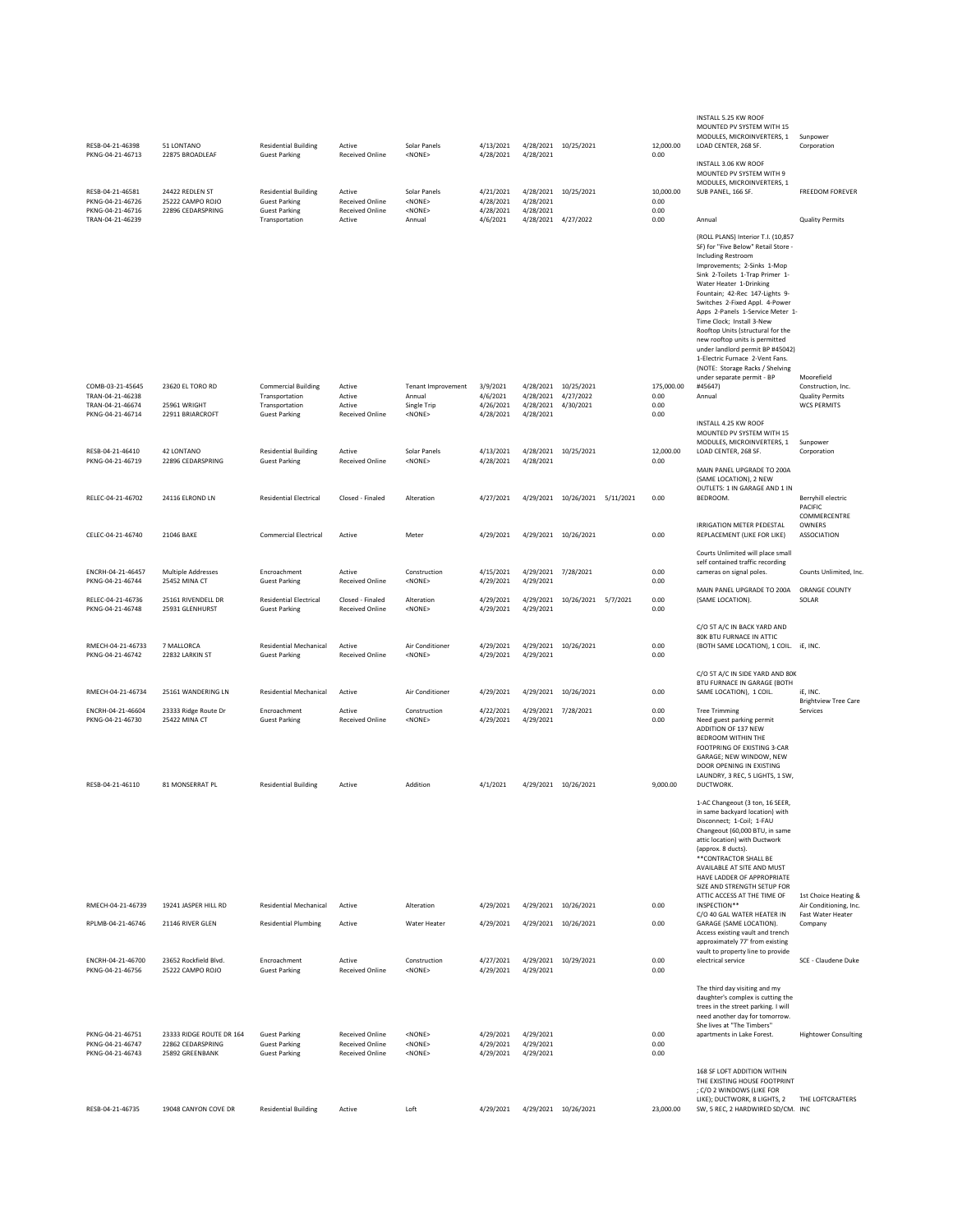| RESB-04-21-46398<br>PKNG-04-21-46713                                         | 51 LONTANO<br>22875 BROADLEAF                                    | <b>Residential Building</b><br><b>Guest Parking</b>                                    | Active<br><b>Received Online</b>                                           | Solar Panels<br><none></none>                                                                       | 4/13/2021<br>4/28/2021                         | 4/28/2021 10/25/2021<br>4/28/2021                                               |                                | 12,000.00<br>0.00                  | INSTALL 5.25 KW ROOF<br>MOUNTED PV SYSTEM WITH 15<br>MODULES, MICROINVERTERS, 1<br>LOAD CENTER, 268 SF.                                                                                                                                                                                                                                                                                                                                                                                                                                                 | Sunpower<br>Corporation                                            |
|------------------------------------------------------------------------------|------------------------------------------------------------------|----------------------------------------------------------------------------------------|----------------------------------------------------------------------------|-----------------------------------------------------------------------------------------------------|------------------------------------------------|---------------------------------------------------------------------------------|--------------------------------|------------------------------------|---------------------------------------------------------------------------------------------------------------------------------------------------------------------------------------------------------------------------------------------------------------------------------------------------------------------------------------------------------------------------------------------------------------------------------------------------------------------------------------------------------------------------------------------------------|--------------------------------------------------------------------|
| RESB-04-21-46581                                                             | 24422 REDLEN ST                                                  | <b>Residential Building</b>                                                            | Active                                                                     | Solar Panels                                                                                        | 4/21/2021                                      | 4/28/2021 10/25/2021                                                            |                                | 10,000.00                          | INSTALL 3.06 KW ROOF<br>MOUNTED PV SYSTEM WITH 9<br>MODULES, MICROINVERTERS, 1<br>SUB PANEL, 166 SF.                                                                                                                                                                                                                                                                                                                                                                                                                                                    | <b>FREEDOM FOREVER</b>                                             |
| PKNG-04-21-46726<br>PKNG-04-21-46716<br>TRAN-04-21-46239                     | 25222 CAMPO ROJO<br>22896 CEDARSPRING                            | <b>Guest Parking</b><br><b>Guest Parking</b><br>Transportation                         | <b>Received Online</b><br><b>Received Online</b><br>Active                 | <none><br/><none><br/>Annual</none></none>                                                          | 4/28/2021<br>4/28/2021<br>4/6/2021             | 4/28/2021<br>4/28/2021<br>4/28/2021 4/27/2022                                   |                                | 0.00<br>0.00<br>0.00               | Annual                                                                                                                                                                                                                                                                                                                                                                                                                                                                                                                                                  | <b>Quality Permits</b>                                             |
|                                                                              |                                                                  |                                                                                        |                                                                            |                                                                                                     |                                                |                                                                                 |                                |                                    | (ROLL PLANS) Interior T.I. (10,857<br>SF) for "Five Below" Retail Store -<br><b>Including Restroom</b><br>Improvements; 2-Sinks 1-Mop<br>Sink 2-Toilets 1-Trap Primer 1-<br>Water Heater 1-Drinking<br>Fountain; 42-Rec 147-Lights 9-<br>Switches 2-Fixed Appl. 4-Power<br>Apps 2-Panels 1-Service Meter 1-<br>Time Clock; Install 3-New<br>Rooftop Units (structural for the<br>new rooftop units is permitted<br>under landlord permit BP #45042)<br>1-Electric Furnace 2-Vent Fans.<br>(NOTE: Storage Racks / Shelving<br>under separate permit - BP | Moorefield                                                         |
| COMB-03-21-45645<br>TRAN-04-21-46238<br>TRAN-04-21-46674<br>PKNG-04-21-46714 | 23620 EL TORO RD<br>25961 WRIGHT<br>22911 BRIARCROFT             | <b>Commercial Building</b><br>Transportation<br>Transportation<br><b>Guest Parking</b> | Active<br>Active<br>Active<br><b>Received Online</b>                       | Tenant Improvement<br>Annual<br>Single Trip<br><none></none>                                        | 3/9/2021<br>4/6/2021<br>4/26/2021<br>4/28/2021 | 4/28/2021 10/25/2021<br>4/28/2021 4/27/2022<br>4/28/2021 4/30/2021<br>4/28/2021 |                                | 175,000.00<br>0.00<br>0.00<br>0.00 | #45647)<br>Annual                                                                                                                                                                                                                                                                                                                                                                                                                                                                                                                                       | Construction, Inc.<br><b>Quality Permits</b><br><b>WCS PERMITS</b> |
| RESB-04-21-46410<br>PKNG-04-21-46719                                         | 42 LONTANO<br>22896 CEDARSPRING                                  | <b>Residential Building</b><br><b>Guest Parking</b>                                    | Active<br><b>Received Online</b>                                           | Solar Panels<br><none></none>                                                                       | 4/13/2021<br>4/28/2021                         | 4/28/2021 10/25/2021<br>4/28/2021                                               |                                | 12,000.00<br>0.00                  | INSTALL 4.25 KW ROOF<br>MOUNTED PV SYSTEM WITH 15<br>MODULES, MICROINVERTERS, 1<br>LOAD CENTER, 268 SF.                                                                                                                                                                                                                                                                                                                                                                                                                                                 | Sunpower<br>Corporation                                            |
| RELEC-04-21-46702                                                            | 24116 ELROND LN                                                  | <b>Residential Electrical</b>                                                          | Closed - Finaled                                                           | Alteration                                                                                          | 4/27/2021                                      |                                                                                 | 4/29/2021 10/26/2021 5/11/2021 | 0.00                               | MAIN PANEL UPGRADE TO 200A<br>(SAME LOCATION), 2 NEW<br>OUTLETS: 1 IN GARAGE AND 1 IN<br>BEDROOM.                                                                                                                                                                                                                                                                                                                                                                                                                                                       | Berryhill electric<br>PACIFIC                                      |
| CELEC-04-21-46740                                                            | 21046 BAKE                                                       | <b>Commercial Electrical</b>                                                           | Active                                                                     | Meter                                                                                               | 4/29/2021                                      | 4/29/2021 10/26/2021                                                            |                                | 0.00                               | IRRIGATION METER PEDESTAL<br>REPLACEMENT (LIKE FOR LIKE)                                                                                                                                                                                                                                                                                                                                                                                                                                                                                                | COMMERCENTRE<br>OWNERS<br>ASSOCIATION                              |
| ENCRH-04-21-46457<br>PKNG-04-21-46744                                        | Multiple Addresses<br><b>25452 MINA CT</b>                       | Encroachment<br><b>Guest Parking</b>                                                   | Active<br><b>Received Online</b>                                           | Construction<br>$<$ NONE $>$                                                                        | 4/15/2021<br>4/29/2021                         | 4/29/2021<br>4/29/2021                                                          | 7/28/2021                      | 0.00<br>0.00                       | Courts Unlimited will place small<br>self contained traffic recording<br>cameras on signal poles.                                                                                                                                                                                                                                                                                                                                                                                                                                                       | Counts Unlimited, Inc.                                             |
| RELEC-04-21-46736<br>PKNG-04-21-46748                                        | 25161 RIVENDELL DR<br>25931 GLENHURST                            | <b>Residential Electrical</b><br><b>Guest Parking</b>                                  | Closed - Finaled<br><b>Received Online</b>                                 | Alteration<br><none></none>                                                                         | 4/29/2021<br>4/29/2021                         | 4/29/2021<br>4/29/2021                                                          | 10/26/2021 5/7/2021            | 0.00<br>0.00                       | MAIN PANEL UPGRADE TO 200A<br>(SAME LOCATION).                                                                                                                                                                                                                                                                                                                                                                                                                                                                                                          | ORANGE COUNTY<br>SOLAR                                             |
| RMECH-04-21-46733<br>PKNG-04-21-46742                                        | 7 MALLORCA<br>22832 LARKIN ST                                    | <b>Residential Mechanical</b><br><b>Guest Parking</b>                                  | Active<br><b>Received Online</b>                                           | Air Conditioner<br><none></none>                                                                    | 4/29/2021<br>4/29/2021                         | 4/29/2021                                                                       | 4/29/2021 10/26/2021           | 0.00<br>0.00                       | C/O 5T A/C IN BACK YARD AND<br>80K BTU FURNACE IN ATTIC<br>(BOTH SAME LOCATION), 1 COIL. IE, INC.                                                                                                                                                                                                                                                                                                                                                                                                                                                       |                                                                    |
| RMECH-04-21-46734                                                            | 25161 WANDERING LN                                               | <b>Residential Mechanical</b>                                                          | Active                                                                     | Air Conditioner                                                                                     | 4/29/2021                                      | 4/29/2021                                                                       | 10/26/2021                     | 0.00                               | C/O 5T A/C IN SIDE YARD AND 80K<br>BTU FURNACE IN GARAGE (BOTH<br>SAME LOCATION), 1 COIL.                                                                                                                                                                                                                                                                                                                                                                                                                                                               | iE, INC.                                                           |
| ENCRH-04-21-46604<br>PKNG-04-21-46730                                        | 23333 Ridge Route Dr<br>25422 MINA CT                            | Encroachment<br><b>Guest Parking</b>                                                   | Active<br><b>Received Online</b>                                           | Construction<br><none></none>                                                                       | 4/22/2021<br>4/29/2021                         | 4/29/2021<br>4/29/2021                                                          | 7/28/2021                      | 0.00<br>0.00                       | <b>Tree Trimming</b><br>Need guest parking permit<br>ADDITION OF 137 NEW<br>BEDROOM WITHIN THE<br>FOOTPRING OF EXISTING 3-CAR<br>GARAGE; NEW WINDOW, NEW<br>DOOR OPENING IN EXISTING<br>LAUNDRY, 3 REC, 5 LIGHTS, 1 SW,                                                                                                                                                                                                                                                                                                                                 | <b>Brightview Tree Care</b><br>Services                            |
| RESB-04-21-46110                                                             | 81 MONSERRAT PL                                                  | <b>Residential Building</b>                                                            | Active                                                                     | Addition                                                                                            | 4/1/2021                                       | 4/29/2021 10/26/2021                                                            |                                | 9,000.00                           | DUCTWORK.<br>1-AC Changeout (3 ton, 16 SEER,                                                                                                                                                                                                                                                                                                                                                                                                                                                                                                            |                                                                    |
|                                                                              |                                                                  |                                                                                        |                                                                            |                                                                                                     |                                                |                                                                                 |                                |                                    | in same backvard location) with<br>Disconnect; 1-Coil; 1-FAU<br>Changeout (60,000 BTU, in same<br>attic location) with Ductwork<br>(approx. 8 ducts).<br>** CONTRACTOR SHALL BE<br>AVAILABLE AT SITE AND MUST<br>HAVE LADDER OF APPROPRIATE<br>SIZE AND STRENGTH SETUP FOR<br>ATTIC ACCESS AT THE TIME OF                                                                                                                                                                                                                                               | 1st Choice Heating &                                               |
| RMECH-04-21-46739<br>RPLMB-04-21-46746                                       | 19241 JASPER HILL RD<br>21146 RIVER GLEN                         | <b>Residential Mechanical</b><br><b>Residential Plumbing</b>                           | Active<br>Active                                                           | Alteration<br>Water Heater                                                                          | 4/29/2021<br>4/29/2021                         | 4/29/2021 10/26/2021                                                            | 4/29/2021 10/26/2021           | 0.00<br>0.00                       | INSPECTION**<br>C/O 40 GAL WATER HEATER IN<br>GARAGE (SAME LOCATION).                                                                                                                                                                                                                                                                                                                                                                                                                                                                                   | Air Conditioning, Inc.<br>Fast Water Heater<br>Company             |
|                                                                              |                                                                  |                                                                                        |                                                                            |                                                                                                     |                                                |                                                                                 |                                |                                    | Access existing vault and trench<br>approximately 77' from existing<br>vault to property line to provide                                                                                                                                                                                                                                                                                                                                                                                                                                                |                                                                    |
| ENCRH-04-21-46700<br>PKNG-04-21-46756                                        | 23652 Rockfield Blvd.<br>25222 CAMPO ROJO                        | Encroachment<br><b>Guest Parking</b>                                                   | Active<br><b>Received Online</b>                                           | Construction<br><none></none>                                                                       | 4/27/2021<br>4/29/2021                         | 4/29/2021 10/29/2021<br>4/29/2021                                               |                                | 0.00<br>0.00                       | electrical service<br>The third day visiting and my                                                                                                                                                                                                                                                                                                                                                                                                                                                                                                     | SCE - Claudene Duke                                                |
| PKNG-04-21-46751<br>PKNG-04-21-46747<br>PKNG-04-21-46743                     | 23333 RIDGE ROUTE DR 164<br>22862 CEDARSPRING<br>25892 GREENBANK | <b>Guest Parking</b><br><b>Guest Parking</b><br><b>Guest Parking</b>                   | <b>Received Online</b><br><b>Received Online</b><br><b>Received Online</b> | <none><br/><math>&lt;</math>NONE<math>&gt;</math><br/><math>&lt;</math>NONE<math>&gt;</math></none> | 4/29/2021<br>4/29/2021<br>4/29/2021            | 4/29/2021<br>4/29/2021<br>4/29/2021                                             |                                | 0.00<br>0.00<br>0.00               | daughter's complex is cutting the<br>trees in the street parking. I will<br>need another day for tomorrow.<br>She lives at "The Timbers"<br>apartments in Lake Forest.                                                                                                                                                                                                                                                                                                                                                                                  | <b>Hightower Consulting</b>                                        |
| RESB-04-21-46735                                                             | 19048 CANYON COVE DR                                             | <b>Residential Building</b>                                                            | Active                                                                     | Loft                                                                                                | 4/29/2021                                      | 4/29/2021 10/26/2021                                                            |                                | 23,000.00                          | 168 SF LOFT ADDITION WITHIN<br>THE EXISTING HOUSE FOOTPRINT<br>; C/O 2 WINDOWS (LIKE FOR<br>LIKE); DUCTWORK, 8 LIGHTS, 2<br>SW, 5 REC, 2 HARDWIRED SD/CM. INC                                                                                                                                                                                                                                                                                                                                                                                           | THE LOFTCRAFTERS                                                   |
|                                                                              |                                                                  |                                                                                        |                                                                            |                                                                                                     |                                                |                                                                                 |                                |                                    |                                                                                                                                                                                                                                                                                                                                                                                                                                                                                                                                                         |                                                                    |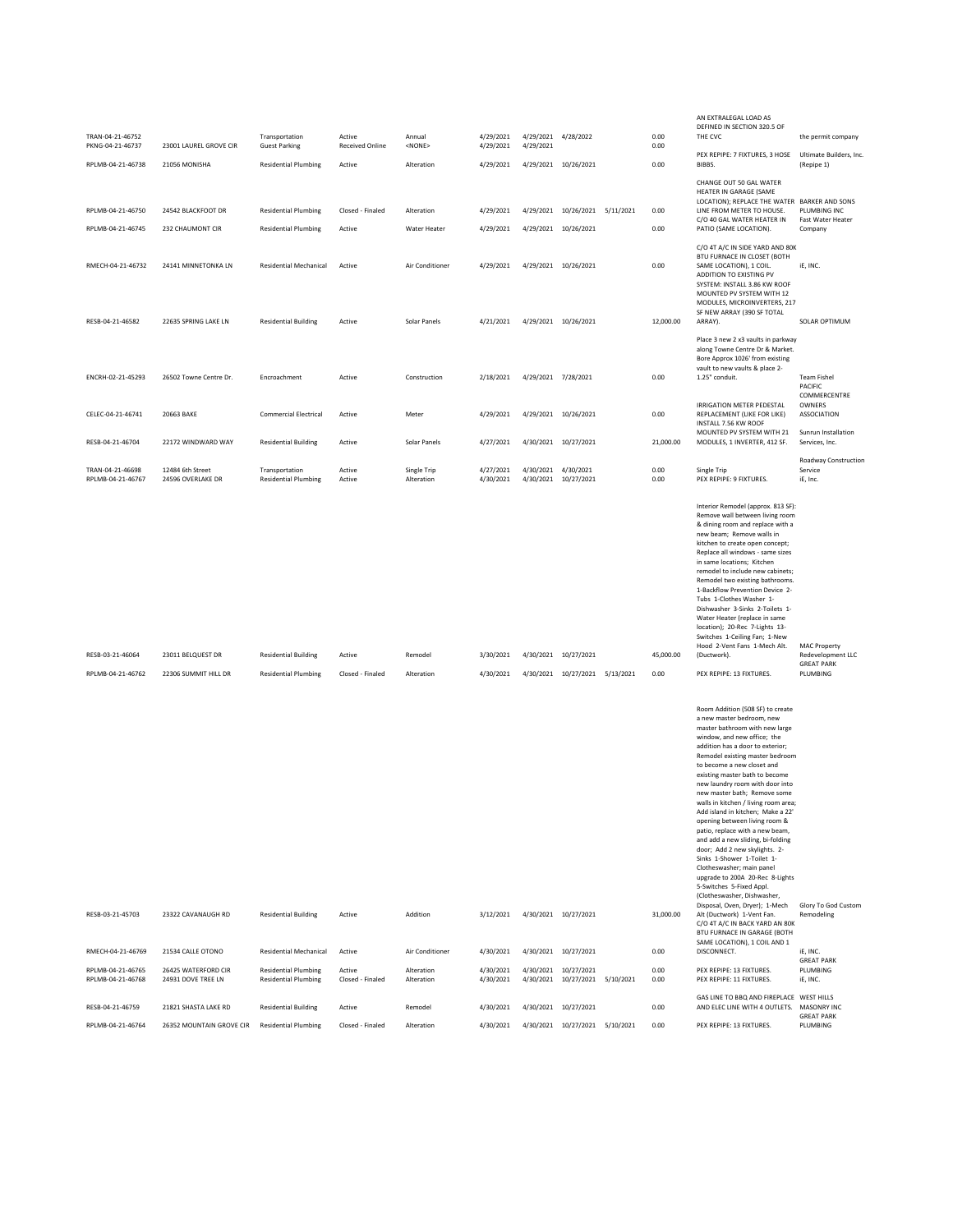| TRAN-04-21-46752                                           |                                                                | Transportation                                                                              | Active                           | Annual                                    | 4/29/2021                           |                     | 4/29/2021 4/28/2022                                                  | 0.00                      | AN EXTRALEGAL LOAD AS<br>DEFINED IN SECTION 320.5 OF<br>THE CVC                                                                                                                                                                                                                                                                                                                                                                                                                                                                                                                                                                                                                                                                                                                                                                                                                                                                                                                                                                                                                                                                                                                                      | the permit company                                                             |
|------------------------------------------------------------|----------------------------------------------------------------|---------------------------------------------------------------------------------------------|----------------------------------|-------------------------------------------|-------------------------------------|---------------------|----------------------------------------------------------------------|---------------------------|------------------------------------------------------------------------------------------------------------------------------------------------------------------------------------------------------------------------------------------------------------------------------------------------------------------------------------------------------------------------------------------------------------------------------------------------------------------------------------------------------------------------------------------------------------------------------------------------------------------------------------------------------------------------------------------------------------------------------------------------------------------------------------------------------------------------------------------------------------------------------------------------------------------------------------------------------------------------------------------------------------------------------------------------------------------------------------------------------------------------------------------------------------------------------------------------------|--------------------------------------------------------------------------------|
| PKNG-04-21-46737<br>RPLMB-04-21-46738                      | 23001 LAUREL GROVE CIR<br>21056 MONISHA                        | <b>Guest Parking</b><br><b>Residential Plumbing</b>                                         | <b>Received Online</b><br>Active | $<$ NONE $>$<br>Alteration                | 4/29/2021<br>4/29/2021              | 4/29/2021           | 4/29/2021 10/26/2021                                                 | 0.00<br>0.00              | PEX REPIPE: 7 FIXTURES, 3 HOSE<br>BIBBS.                                                                                                                                                                                                                                                                                                                                                                                                                                                                                                                                                                                                                                                                                                                                                                                                                                                                                                                                                                                                                                                                                                                                                             | Ultimate Builders, Inc.<br>(Repipe 1)                                          |
|                                                            |                                                                |                                                                                             |                                  |                                           |                                     |                     |                                                                      |                           | CHANGE OUT 50 GAL WATER<br>HEATER IN GARAGE (SAME                                                                                                                                                                                                                                                                                                                                                                                                                                                                                                                                                                                                                                                                                                                                                                                                                                                                                                                                                                                                                                                                                                                                                    |                                                                                |
| RPLMB-04-21-46750                                          | 24542 BLACKFOOT DR                                             | <b>Residential Plumbing</b>                                                                 | Closed - Finaled                 | Alteration                                | 4/29/2021                           |                     | 4/29/2021 10/26/2021 5/11/2021                                       | 0.00                      | LOCATION); REPLACE THE WATER BARKER AND SONS<br>LINE FROM METER TO HOUSE.<br>C/O 40 GAL WATER HEATER IN                                                                                                                                                                                                                                                                                                                                                                                                                                                                                                                                                                                                                                                                                                                                                                                                                                                                                                                                                                                                                                                                                              | PLUMBING INC<br>Fast Water Heater                                              |
| RPLMB-04-21-46745                                          | 232 CHAUMONT CIR                                               | <b>Residential Plumbing</b>                                                                 | Active                           | Water Heater                              | 4/29/2021                           |                     | 4/29/2021 10/26/2021                                                 | 0.00                      | PATIO (SAME LOCATION).                                                                                                                                                                                                                                                                                                                                                                                                                                                                                                                                                                                                                                                                                                                                                                                                                                                                                                                                                                                                                                                                                                                                                                               | Company                                                                        |
| RMECH-04-21-46732                                          | 24141 MINNETONKA LN                                            | <b>Residential Mechanical</b>                                                               | Active                           | Air Conditioner                           | 4/29/2021                           |                     | 4/29/2021 10/26/2021                                                 | 0.00                      | C/O 4T A/C IN SIDE YARD AND 80K<br>BTU FURNACE IN CLOSET (BOTH<br>SAME LOCATION), 1 COIL.<br>ADDITION TO EXISTING PV<br>SYSTEM: INSTALL 3.86 KW ROOF<br>MOUNTED PV SYSTEM WITH 12<br>MODULES, MICROINVERTERS, 217<br>SF NEW ARRAY (390 SF TOTAL                                                                                                                                                                                                                                                                                                                                                                                                                                                                                                                                                                                                                                                                                                                                                                                                                                                                                                                                                      | iE, INC.                                                                       |
| RESB-04-21-46582                                           | 22635 SPRING LAKE LN                                           | <b>Residential Building</b>                                                                 | Active                           | Solar Panels                              | 4/21/2021                           |                     | 4/29/2021 10/26/2021                                                 | 12,000.00                 | ARRAY).                                                                                                                                                                                                                                                                                                                                                                                                                                                                                                                                                                                                                                                                                                                                                                                                                                                                                                                                                                                                                                                                                                                                                                                              | SOLAR OPTIMUM                                                                  |
| ENCRH-02-21-45293                                          | 26502 Towne Centre Dr.                                         | Encroachment                                                                                | Active                           | Construction                              | 2/18/2021                           | 4/29/2021 7/28/2021 |                                                                      | 0.00                      | Place 3 new 2 x3 vaults in parkway<br>along Towne Centre Dr & Market.<br>Bore Approx 1026' from existing<br>vault to new vaults & place 2-<br>1.25" conduit.                                                                                                                                                                                                                                                                                                                                                                                                                                                                                                                                                                                                                                                                                                                                                                                                                                                                                                                                                                                                                                         | <b>Team Fishel</b><br>PACIFIC<br>COMMERCENTRE                                  |
| CELEC-04-21-46741                                          | 20663 BAKE                                                     | <b>Commercial Electrical</b>                                                                | Active                           | Meter                                     | 4/29/2021                           |                     | 4/29/2021 10/26/2021                                                 | 0.00                      | IRRIGATION METER PEDESTAL<br>REPLACEMENT (LIKE FOR LIKE)<br>INSTALL 7.56 KW ROOF                                                                                                                                                                                                                                                                                                                                                                                                                                                                                                                                                                                                                                                                                                                                                                                                                                                                                                                                                                                                                                                                                                                     | OWNERS<br>ASSOCIATION                                                          |
| RESB-04-21-46704                                           | 22172 WINDWARD WAY                                             | <b>Residential Building</b>                                                                 | Active                           | Solar Panels                              | 4/27/2021                           |                     | 4/30/2021 10/27/2021                                                 | 21,000.00                 | MOUNTED PV SYSTEM WITH 21<br>MODULES, 1 INVERTER, 412 SF.                                                                                                                                                                                                                                                                                                                                                                                                                                                                                                                                                                                                                                                                                                                                                                                                                                                                                                                                                                                                                                                                                                                                            | Sunrun Installation<br>Services, Inc.                                          |
| TRAN-04-21-46698<br>RPLMB-04-21-46767                      | 12484 6th Street<br>24596 OVERLAKE DR                          | Transportation<br><b>Residential Plumbing</b>                                               | Active<br>Active                 | Single Trip<br>Alteration                 | 4/27/2021<br>4/30/2021              | 4/30/2021 4/30/2021 | 4/30/2021 10/27/2021                                                 | 0.00<br>0.00              | Single Trip<br>PEX REPIPE: 9 FIXTURES.                                                                                                                                                                                                                                                                                                                                                                                                                                                                                                                                                                                                                                                                                                                                                                                                                                                                                                                                                                                                                                                                                                                                                               | Roadway Construction<br>Service<br>iE. Inc.                                    |
| RESB-03-21-46064<br>RPLMB-04-21-46762                      | 23011 BELQUEST DR<br>22306 SUMMIT HILL DR                      | <b>Residential Building</b><br><b>Residential Plumbing</b>                                  | Active<br>Closed - Finaled       | Remodel<br>Alteration                     | 3/30/2021<br>4/30/2021              |                     | 4/30/2021 10/27/2021<br>4/30/2021 10/27/2021 5/13/2021               | 45,000.00<br>0.00         | Interior Remodel (approx. 813 SF):<br>Remove wall between living room<br>& dining room and replace with a<br>new beam; Remove walls in<br>kitchen to create open concept;<br>Replace all windows - same sizes<br>in same locations; Kitchen<br>remodel to include new cabinets;<br>Remodel two existing bathrooms.<br>1-Backflow Prevention Device 2-<br>Tubs 1-Clothes Washer 1-<br>Dishwasher 3-Sinks 2-Toilets 1-<br>Water Heater (replace in same<br>location); 20-Rec 7-Lights 13-<br>Switches 1-Ceiling Fan; 1-New<br>Hood 2-Vent Fans 1-Mech Alt.<br>(Ductwork).<br>PEX REPIPE: 13 FIXTURES.<br>Room Addition (508 SF) to create<br>a new master bedroom, new<br>master bathroom with new large<br>window, and new office; the<br>addition has a door to exterior;<br>Remodel existing master bedroom<br>to become a new closet and<br>existing master bath to become<br>new laundry room with door into<br>new master bath; Remove some<br>walls in kitchen / living room area;<br>Add island in kitchen; Make a 22'<br>opening between living room &<br>patio, replace with a new beam,<br>and add a new sliding, bi-folding<br>door; Add 2 new skylights. 2-<br>Sinks 1-Shower 1-Toilet 1- | <b>MAC Property</b><br>Redevelopment LLC<br><b>GREAT PARK</b><br>PLUMBING      |
| RESB-03-21-45703<br>RMECH-04-21-46769<br>RPLMB-04-21-46765 | 23322 CAVANAUGH RD<br>21534 CALLE OTONO<br>26425 WATERFORD CIR | <b>Residential Building</b><br><b>Residential Mechanical</b><br><b>Residential Plumbing</b> | Active<br>Active<br>Active       | Addition<br>Air Conditioner<br>Alteration | 3/12/2021<br>4/30/2021<br>4/30/2021 |                     | 4/30/2021 10/27/2021<br>4/30/2021 10/27/2021<br>4/30/2021 10/27/2021 | 31,000.00<br>0.00<br>0.00 | Clotheswasher; main panel<br>upgrade to 200A 20-Rec 8-Lights<br>5-Switches 5-Fixed Appl.<br>(Clotheswasher, Dishwasher,<br>Disposal, Oven, Dryer); 1-Mech<br>Alt (Ductwork) 1-Vent Fan.<br>C/O 4T A/C IN BACK YARD AN 80K<br>BTU FURNACE IN GARAGE (BOTH<br>SAME LOCATION), 1 COIL AND 1<br>DISCONNECT.<br>PEX REPIPE: 13 FIXTURES.                                                                                                                                                                                                                                                                                                                                                                                                                                                                                                                                                                                                                                                                                                                                                                                                                                                                  | Glory To God Custom<br>Remodeling<br>iE, INC.<br><b>GREAT PARK</b><br>PLUMBING |
| RPI MB-04-21-46768                                         | 24931 DOVE TREE LN                                             | <b>Residential Plumbing</b>                                                                 | Closed - Finaled                 | Alteration                                | 4/30/2021                           |                     | 4/30/2021 10/27/2021 5/10/2021                                       | 0.00                      | PEX REPIPE: 11 FIXTURES.<br>GAS LINE TO BBQ AND FIREPLACE WEST HILLS                                                                                                                                                                                                                                                                                                                                                                                                                                                                                                                                                                                                                                                                                                                                                                                                                                                                                                                                                                                                                                                                                                                                 | iE, INC.                                                                       |
| RESB-04-21-46759                                           | 21821 SHASTA LAKE RD                                           | <b>Residential Building</b>                                                                 | Active                           | Remodel                                   | 4/30/2021                           |                     | 4/30/2021 10/27/2021                                                 | 0.00                      | AND ELEC LINE WITH 4 OUTLETS.                                                                                                                                                                                                                                                                                                                                                                                                                                                                                                                                                                                                                                                                                                                                                                                                                                                                                                                                                                                                                                                                                                                                                                        | MASONRY INC<br><b>GREAT PARK</b>                                               |
| RPLMB-04-21-46764                                          | 26352 MOUNTAIN GROVE CIR                                       | <b>Residential Plumbing</b>                                                                 | Closed - Finaled                 | Alteration                                | 4/30/2021                           |                     | 4/30/2021 10/27/2021 5/10/2021                                       | 0.00                      | PEX REPIPE: 13 FIXTURES.                                                                                                                                                                                                                                                                                                                                                                                                                                                                                                                                                                                                                                                                                                                                                                                                                                                                                                                                                                                                                                                                                                                                                                             | PLUMBING                                                                       |